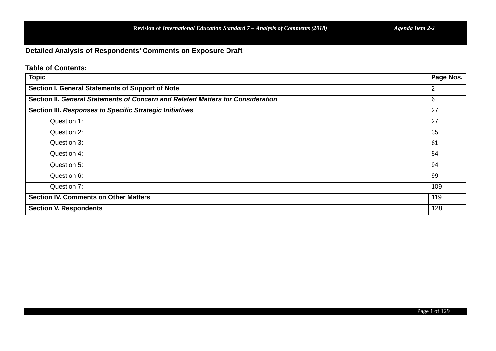**Detailed Analysis of Respondents' Comments on Exposure Draft**

**Table of Contents:**

| <b>Topic</b>                                                                    | Page Nos. |
|---------------------------------------------------------------------------------|-----------|
| Section I. General Statements of Support of Note                                | 2         |
| Section II. General Statements of Concern and Related Matters for Consideration | 6         |
| Section III. Responses to Specific Strategic Initiatives                        | 27        |
| Question 1:                                                                     | 27        |
| Question 2:                                                                     | 35        |
| Question 3:                                                                     | 61        |
| Question 4:                                                                     | 84        |
| Question 5:                                                                     | 94        |
| Question 6:                                                                     | 99        |
| Question 7:                                                                     | 109       |
| <b>Section IV. Comments on Other Matters</b>                                    | 119       |
| <b>Section V. Respondents</b>                                                   | 128       |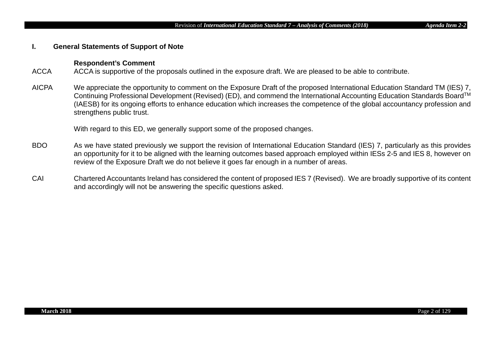# **I. General Statements of Support of Note**

# **Respondent's Comment**

- ACCA ACCA is supportive of the proposals outlined in the exposure draft. We are pleased to be able to contribute.
- AICPA We appreciate the opportunity to comment on the Exposure Draft of the proposed International Education Standard TM (IES) 7, Continuing Professional Development (Revised) (ED), and commend the International Accounting Education Standards BoardTM (IAESB) for its ongoing efforts to enhance education which increases the competence of the global accountancy profession and strengthens public trust.

With regard to this ED, we generally support some of the proposed changes.

- BDO As we have stated previously we support the revision of International Education Standard (IES) 7, particularly as this provides an opportunity for it to be aligned with the learning outcomes based approach employed within IESs 2-5 and IES 8, however on review of the Exposure Draft we do not believe it goes far enough in a number of areas.
- CAI Chartered Accountants Ireland has considered the content of proposed IES 7 (Revised). We are broadly supportive of its content and accordingly will not be answering the specific questions asked.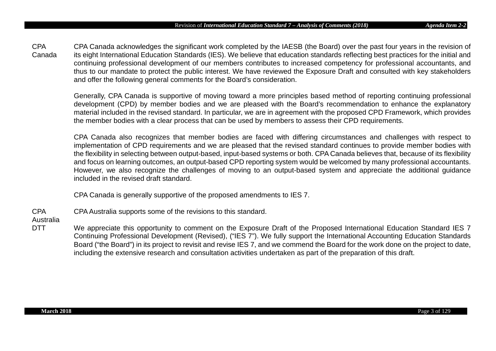CPA Canada CPA Canada acknowledges the significant work completed by the IAESB (the Board) over the past four years in the revision of its eight International Education Standards (IES). We believe that education standards reflecting best practices for the initial and continuing professional development of our members contributes to increased competency for professional accountants, and thus to our mandate to protect the public interest. We have reviewed the Exposure Draft and consulted with key stakeholders and offer the following general comments for the Board's consideration.

Generally, CPA Canada is supportive of moving toward a more principles based method of reporting continuing professional development (CPD) by member bodies and we are pleased with the Board's recommendation to enhance the explanatory material included in the revised standard. In particular, we are in agreement with the proposed CPD Framework, which provides the member bodies with a clear process that can be used by members to assess their CPD requirements.

CPA Canada also recognizes that member bodies are faced with differing circumstances and challenges with respect to implementation of CPD requirements and we are pleased that the revised standard continues to provide member bodies with the flexibility in selecting between output-based, input-based systems or both. CPA Canada believes that, because of its flexibility and focus on learning outcomes, an output-based CPD reporting system would be welcomed by many professional accountants. However, we also recognize the challenges of moving to an output-based system and appreciate the additional guidance included in the revised draft standard.

CPA Canada is generally supportive of the proposed amendments to IES 7.

CPA CPA Australia supports some of the revisions to this standard.

Australia

DTT We appreciate this opportunity to comment on the Exposure Draft of the Proposed International Education Standard IES 7 Continuing Professional Development (Revised), ("IES 7"). We fully support the International Accounting Education Standards Board ("the Board") in its project to revisit and revise IES 7, and we commend the Board for the work done on the project to date, including the extensive research and consultation activities undertaken as part of the preparation of this draft.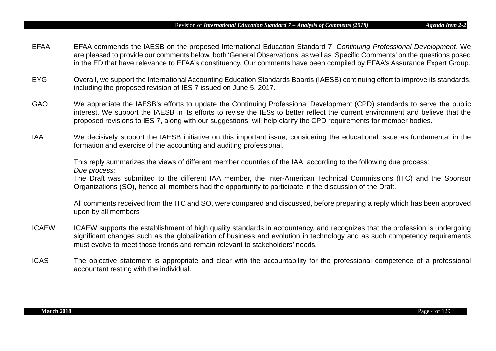- EFAA EFAA commends the IAESB on the proposed International Education Standard 7, *Continuing Professional Development*. We are pleased to provide our comments below, both 'General Observations' as well as 'Specific Comments' on the questions posed in the ED that have relevance to EFAA's constituency. Our comments have been compiled by EFAA's Assurance Expert Group.
- EYG Overall, we support the International Accounting Education Standards Boards (IAESB) continuing effort to improve its standards, including the proposed revision of IES 7 issued on June 5, 2017.
- GAO We appreciate the IAESB's efforts to update the Continuing Professional Development (CPD) standards to serve the public interest. We support the IAESB in its efforts to revise the IESs to better reflect the current environment and believe that the proposed revisions to IES 7, along with our suggestions, will help clarify the CPD requirements for member bodies.
- IAA We decisively support the IAESB initiative on this important issue, considering the educational issue as fundamental in the formation and exercise of the accounting and auditing professional.

This reply summarizes the views of different member countries of the IAA, according to the following due process: *Due process:*

The Draft was submitted to the different IAA member, the Inter-American Technical Commissions (ITC) and the Sponsor Organizations (SO), hence all members had the opportunity to participate in the discussion of the Draft.

All comments received from the ITC and SO, were compared and discussed, before preparing a reply which has been approved upon by all members

- ICAEW ICAEW supports the establishment of high quality standards in accountancy, and recognizes that the profession is undergoing significant changes such as the globalization of business and evolution in technology and as such competency requirements must evolve to meet those trends and remain relevant to stakeholders' needs.
- ICAS The objective statement is appropriate and clear with the accountability for the professional competence of a professional accountant resting with the individual.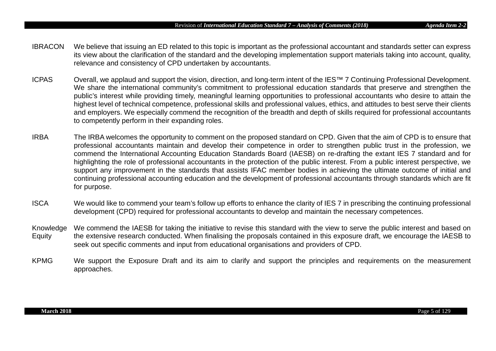- IBRACON We believe that issuing an ED related to this topic is important as the professional accountant and standards setter can express its view about the clarification of the standard and the developing implementation support materials taking into account, quality, relevance and consistency of CPD undertaken by accountants.
- ICPAS Overall, we applaud and support the vision, direction, and long-term intent of the IES™ 7 Continuing Professional Development. We share the international community's commitment to professional education standards that preserve and strengthen the public's interest while providing timely, meaningful learning opportunities to professional accountants who desire to attain the highest level of technical competence, professional skills and professional values, ethics, and attitudes to best serve their clients and employers. We especially commend the recognition of the breadth and depth of skills required for professional accountants to competently perform in their expanding roles.
- IRBA The IRBA welcomes the opportunity to comment on the proposed standard on CPD. Given that the aim of CPD is to ensure that professional accountants maintain and develop their competence in order to strengthen public trust in the profession, we commend the International Accounting Education Standards Board (IAESB) on re-drafting the extant IES 7 standard and for highlighting the role of professional accountants in the protection of the public interest. From a public interest perspective, we support any improvement in the standards that assists IFAC member bodies in achieving the ultimate outcome of initial and continuing professional accounting education and the development of professional accountants through standards which are fit for purpose.
- ISCA We would like to commend your team's follow up efforts to enhance the clarity of IES 7 in prescribing the continuing professional development (CPD) required for professional accountants to develop and maintain the necessary competences.
- Knowledge **Equity** We commend the IAESB for taking the initiative to revise this standard with the view to serve the public interest and based on the extensive research conducted. When finalising the proposals contained in this exposure draft, we encourage the IAESB to seek out specific comments and input from educational organisations and providers of CPD.
- KPMG We support the Exposure Draft and its aim to clarify and support the principles and requirements on the measurement approaches.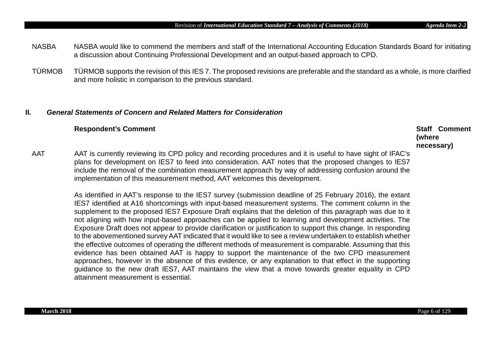As identified in AAT's response to the IES7 survey (submission deadline of 25 February 2016), the extant IES7 identified at A16 shortcomings with input-based measurement systems. The comment column in the supplement to the proposed IES7 Exposure Draft explains that the deletion of this paragraph was due to it not aligning with how input-based approaches can be applied to learning and development activities. The Exposure Draft does not appear to provide clarification or justification to support this change. In responding to the abovementioned survey AAT indicated that it would like to see a review undertaken to establish whether the effective outcomes of operating the different methods of measurement is comparable. Assuming that this evidence has been obtained AAT is happy to support the maintenance of the two CPD measurement approaches, however in the absence of this evidence, or any explanation to that effect in the supporting guidance to the new draft IES7, AAT maintains the view that a move towards greater equality in CPD

attainment measurement is essential.

**II***. General Statements of Concern and Related Matters for Consideration*

AAT AAT is currently reviewing its CPD policy and recording procedures and it is useful to have sight of IFAC's plans for development on IES7 to feed into consideration. AAT notes that the proposed changes to IES7 include the removal of the combination measurement approach by way of addressing confusion around the implementation of this measurement method, AAT welcomes this development.

# **Respondent's Comment Staff Comment Staff Comment**

- a discussion about Continuing Professional Development and an output-based approach to CPD.
- TÜRMOB TÜRMOB supports the revision of this IES 7. The proposed revisions are preferable and the standard as a whole, is more clarified and more holistic in comparison to the previous standard.
- NASBA NASBA would like to commend the members and staff of the International Accounting Education Standards Board for initiating

**(where necessary)**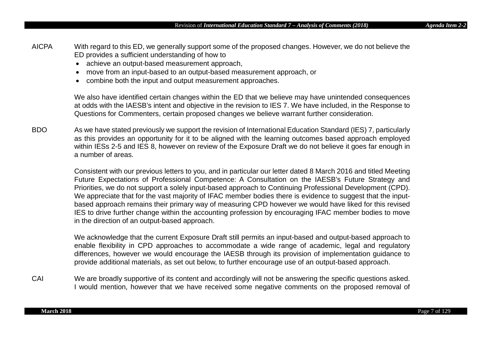CAI We are broadly supportive of its content and accordingly will not be answering the specific questions asked. I would mention, however that we have received some negative comments on the proposed removal of

We acknowledge that the current Exposure Draft still permits an input-based and output-based approach to enable flexibility in CPD approaches to accommodate a wide range of academic, legal and regulatory differences, however we would encourage the IAESB through its provision of implementation guidance to provide additional materials, as set out below, to further encourage use of an output-based approach.

Future Expectations of Professional Competence: A Consultation on the IAESB's Future Strategy and Priorities, we do not support a solely input-based approach to Continuing Professional Development (CPD). We appreciate that for the vast majority of IFAC member bodies there is evidence to suggest that the inputbased approach remains their primary way of measuring CPD however we would have liked for this revised IES to drive further change within the accounting profession by encouraging IFAC member bodies to move in the direction of an output-based approach.

Consistent with our previous letters to you, and in particular our letter dated 8 March 2016 and titled Meeting

BDO As we have stated previously we support the revision of International Education Standard (IES) 7, particularly as this provides an opportunity for it to be aligned with the learning outcomes based approach employed within IESs 2-5 and IES 8, however on review of the Exposure Draft we do not believe it goes far enough in a number of areas.

We also have identified certain changes within the ED that we believe may have unintended consequences at odds with the IAESB's intent and objective in the revision to IES 7. We have included, in the Response to Questions for Commenters, certain proposed changes we believe warrant further consideration.

AICPA With regard to this ED, we generally support some of the proposed changes. However, we do not believe the ED provides a sufficient understanding of how to

• move from an input-based to an output-based measurement approach, or

• combine both the input and output measurement approaches.

• achieve an output-based measurement approach,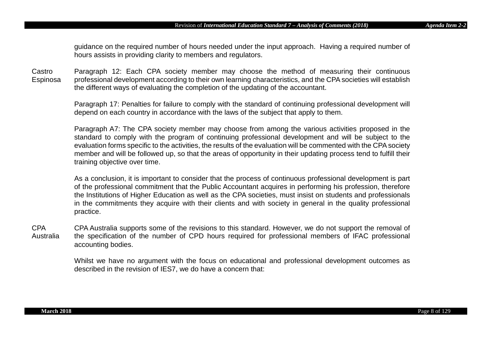guidance on the required number of hours needed under the input approach. Having a required number of hours assists in providing clarity to members and regulators.

**Castro** Espinosa Paragraph 12: Each CPA society member may choose the method of measuring their continuous professional development according to their own learning characteristics, and the CPA societies will establish the different ways of evaluating the completion of the updating of the accountant.

> Paragraph 17: Penalties for failure to comply with the standard of continuing professional development will depend on each country in accordance with the laws of the subject that apply to them.

> Paragraph A7: The CPA society member may choose from among the various activities proposed in the standard to comply with the program of continuing professional development and will be subject to the evaluation forms specific to the activities, the results of the evaluation will be commented with the CPA society member and will be followed up, so that the areas of opportunity in their updating process tend to fulfill their training objective over time.

> As a conclusion, it is important to consider that the process of continuous professional development is part of the professional commitment that the Public Accountant acquires in performing his profession, therefore the Institutions of Higher Education as well as the CPA societies, must insist on students and professionals in the commitments they acquire with their clients and with society in general in the quality professional practice.

CPA Australia CPA Australia supports some of the revisions to this standard. However, we do not support the removal of the specification of the number of CPD hours required for professional members of IFAC professional accounting bodies.

> Whilst we have no argument with the focus on educational and professional development outcomes as described in the revision of IES7, we do have a concern that: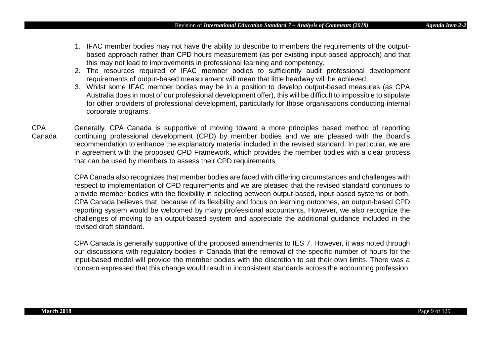- 1. IFAC member bodies may not have the ability to describe to members the requirements of the outputbased approach rather than CPD hours measurement (as per existing input-based approach) and that this may not lead to improvements in professional learning and competency.
- 2. The resources required of IFAC member bodies to sufficiently audit professional development requirements of output-based measurement will mean that little headway will be achieved.
- 3. Whilst some IFAC member bodies may be in a position to develop output-based measures (as CPA Australia does in most of our professional development offer), this will be difficult to impossible to stipulate for other providers of professional development, particularly for those organisations conducting internal corporate programs.
- CPA Canada Generally, CPA Canada is supportive of moving toward a more principles based method of reporting continuing professional development (CPD) by member bodies and we are pleased with the Board's recommendation to enhance the explanatory material included in the revised standard. In particular, we are in agreement with the proposed CPD Framework, which provides the member bodies with a clear process that can be used by members to assess their CPD requirements.

CPA Canada also recognizes that member bodies are faced with differing circumstances and challenges with respect to implementation of CPD requirements and we are pleased that the revised standard continues to provide member bodies with the flexibility in selecting between output-based, input-based systems or both. CPA Canada believes that, because of its flexibility and focus on learning outcomes, an output-based CPD reporting system would be welcomed by many professional accountants. However, we also recognize the challenges of moving to an output-based system and appreciate the additional guidance included in the revised draft standard.

CPA Canada is generally supportive of the proposed amendments to IES 7. However, it was noted through our discussions with regulatory bodies in Canada that the removal of the specific number of hours for the input-based model will provide the member bodies with the discretion to set their own limits. There was a concern expressed that this change would result in inconsistent standards across the accounting profession.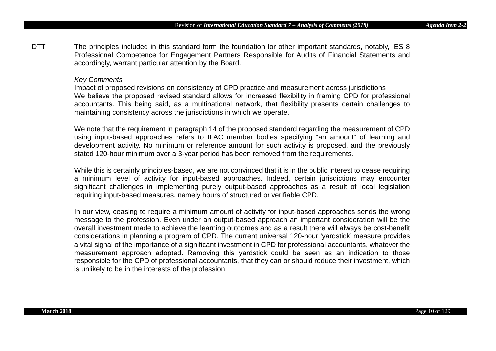DTT The principles included in this standard form the foundation for other important standards, notably, IES 8 Professional Competence for Engagement Partners Responsible for Audits of Financial Statements and accordingly, warrant particular attention by the Board.

#### *Key Comments*

Impact of proposed revisions on consistency of CPD practice and measurement across jurisdictions We believe the proposed revised standard allows for increased flexibility in framing CPD for professional accountants. This being said, as a multinational network, that flexibility presents certain challenges to maintaining consistency across the jurisdictions in which we operate.

We note that the requirement in paragraph 14 of the proposed standard regarding the measurement of CPD using input-based approaches refers to IFAC member bodies specifying "an amount" of learning and development activity. No minimum or reference amount for such activity is proposed, and the previously stated 120-hour minimum over a 3-year period has been removed from the requirements.

While this is certainly principles-based, we are not convinced that it is in the public interest to cease requiring a minimum level of activity for input-based approaches. Indeed, certain jurisdictions may encounter significant challenges in implementing purely output-based approaches as a result of local legislation requiring input-based measures, namely hours of structured or verifiable CPD.

In our view, ceasing to require a minimum amount of activity for input-based approaches sends the wrong message to the profession. Even under an output-based approach an important consideration will be the overall investment made to achieve the learning outcomes and as a result there will always be cost-benefit considerations in planning a program of CPD. The current universal 120-hour 'yardstick' measure provides a vital signal of the importance of a significant investment in CPD for professional accountants, whatever the measurement approach adopted. Removing this yardstick could be seen as an indication to those responsible for the CPD of professional accountants, that they can or should reduce their investment, which is unlikely to be in the interests of the profession.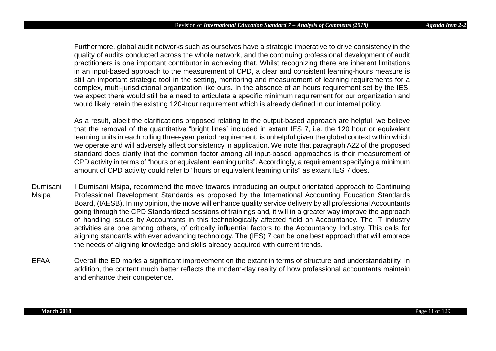Furthermore, global audit networks such as ourselves have a strategic imperative to drive consistency in the quality of audits conducted across the whole network, and the continuing professional development of audit practitioners is one important contributor in achieving that. Whilst recognizing there are inherent limitations in an input-based approach to the measurement of CPD, a clear and consistent learning-hours measure is still an important strategic tool in the setting, monitoring and measurement of learning requirements for a complex, multi-jurisdictional organization like ours. In the absence of an hours requirement set by the IES, we expect there would still be a need to articulate a specific minimum requirement for our organization and would likely retain the existing 120-hour requirement which is already defined in our internal policy.

As a result, albeit the clarifications proposed relating to the output-based approach are helpful, we believe that the removal of the quantitative "bright lines" included in extant IES 7, i.e. the 120 hour or equivalent learning units in each rolling three-year period requirement, is unhelpful given the global context within which we operate and will adversely affect consistency in application. We note that paragraph A22 of the proposed standard does clarify that the common factor among all input-based approaches is their measurement of CPD activity in terms of "hours or equivalent learning units". Accordingly, a requirement specifying a minimum amount of CPD activity could refer to "hours or equivalent learning units" as extant IES 7 does.

- Dumisani Msipa I Dumisani Msipa, recommend the move towards introducing an output orientated approach to Continuing Professional Development Standards as proposed by the International Accounting Education Standards Board, (IAESB). In my opinion, the move will enhance quality service delivery by all professional Accountants going through the CPD Standardized sessions of trainings and, it will in a greater way improve the approach of handling issues by Accountants in this technologically affected field on Accountancy. The IT industry activities are one among others, of critically influential factors to the Accountancy Industry. This calls for aligning standards with ever advancing technology. The (IES) 7 can be one best approach that will embrace the needs of aligning knowledge and skills already acquired with current trends.
- EFAA Overall the ED marks a significant improvement on the extant in terms of structure and understandability. In addition, the content much better reflects the modern-day reality of how professional accountants maintain and enhance their competence.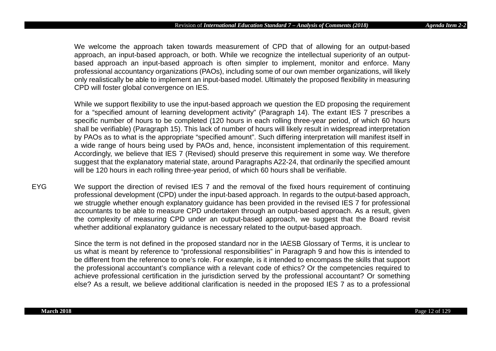We welcome the approach taken towards measurement of CPD that of allowing for an output-based approach, an input-based approach, or both. While we recognize the intellectual superiority of an outputbased approach an input-based approach is often simpler to implement, monitor and enforce. Many professional accountancy organizations (PAOs), including some of our own member organizations, will likely only realistically be able to implement an input-based model. Ultimately the proposed flexibility in measuring CPD will foster global convergence on IES.

While we support flexibility to use the input-based approach we question the ED proposing the requirement for a "specified amount of learning development activity" (Paragraph 14). The extant IES 7 prescribes a specific number of hours to be completed (120 hours in each rolling three-year period, of which 60 hours shall be verifiable) (Paragraph 15). This lack of number of hours will likely result in widespread interpretation by PAOs as to what is the appropriate "specified amount". Such differing interpretation will manifest itself in a wide range of hours being used by PAOs and, hence, inconsistent implementation of this requirement. Accordingly, we believe that IES 7 (Revised) should preserve this requirement in some way. We therefore suggest that the explanatory material state, around Paragraphs A22-24, that ordinarily the specified amount will be 120 hours in each rolling three-year period, of which 60 hours shall be verifiable.

EYG We support the direction of revised IES 7 and the removal of the fixed hours requirement of continuing professional development (CPD) under the input-based approach. In regards to the output-based approach, we struggle whether enough explanatory guidance has been provided in the revised IES 7 for professional accountants to be able to measure CPD undertaken through an output-based approach. As a result, given the complexity of measuring CPD under an output-based approach, we suggest that the Board revisit whether additional explanatory guidance is necessary related to the output-based approach.

> Since the term is not defined in the proposed standard nor in the IAESB Glossary of Terms, it is unclear to us what is meant by reference to "professional responsibilities" in Paragraph 9 and how this is intended to be different from the reference to one's role. For example, is it intended to encompass the skills that support the professional accountant's compliance with a relevant code of ethics? Or the competencies required to achieve professional certification in the jurisdiction served by the professional accountant? Or something else? As a result, we believe additional clarification is needed in the proposed IES 7 as to a professional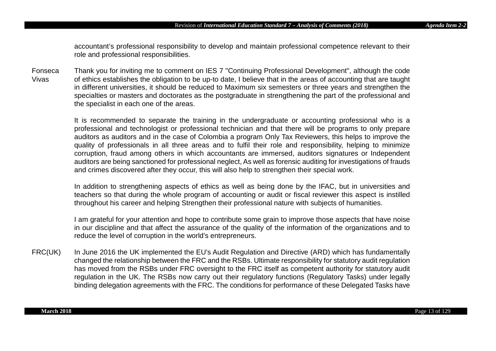accountant's professional responsibility to develop and maintain professional competence relevant to their role and professional responsibilities.

Fonseca Vivas Thank you for inviting me to comment on IES 7 "Continuing Professional Development", although the code of ethics establishes the obligation to be up-to date, I believe that in the areas of accounting that are taught in different universities, it should be reduced to Maximum six semesters or three years and strengthen the specialties or masters and doctorates as the postgraduate in strengthening the part of the professional and the specialist in each one of the areas.

> It is recommended to separate the training in the undergraduate or accounting professional who is a professional and technologist or professional technician and that there will be programs to only prepare auditors as auditors and in the case of Colombia a program Only Tax Reviewers, this helps to improve the quality of professionals in all three areas and to fulfil their role and responsibility, helping to minimize corruption, fraud among others in which accountants are immersed, auditors signatures or Independent auditors are being sanctioned for professional neglect, As well as forensic auditing for investigations of frauds and crimes discovered after they occur, this will also help to strengthen their special work.

> In addition to strengthening aspects of ethics as well as being done by the IFAC, but in universities and teachers so that during the whole program of accounting or audit or fiscal reviewer this aspect is instilled throughout his career and helping Strengthen their professional nature with subjects of humanities.

> I am grateful for your attention and hope to contribute some grain to improve those aspects that have noise in our discipline and that affect the assurance of the quality of the information of the organizations and to reduce the level of corruption in the world's entrepreneurs.

FRC(UK) In June 2016 the UK implemented the EU's Audit Regulation and Directive (ARD) which has fundamentally changed the relationship between the FRC and the RSBs. Ultimate responsibility for statutory audit regulation has moved from the RSBs under FRC oversight to the FRC itself as competent authority for statutory audit regulation in the UK. The RSBs now carry out their regulatory functions (Regulatory Tasks) under legally binding delegation agreements with the FRC. The conditions for performance of these Delegated Tasks have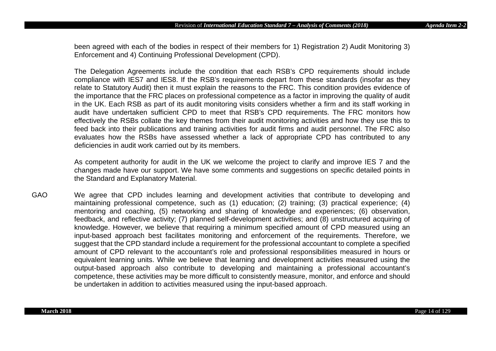been agreed with each of the bodies in respect of their members for 1) Registration 2) Audit Monitoring 3) Enforcement and 4) Continuing Professional Development (CPD).

The Delegation Agreements include the condition that each RSB's CPD requirements should include compliance with IES7 and IES8. If the RSB's requirements depart from these standards (insofar as they relate to Statutory Audit) then it must explain the reasons to the FRC. This condition provides evidence of the importance that the FRC places on professional competence as a factor in improving the quality of audit in the UK. Each RSB as part of its audit monitoring visits considers whether a firm and its staff working in audit have undertaken sufficient CPD to meet that RSB's CPD requirements. The FRC monitors how effectively the RSBs collate the key themes from their audit monitoring activities and how they use this to feed back into their publications and training activities for audit firms and audit personnel. The FRC also evaluates how the RSBs have assessed whether a lack of appropriate CPD has contributed to any deficiencies in audit work carried out by its members.

As competent authority for audit in the UK we welcome the project to clarify and improve IES 7 and the changes made have our support. We have some comments and suggestions on specific detailed points in the Standard and Explanatory Material.

GAO We agree that CPD includes learning and development activities that contribute to developing and maintaining professional competence, such as (1) education; (2) training; (3) practical experience; (4) mentoring and coaching, (5) networking and sharing of knowledge and experiences; (6) observation, feedback, and reflective activity; (7) planned self-development activities; and (8) unstructured acquiring of knowledge. However, we believe that requiring a minimum specified amount of CPD measured using an input-based approach best facilitates monitoring and enforcement of the requirements. Therefore, we suggest that the CPD standard include a requirement for the professional accountant to complete a specified amount of CPD relevant to the accountant's role and professional responsibilities measured in hours or equivalent learning units. While we believe that learning and development activities measured using the output-based approach also contribute to developing and maintaining a professional accountant's competence, these activities may be more difficult to consistently measure, monitor, and enforce and should be undertaken in addition to activities measured using the input-based approach.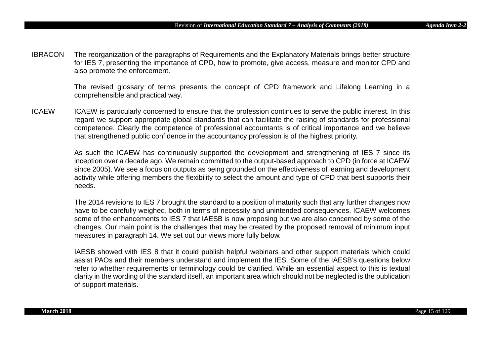IBRACON The reorganization of the paragraphs of Requirements and the Explanatory Materials brings better structure for IES 7, presenting the importance of CPD, how to promote, give access, measure and monitor CPD and also promote the enforcement.

> The revised glossary of terms presents the concept of CPD framework and Lifelong Learning in a comprehensible and practical way.

ICAEW ICAEW is particularly concerned to ensure that the profession continues to serve the public interest. In this regard we support appropriate global standards that can facilitate the raising of standards for professional competence. Clearly the competence of professional accountants is of critical importance and we believe that strengthened public confidence in the accountancy profession is of the highest priority.

> As such the ICAEW has continuously supported the development and strengthening of IES 7 since its inception over a decade ago. We remain committed to the output-based approach to CPD (in force at ICAEW since 2005). We see a focus on outputs as being grounded on the effectiveness of learning and development activity while offering members the flexibility to select the amount and type of CPD that best supports their needs.

> The 2014 revisions to IES 7 brought the standard to a position of maturity such that any further changes now have to be carefully weighed, both in terms of necessity and unintended consequences. ICAEW welcomes some of the enhancements to IES 7 that IAESB is now proposing but we are also concerned by some of the changes. Our main point is the challenges that may be created by the proposed removal of minimum input measures in paragraph 14. We set out our views more fully below.

> IAESB showed with IES 8 that it could publish helpful webinars and other support materials which could assist PAOs and their members understand and implement the IES. Some of the IAESB's questions below refer to whether requirements or terminology could be clarified. While an essential aspect to this is textual clarity in the wording of the standard itself, an important area which should not be neglected is the publication of support materials.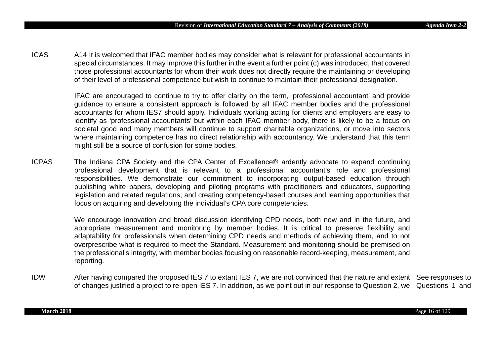ICAS A14 It is welcomed that IFAC member bodies may consider what is relevant for professional accountants in special circumstances. It may improve this further in the event a further point (c) was introduced, that covered those professional accountants for whom their work does not directly require the maintaining or developing of their level of professional competence but wish to continue to maintain their professional designation.

> IFAC are encouraged to continue to try to offer clarity on the term, 'professional accountant' and provide guidance to ensure a consistent approach is followed by all IFAC member bodies and the professional accountants for whom IES7 should apply. Individuals working acting for clients and employers are easy to identify as 'professional accountants' but within each IFAC member body, there is likely to be a focus on societal good and many members will continue to support charitable organizations, or move into sectors where maintaining competence has no direct relationship with accountancy. We understand that this term might still be a source of confusion for some bodies.

ICPAS The Indiana CPA Society and the CPA Center of Excellence® ardently advocate to expand continuing professional development that is relevant to a professional accountant's role and professional responsibilities. We demonstrate our commitment to incorporating output-based education through publishing white papers, developing and piloting programs with practitioners and educators, supporting legislation and related regulations, and creating competency-based courses and learning opportunities that focus on acquiring and developing the individual's CPA core competencies.

> We encourage innovation and broad discussion identifying CPD needs, both now and in the future, and appropriate measurement and monitoring by member bodies. It is critical to preserve flexibility and adaptability for professionals when determining CPD needs and methods of achieving them, and to not overprescribe what is required to meet the Standard. Measurement and monitoring should be premised on the professional's integrity, with member bodies focusing on reasonable record-keeping, measurement, and reporting.

IDW After having compared the proposed IES 7 to extant IES 7, we are not convinced that the nature and extent See responses to of changes justified a project to re-open IES 7. In addition, as we point out in our response to Question 2, we Questions 1 and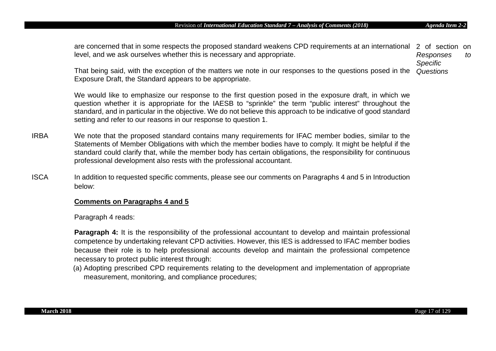are concerned that in some respects the proposed standard weakens CPD requirements at an international 2 of section on level, and we ask ourselves whether this is necessary and appropriate. *Responses to Specific* 

That being said, with the exception of the matters we note in our responses to the questions posed in the *Questions* Exposure Draft, the Standard appears to be appropriate.

We would like to emphasize our response to the first question posed in the exposure draft, in which we question whether it is appropriate for the IAESB to "sprinkle" the term "public interest" throughout the standard, and in particular in the objective. We do not believe this approach to be indicative of good standard setting and refer to our reasons in our response to question 1.

- IRBA We note that the proposed standard contains many requirements for IFAC member bodies, similar to the Statements of Member Obligations with which the member bodies have to comply. It might be helpful if the standard could clarify that, while the member body has certain obligations, the responsibility for continuous professional development also rests with the professional accountant.
- ISCA In addition to requested specific comments, please see our comments on Paragraphs 4 and 5 in Introduction below:

# **Comments on Paragraphs 4 and 5**

Paragraph 4 reads:

**Paragraph 4:** It is the responsibility of the professional accountant to develop and maintain professional competence by undertaking relevant CPD activities. However, this IES is addressed to IFAC member bodies because their role is to help professional accounts develop and maintain the professional competence necessary to protect public interest through:

(a) Adopting prescribed CPD requirements relating to the development and implementation of appropriate measurement, monitoring, and compliance procedures;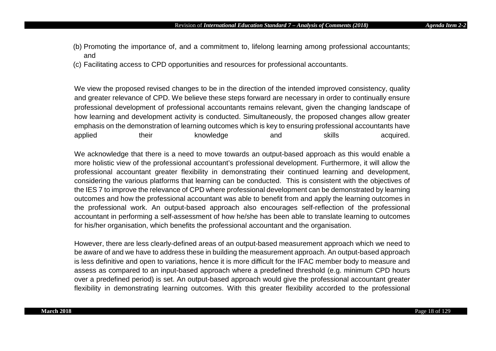- (b) Promoting the importance of, and a commitment to, lifelong learning among professional accountants; and
- (c) Facilitating access to CPD opportunities and resources for professional accountants.

We view the proposed revised changes to be in the direction of the intended improved consistency, quality and greater relevance of CPD. We believe these steps forward are necessary in order to continually ensure professional development of professional accountants remains relevant, given the changing landscape of how learning and development activity is conducted. Simultaneously, the proposed changes allow greater emphasis on the demonstration of learning outcomes which is key to ensuring professional accountants have applied their knowledge and skills acquired.

We acknowledge that there is a need to move towards an output-based approach as this would enable a more holistic view of the professional accountant's professional development. Furthermore, it will allow the professional accountant greater flexibility in demonstrating their continued learning and development, considering the various platforms that learning can be conducted. This is consistent with the objectives of the IES 7 to improve the relevance of CPD where professional development can be demonstrated by learning outcomes and how the professional accountant was able to benefit from and apply the learning outcomes in the professional work. An output-based approach also encourages self-reflection of the professional accountant in performing a self-assessment of how he/she has been able to translate learning to outcomes for his/her organisation, which benefits the professional accountant and the organisation.

However, there are less clearly-defined areas of an output-based measurement approach which we need to be aware of and we have to address these in building the measurement approach. An output-based approach is less definitive and open to variations, hence it is more difficult for the IFAC member body to measure and assess as compared to an input-based approach where a predefined threshold (e.g. minimum CPD hours over a predefined period) is set. An output-based approach would give the professional accountant greater flexibility in demonstrating learning outcomes. With this greater flexibility accorded to the professional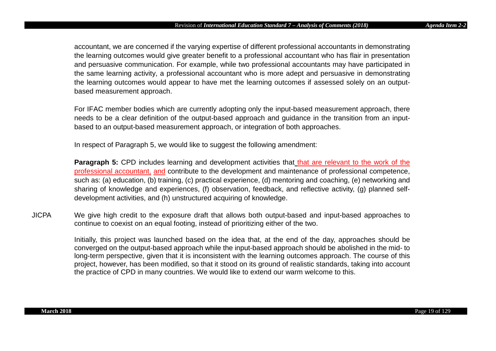accountant, we are concerned if the varying expertise of different professional accountants in demonstrating the learning outcomes would give greater benefit to a professional accountant who has flair in presentation and persuasive communication. For example, while two professional accountants may have participated in the same learning activity, a professional accountant who is more adept and persuasive in demonstrating the learning outcomes would appear to have met the learning outcomes if assessed solely on an outputbased measurement approach.

For IFAC member bodies which are currently adopting only the input-based measurement approach, there needs to be a clear definition of the output-based approach and guidance in the transition from an inputbased to an output-based measurement approach, or integration of both approaches.

In respect of Paragraph 5, we would like to suggest the following amendment:

**Paragraph 5:** CPD includes learning and development activities that that are relevant to the work of the professional accountant, and contribute to the development and maintenance of professional competence, such as: (a) education, (b) training, (c) practical experience, (d) mentoring and coaching, (e) networking and sharing of knowledge and experiences, (f) observation, feedback, and reflective activity, (g) planned selfdevelopment activities, and (h) unstructured acquiring of knowledge.

JICPA We give high credit to the exposure draft that allows both output-based and input-based approaches to continue to coexist on an equal footing, instead of prioritizing either of the two.

> Initially, this project was launched based on the idea that, at the end of the day, approaches should be converged on the output-based approach while the input-based approach should be abolished in the mid- to long-term perspective, given that it is inconsistent with the learning outcomes approach. The course of this project, however, has been modified, so that it stood on its ground of realistic standards, taking into account the practice of CPD in many countries. We would like to extend our warm welcome to this.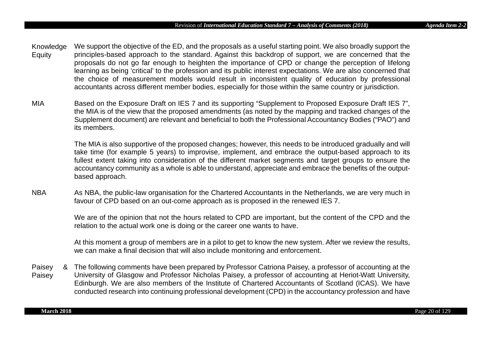- Knowledge **Equity** We support the objective of the ED, and the proposals as a useful starting point. We also broadly support the principles-based approach to the standard. Against this backdrop of support, we are concerned that the proposals do not go far enough to heighten the importance of CPD or change the perception of lifelong learning as being 'critical' to the profession and its public interest expectations. We are also concerned that the choice of measurement models would result in inconsistent quality of education by professional accountants across different member bodies, especially for those within the same country or jurisdiction.
- MIA Based on the Exposure Draft on IES 7 and its supporting "Supplement to Proposed Exposure Draft IES 7", the MIA is of the view that the proposed amendments (as noted by the mapping and tracked changes of the Supplement document) are relevant and beneficial to both the Professional Accountancy Bodies ("PAO") and its members.

The MIA is also supportive of the proposed changes; however, this needs to be introduced gradually and will take time (for example 5 years) to improvise, implement, and embrace the output-based approach to its fullest extent taking into consideration of the different market segments and target groups to ensure the accountancy community as a whole is able to understand, appreciate and embrace the benefits of the outputbased approach.

NBA As NBA, the public-law organisation for the Chartered Accountants in the Netherlands, we are very much in favour of CPD based on an out-come approach as is proposed in the renewed IES 7.

> We are of the opinion that not the hours related to CPD are important, but the content of the CPD and the relation to the actual work one is doing or the career one wants to have.

> At this moment a group of members are in a pilot to get to know the new system. After we review the results, we can make a final decision that will also include monitoring and enforcement.

Paisey Paisey The following comments have been prepared by Professor Catriona Paisey, a professor of accounting at the University of Glasgow and Professor Nicholas Paisey, a professor of accounting at Heriot-Watt University, Edinburgh. We are also members of the Institute of Chartered Accountants of Scotland (ICAS). We have conducted research into continuing professional development (CPD) in the accountancy profession and have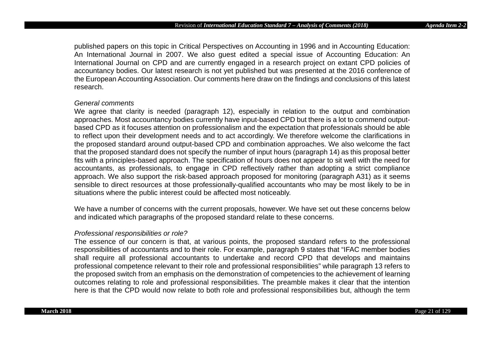published papers on this topic in Critical Perspectives on Accounting in 1996 and in Accounting Education: An International Journal in 2007. We also guest edited a special issue of Accounting Education: An International Journal on CPD and are currently engaged in a research project on extant CPD policies of accountancy bodies. Our latest research is not yet published but was presented at the 2016 conference of the European Accounting Association. Our comments here draw on the findings and conclusions of this latest research.

#### *General comments*

We agree that clarity is needed (paragraph 12), especially in relation to the output and combination approaches. Most accountancy bodies currently have input-based CPD but there is a lot to commend outputbased CPD as it focuses attention on professionalism and the expectation that professionals should be able to reflect upon their development needs and to act accordingly. We therefore welcome the clarifications in the proposed standard around output-based CPD and combination approaches. We also welcome the fact that the proposed standard does not specify the number of input hours (paragraph 14) as this proposal better fits with a principles-based approach. The specification of hours does not appear to sit well with the need for accountants, as professionals, to engage in CPD reflectively rather than adopting a strict compliance approach. We also support the risk-based approach proposed for monitoring (paragraph A31) as it seems sensible to direct resources at those professionally-qualified accountants who may be most likely to be in situations where the public interest could be affected most noticeably.

We have a number of concerns with the current proposals, however. We have set out these concerns below and indicated which paragraphs of the proposed standard relate to these concerns.

#### *Professional responsibilities or role?*

The essence of our concern is that, at various points, the proposed standard refers to the professional responsibilities of accountants and to their role. For example, paragraph 9 states that "IFAC member bodies shall require all professional accountants to undertake and record CPD that develops and maintains professional competence relevant to their role and professional responsibilities" while paragraph 13 refers to the proposed switch from an emphasis on the demonstration of competencies to the achievement of learning outcomes relating to role and professional responsibilities. The preamble makes it clear that the intention here is that the CPD would now relate to both role and professional responsibilities but, although the term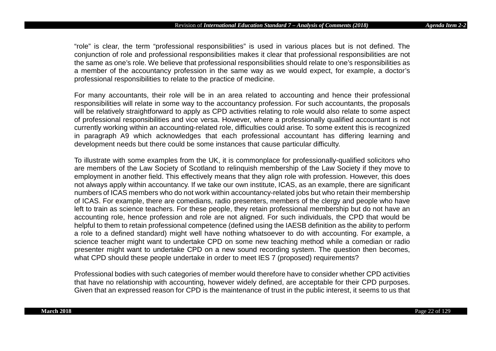"role" is clear, the term "professional responsibilities" is used in various places but is not defined. The conjunction of role and professional responsibilities makes it clear that professional responsibilities are not the same as one's role. We believe that professional responsibilities should relate to one's responsibilities as a member of the accountancy profession in the same way as we would expect, for example, a doctor's professional responsibilities to relate to the practice of medicine.

For many accountants, their role will be in an area related to accounting and hence their professional responsibilities will relate in some way to the accountancy profession. For such accountants, the proposals will be relatively straightforward to apply as CPD activities relating to role would also relate to some aspect of professional responsibilities and vice versa. However, where a professionally qualified accountant is not currently working within an accounting-related role, difficulties could arise. To some extent this is recognized in paragraph A9 which acknowledges that each professional accountant has differing learning and development needs but there could be some instances that cause particular difficulty.

To illustrate with some examples from the UK, it is commonplace for professionally-qualified solicitors who are members of the Law Society of Scotland to relinquish membership of the Law Society if they move to employment in another field. This effectively means that they align role with profession. However, this does not always apply within accountancy. If we take our own institute, ICAS, as an example, there are significant numbers of ICAS members who do not work within accountancy-related jobs but who retain their membership of ICAS. For example, there are comedians, radio presenters, members of the clergy and people who have left to train as science teachers. For these people, they retain professional membership but do not have an accounting role, hence profession and role are not aligned. For such individuals, the CPD that would be helpful to them to retain professional competence (defined using the IAESB definition as the ability to perform a role to a defined standard) might well have nothing whatsoever to do with accounting. For example, a science teacher might want to undertake CPD on some new teaching method while a comedian or radio presenter might want to undertake CPD on a new sound recording system. The question then becomes, what CPD should these people undertake in order to meet IES 7 (proposed) requirements?

Professional bodies with such categories of member would therefore have to consider whether CPD activities that have no relationship with accounting, however widely defined, are acceptable for their CPD purposes. Given that an expressed reason for CPD is the maintenance of trust in the public interest, it seems to us that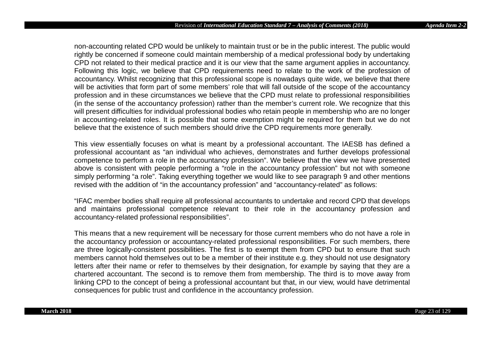non-accounting related CPD would be unlikely to maintain trust or be in the public interest. The public would rightly be concerned if someone could maintain membership of a medical professional body by undertaking CPD not related to their medical practice and it is our view that the same argument applies in accountancy. Following this logic, we believe that CPD requirements need to relate to the work of the profession of accountancy. Whilst recognizing that this professional scope is nowadays quite wide, we believe that there will be activities that form part of some members' role that will fall outside of the scope of the accountancy profession and in these circumstances we believe that the CPD must relate to professional responsibilities (in the sense of the accountancy profession) rather than the member's current role. We recognize that this will present difficulties for individual professional bodies who retain people in membership who are no longer in accounting-related roles. It is possible that some exemption might be required for them but we do not believe that the existence of such members should drive the CPD requirements more generally.

This view essentially focuses on what is meant by a professional accountant. The IAESB has defined a professional accountant as "an individual who achieves, demonstrates and further develops professional competence to perform a role in the accountancy profession". We believe that the view we have presented above is consistent with people performing a "role in the accountancy profession" but not with someone simply performing "a role". Taking everything together we would like to see paragraph 9 and other mentions revised with the addition of "in the accountancy profession" and "accountancy-related" as follows:

"IFAC member bodies shall require all professional accountants to undertake and record CPD that develops and maintains professional competence relevant to their role in the accountancy profession and accountancy-related professional responsibilities".

This means that a new requirement will be necessary for those current members who do not have a role in the accountancy profession or accountancy-related professional responsibilities. For such members, there are three logically-consistent possibilities. The first is to exempt them from CPD but to ensure that such members cannot hold themselves out to be a member of their institute e.g. they should not use designatory letters after their name or refer to themselves by their designation, for example by saying that they are a chartered accountant. The second is to remove them from membership. The third is to move away from linking CPD to the concept of being a professional accountant but that, in our view, would have detrimental consequences for public trust and confidence in the accountancy profession.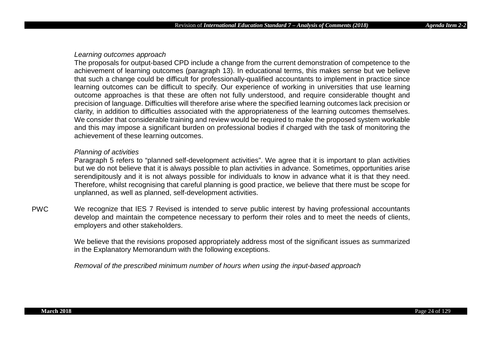#### *Learning outcomes approach*

The proposals for output-based CPD include a change from the current demonstration of competence to the achievement of learning outcomes (paragraph 13). In educational terms, this makes sense but we believe that such a change could be difficult for professionally-qualified accountants to implement in practice since learning outcomes can be difficult to specify. Our experience of working in universities that use learning outcome approaches is that these are often not fully understood, and require considerable thought and precision of language. Difficulties will therefore arise where the specified learning outcomes lack precision or clarity, in addition to difficulties associated with the appropriateness of the learning outcomes themselves. We consider that considerable training and review would be required to make the proposed system workable and this may impose a significant burden on professional bodies if charged with the task of monitoring the achievement of these learning outcomes.

# *Planning of activities*

Paragraph 5 refers to "planned self-development activities". We agree that it is important to plan activities but we do not believe that it is always possible to plan activities in advance. Sometimes, opportunities arise serendipitously and it is not always possible for individuals to know in advance what it is that they need. Therefore, whilst recognising that careful planning is good practice, we believe that there must be scope for unplanned, as well as planned, self-development activities.

PWC We recognize that IES 7 Revised is intended to serve public interest by having professional accountants develop and maintain the competence necessary to perform their roles and to meet the needs of clients, employers and other stakeholders.

> We believe that the revisions proposed appropriately address most of the significant issues as summarized in the Explanatory Memorandum with the following exceptions.

*Removal of the prescribed minimum number of hours when using the input-based approach*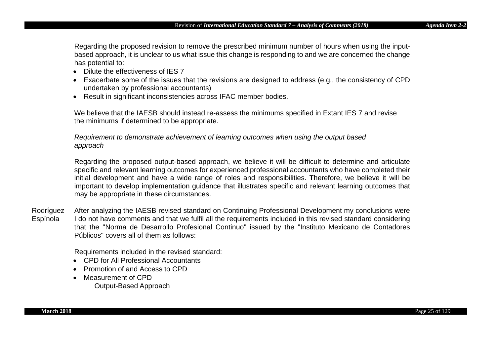Regarding the proposed revision to remove the prescribed minimum number of hours when using the inputbased approach, it is unclear to us what issue this change is responding to and we are concerned the change has potential to:

- Dilute the effectiveness of IES 7
- Exacerbate some of the issues that the revisions are designed to address (e.g., the consistency of CPD undertaken by professional accountants)
- Result in significant inconsistencies across IFAC member bodies.

We believe that the IAESB should instead re-assess the minimums specified in Extant IES 7 and revise the minimums if determined to be appropriate.

*Requirement to demonstrate achievement of learning outcomes when using the output based approach*

Regarding the proposed output-based approach, we believe it will be difficult to determine and articulate specific and relevant learning outcomes for experienced professional accountants who have completed their initial development and have a wide range of roles and responsibilities. Therefore, we believe it will be important to develop implementation guidance that illustrates specific and relevant learning outcomes that may be appropriate in these circumstances.

Rodríguez Espínola After analyzing the IAESB revised standard on Continuing Professional Development my conclusions were I do not have comments and that we fulfil all the requirements included in this revised standard considering that the "Norma de Desarrollo Profesional Continuo" issued by the "Instituto Mexicano de Contadores Públicos" covers all of them as follows:

Requirements included in the revised standard:

- CPD for All Professional Accountants
- Promotion of and Access to CPD
- Measurement of CPD Output-Based Approach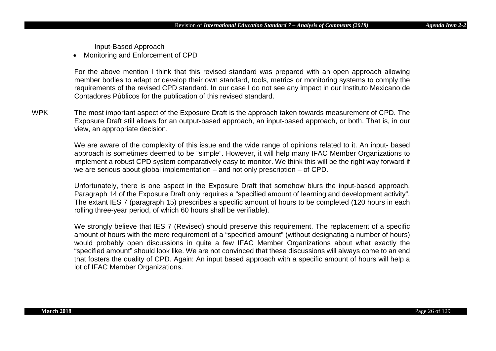Input-Based Approach

• Monitoring and Enforcement of CPD

For the above mention I think that this revised standard was prepared with an open approach allowing member bodies to adapt or develop their own standard, tools, metrics or monitoring systems to comply the requirements of the revised CPD standard. In our case I do not see any impact in our Instituto Mexicano de Contadores Públicos for the publication of this revised standard.

WPK The most important aspect of the Exposure Draft is the approach taken towards measurement of CPD. The Exposure Draft still allows for an output-based approach, an input-based approach, or both. That is, in our view, an appropriate decision.

> We are aware of the complexity of this issue and the wide range of opinions related to it. An input- based approach is sometimes deemed to be "simple". However, it will help many IFAC Member Organizations to implement a robust CPD system comparatively easy to monitor. We think this will be the right way forward if we are serious about global implementation – and not only prescription – of CPD.

> Unfortunately, there is one aspect in the Exposure Draft that somehow blurs the input-based approach. Paragraph 14 of the Exposure Draft only requires a "specified amount of learning and development activity". The extant IES 7 (paragraph 15) prescribes a specific amount of hours to be completed (120 hours in each rolling three-year period, of which 60 hours shall be verifiable).

> We strongly believe that IES 7 (Revised) should preserve this requirement. The replacement of a specific amount of hours with the mere requirement of a "specified amount" (without designating a number of hours) would probably open discussions in quite a few IFAC Member Organizations about what exactly the "specified amount" should look like. We are not convinced that these discussions will always come to an end that fosters the quality of CPD. Again: An input based approach with a specific amount of hours will help a lot of IFAC Member Organizations.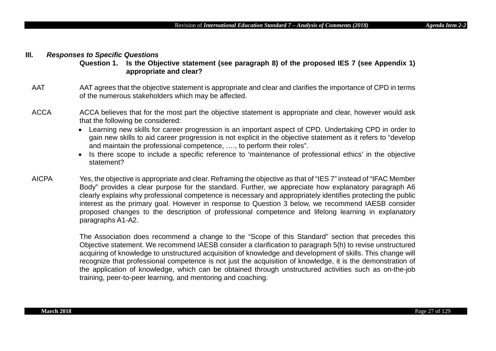#### **III***. Responses to Specific Questions*

**Question 1. Is the Objective statement (see paragraph 8) of the proposed IES 7 (see Appendix 1) appropriate and clear?**

- AAT AAT agrees that the objective statement is appropriate and clear and clarifies the importance of CPD in terms of the numerous stakeholders which may be affected.
- ACCA ACCA believes that for the most part the objective statement is appropriate and clear, however would ask that the following be considered:
	- Learning new skills for career progression is an important aspect of CPD. Undertaking CPD in order to gain new skills to aid career progression is not explicit in the objective statement as it refers to "develop and maintain the professional competence, …., to perform their roles".
	- Is there scope to include a specific reference to 'maintenance of professional ethics' in the objective statement?
- AICPA Yes, the objective is appropriate and clear. Reframing the objective as that of "IES 7" instead of "IFAC Member Body" provides a clear purpose for the standard. Further, we appreciate how explanatory paragraph A6 clearly explains why professional competence is necessary and appropriately identifies protecting the public interest as the primary goal. However in response to Question 3 below, we recommend IAESB consider proposed changes to the description of professional competence and lifelong learning in explanatory paragraphs A1-A2.

The Association does recommend a change to the "Scope of this Standard" section that precedes this Objective statement. We recommend IAESB consider a clarification to paragraph 5(h) to revise unstructured acquiring of knowledge to unstructured acquisition of knowledge and development of skills. This change will recognize that professional competence is not just the acquisition of knowledge, it is the demonstration of the application of knowledge, which can be obtained through unstructured activities such as on-the-job training, peer-to-peer learning, and mentoring and coaching.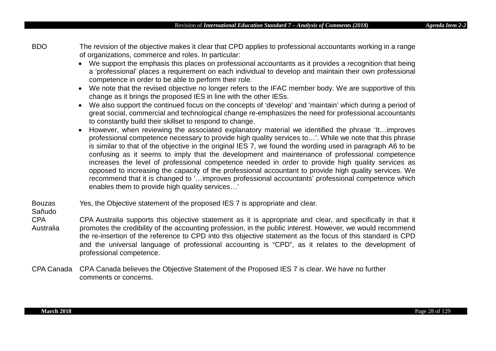BDO The revision of the objective makes it clear that CPD applies to professional accountants working in a range of organizations, commerce and roles. In particular:

- We support the emphasis this places on professional accountants as it provides a recognition that being a 'professional' places a requirement on each individual to develop and maintain their own professional competence in order to be able to perform their role.
- We note that the revised objective no longer refers to the IFAC member body. We are supportive of this change as it brings the proposed IES in line with the other IESs.
- We also support the continued focus on the concepts of 'develop' and 'maintain' which during a period of great social, commercial and technological change re-emphasizes the need for professional accountants to constantly build their skillset to respond to change.
- However, when reviewing the associated explanatory material we identified the phrase 'It...improves professional competence necessary to provide high quality services to…'. While we note that this phrase is similar to that of the objective in the original IES 7, we found the wording used in paragraph A6 to be confusing as it seems to imply that the development and maintenance of professional competence increases the level of professional competence needed in order to provide high quality services as opposed to increasing the capacity of the professional accountant to provide high quality services. We recommend that it is changed to '…improves professional accountants' professional competence which enables them to provide high quality services…'
- Bouzas Yes, the Objective statement of the proposed IES 7 is appropriate and clear.
- Sañudo
- CPA Australia CPA Australia supports this objective statement as it is appropriate and clear, and specifically in that it promotes the credibility of the accounting profession, in the public interest. However, we would recommend the re-insertion of the reference to CPD into this objective statement as the focus of this standard is CPD and the universal language of professional accounting is "CPD", as it relates to the development of professional competence.
- CPA Canada CPA Canada believes the Objective Statement of the Proposed IES 7 is clear. We have no further comments or concerns.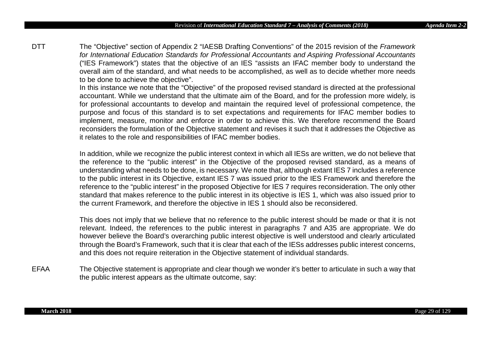DTT The "Objective" section of Appendix 2 "IAESB Drafting Conventions" of the 2015 revision of the *Framework for International Education Standards for Professional Accountants and Aspiring Professional Accountants* ("IES Framework") states that the objective of an IES "assists an IFAC member body to understand the overall aim of the standard, and what needs to be accomplished, as well as to decide whether more needs to be done to achieve the objective".

> In this instance we note that the "Objective" of the proposed revised standard is directed at the professional accountant. While we understand that the ultimate aim of the Board, and for the profession more widely, is for professional accountants to develop and maintain the required level of professional competence, the purpose and focus of this standard is to set expectations and requirements for IFAC member bodies to implement, measure, monitor and enforce in order to achieve this. We therefore recommend the Board reconsiders the formulation of the Objective statement and revises it such that it addresses the Objective as it relates to the role and responsibilities of IFAC member bodies.

> In addition, while we recognize the public interest context in which all IESs are written, we do not believe that the reference to the "public interest" in the Objective of the proposed revised standard, as a means of understanding what needs to be done, is necessary. We note that, although extant IES 7 includes a reference to the public interest in its Objective, extant IES 7 was issued prior to the IES Framework and therefore the reference to the "public interest" in the proposed Objective for IES 7 requires reconsideration. The only other standard that makes reference to the public interest in its objective is IES 1, which was also issued prior to the current Framework, and therefore the objective in IES 1 should also be reconsidered.

> This does not imply that we believe that no reference to the public interest should be made or that it is not relevant. Indeed, the references to the public interest in paragraphs 7 and A35 are appropriate. We do however believe the Board's overarching public interest objective is well understood and clearly articulated through the Board's Framework, such that it is clear that each of the IESs addresses public interest concerns, and this does not require reiteration in the Objective statement of individual standards.

EFAA The Objective statement is appropriate and clear though we wonder it's better to articulate in such a way that the public interest appears as the ultimate outcome, say: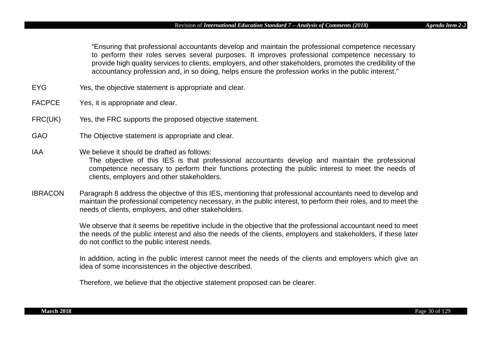"Ensuring that professional accountants develop and maintain the professional competence necessary to perform their roles serves several purposes. It improves professional competence necessary to provide high quality services to clients, employers, and other stakeholders, promotes the credibility of the accountancy profession and, in so doing, helps ensure the profession works in the public interest."

- EYG Yes, the objective statement is appropriate and clear.
- FACPCE Yes, it is appropriate and clear.
- FRC(UK) Yes, the FRC supports the proposed objective statement.
- GAO The Objective statement is appropriate and clear.
- IAA We believe it should be drafted as follows: The objective of this IES is that professional accountants develop and maintain the professional competence necessary to perform their functions protecting the public interest to meet the needs of clients, employers and other stakeholders.
- IBRACON Paragraph 8 address the objective of this IES, mentioning that professional accountants need to develop and maintain the professional competency necessary, in the public interest, to perform their roles, and to meet the needs of clients, employers, and other stakeholders.

We observe that it seems be repetitive include in the objective that the professional accountant need to meet the needs of the public interest and also the needs of the clients, employers and stakeholders, if these later do not conflict to the public interest needs.

In addition, acting in the public interest cannot meet the needs of the clients and employers which give an idea of some inconsistences in the objective described.

Therefore, we believe that the objective statement proposed can be clearer.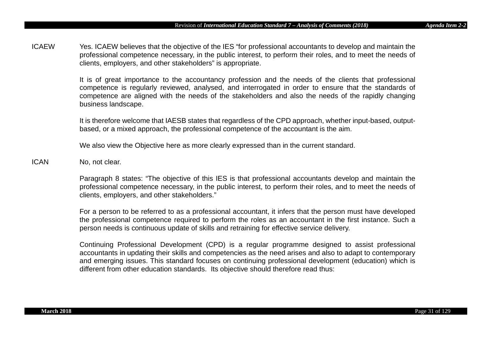ICAEW Yes. ICAEW believes that the objective of the IES "for professional accountants to develop and maintain the professional competence necessary, in the public interest, to perform their roles, and to meet the needs of clients, employers, and other stakeholders" is appropriate.

> It is of great importance to the accountancy profession and the needs of the clients that professional competence is regularly reviewed, analysed, and interrogated in order to ensure that the standards of competence are aligned with the needs of the stakeholders and also the needs of the rapidly changing business landscape.

> It is therefore welcome that IAESB states that regardless of the CPD approach, whether input-based, outputbased, or a mixed approach, the professional competence of the accountant is the aim.

We also view the Objective here as more clearly expressed than in the current standard.

ICAN No, not clear.

Paragraph 8 states: "The objective of this IES is that professional accountants develop and maintain the professional competence necessary, in the public interest, to perform their roles, and to meet the needs of clients, employers, and other stakeholders."

For a person to be referred to as a professional accountant, it infers that the person must have developed the professional competence required to perform the roles as an accountant in the first instance. Such a person needs is continuous update of skills and retraining for effective service delivery.

Continuing Professional Development (CPD) is a regular programme designed to assist professional accountants in updating their skills and competencies as the need arises and also to adapt to contemporary and emerging issues. This standard focuses on continuing professional development (education) which is different from other education standards. Its objective should therefore read thus: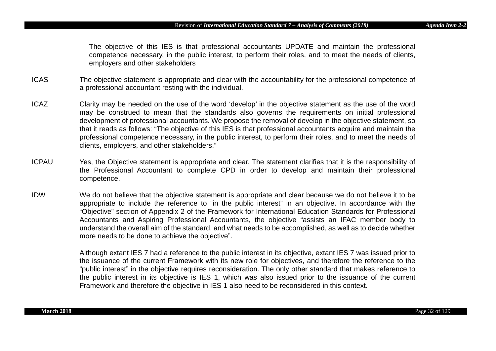The objective of this IES is that professional accountants UPDATE and maintain the professional competence necessary, in the public interest, to perform their roles, and to meet the needs of clients, employers and other stakeholders

- ICAS The objective statement is appropriate and clear with the accountability for the professional competence of a professional accountant resting with the individual.
- ICAZ Clarity may be needed on the use of the word 'develop' in the objective statement as the use of the word may be construed to mean that the standards also governs the requirements on initial professional development of professional accountants. We propose the removal of develop in the objective statement, so that it reads as follows: "The objective of this IES is that professional accountants acquire and maintain the professional competence necessary, in the public interest, to perform their roles, and to meet the needs of clients, employers, and other stakeholders."
- ICPAU Yes, the Objective statement is appropriate and clear. The statement clarifies that it is the responsibility of the Professional Accountant to complete CPD in order to develop and maintain their professional competence.
- IDW We do not believe that the objective statement is appropriate and clear because we do not believe it to be appropriate to include the reference to "in the public interest" in an objective. In accordance with the "Objective" section of Appendix 2 of the Framework for International Education Standards for Professional Accountants and Aspiring Professional Accountants, the objective "assists an IFAC member body to understand the overall aim of the standard, and what needs to be accomplished, as well as to decide whether more needs to be done to achieve the objective".

Although extant IES 7 had a reference to the public interest in its objective, extant IES 7 was issued prior to the issuance of the current Framework with its new role for objectives, and therefore the reference to the "public interest" in the objective requires reconsideration. The only other standard that makes reference to the public interest in its objective is IES 1, which was also issued prior to the issuance of the current Framework and therefore the objective in IES 1 also need to be reconsidered in this context.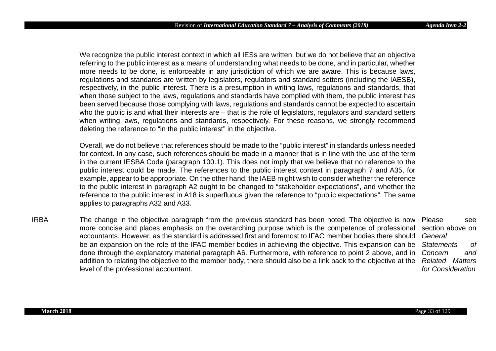We recognize the public interest context in which all IESs are written, but we do not believe that an objective referring to the public interest as a means of understanding what needs to be done, and in particular, whether more needs to be done, is enforceable in any jurisdiction of which we are aware. This is because laws, regulations and standards are written by legislators, regulators and standard setters (including the IAESB), respectively, in the public interest. There is a presumption in writing laws, regulations and standards, that when those subject to the laws, regulations and standards have complied with them, the public interest has been served because those complying with laws, regulations and standards cannot be expected to ascertain who the public is and what their interests are – that is the role of legislators, regulators and standard setters when writing laws, regulations and standards, respectively. For these reasons, we strongly recommend deleting the reference to "in the public interest" in the objective.

Overall, we do not believe that references should be made to the "public interest" in standards unless needed for context. In any case, such references should be made in a manner that is in line with the use of the term in the current IESBA Code (paragraph 100.1). This does not imply that we believe that no reference to the public interest could be made. The references to the public interest context in paragraph 7 and A35, for example, appear to be appropriate. On the other hand, the IAEB might wish to consider whether the reference to the public interest in paragraph A2 ought to be changed to "stakeholder expectations", and whether the reference to the public interest in A18 is superfluous given the reference to "public expectations". The same applies to paragraphs A32 and A33.

IRBA The change in the objective paragraph from the previous standard has been noted. The objective is now Please see more concise and places emphasis on the overarching purpose which is the competence of professional accountants. However, as the standard is addressed first and foremost to IFAC member bodies there should *General*  be an expansion on the role of the IFAC member bodies in achieving the objective. This expansion can be done through the explanatory material paragraph A6. Furthermore, with reference to point 2 above, and in addition to relating the objective to the member body, there should also be a link back to the objective at the level of the professional accountant. section above on *Statements of Concern and Related Matters for Consideration*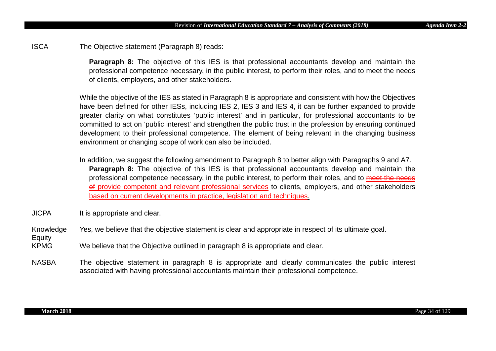ISCA The Objective statement (Paragraph 8) reads:

**Paragraph 8:** The objective of this IES is that professional accountants develop and maintain the professional competence necessary, in the public interest, to perform their roles, and to meet the needs of clients, employers, and other stakeholders.

While the objective of the IES as stated in Paragraph 8 is appropriate and consistent with how the Objectives have been defined for other IESs, including IES 2, IES 3 and IES 4, it can be further expanded to provide greater clarity on what constitutes 'public interest' and in particular, for professional accountants to be committed to act on 'public interest' and strengthen the public trust in the profession by ensuring continued development to their professional competence. The element of being relevant in the changing business environment or changing scope of work can also be included.

In addition, we suggest the following amendment to Paragraph 8 to better align with Paragraphs 9 and A7. **Paragraph 8:** The objective of this IES is that professional accountants develop and maintain the professional competence necessary, in the public interest, to perform their roles, and to meet the needs of provide competent and relevant professional services to clients, employers, and other stakeholders based on current developments in practice, legislation and techniques.

JICPA It is appropriate and clear.

Knowledge Yes, we believe that the objective statement is clear and appropriate in respect of its ultimate goal.

KPMG We believe that the Objective outlined in paragraph 8 is appropriate and clear.

NASBA The objective statement in paragraph 8 is appropriate and clearly communicates the public interest associated with having professional accountants maintain their professional competence.

Equity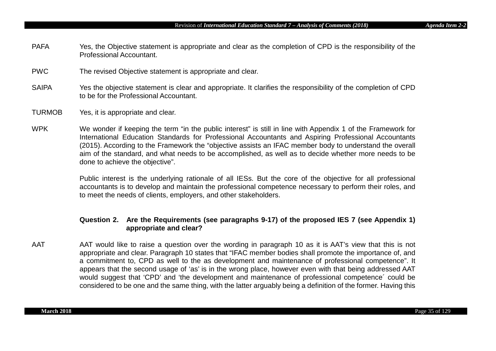- PAFA Yes, the Objective statement is appropriate and clear as the completion of CPD is the responsibility of the Professional Accountant.
- PWC The revised Objective statement is appropriate and clear.
- SAIPA Yes the objective statement is clear and appropriate. It clarifies the responsibility of the completion of CPD to be for the Professional Accountant.
- TURMOB Yes, it is appropriate and clear.
- WPK We wonder if keeping the term "in the public interest" is still in line with Appendix 1 of the Framework for International Education Standards for Professional Accountants and Aspiring Professional Accountants (2015). According to the Framework the "objective assists an IFAC member body to understand the overall aim of the standard, and what needs to be accomplished, as well as to decide whether more needs to be done to achieve the objective".

Public interest is the underlying rationale of all IESs. But the core of the objective for all professional accountants is to develop and maintain the professional competence necessary to perform their roles, and to meet the needs of clients, employers, and other stakeholders.

# **Question 2. Are the Requirements (see paragraphs 9-17) of the proposed IES 7 (see Appendix 1) appropriate and clear?**

AAT AAT would like to raise a question over the wording in paragraph 10 as it is AAT's view that this is not appropriate and clear. Paragraph 10 states that "IFAC member bodies shall promote the importance of, and a commitment to, CPD as well to the as development and maintenance of professional competence". It appears that the second usage of 'as' is in the wrong place, however even with that being addressed AAT would suggest that 'CPD' and 'the development and maintenance of professional competence´ could be considered to be one and the same thing, with the latter arguably being a definition of the former. Having this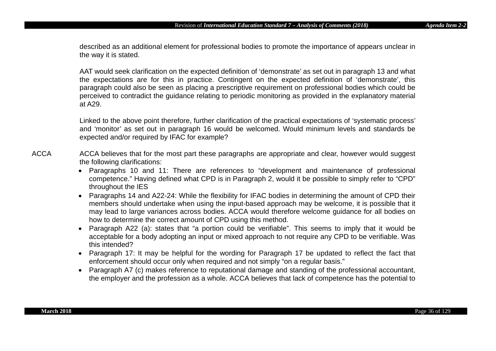described as an additional element for professional bodies to promote the importance of appears unclear in the way it is stated.

AAT would seek clarification on the expected definition of 'demonstrate' as set out in paragraph 13 and what the expectations are for this in practice. Contingent on the expected definition of 'demonstrate', this paragraph could also be seen as placing a prescriptive requirement on professional bodies which could be perceived to contradict the guidance relating to periodic monitoring as provided in the explanatory material at A29.

Linked to the above point therefore, further clarification of the practical expectations of 'systematic process' and 'monitor' as set out in paragraph 16 would be welcomed. Would minimum levels and standards be expected and/or required by IFAC for example?

- ACCA ACCA believes that for the most part these paragraphs are appropriate and clear, however would suggest the following clarifications:
	- Paragraphs 10 and 11: There are references to "development and maintenance of professional competence." Having defined what CPD is in Paragraph 2, would it be possible to simply refer to "CPD" throughout the IES
	- Paragraphs 14 and A22-24: While the flexibility for IFAC bodies in determining the amount of CPD their members should undertake when using the input-based approach may be welcome, it is possible that it may lead to large variances across bodies. ACCA would therefore welcome guidance for all bodies on how to determine the correct amount of CPD using this method.
	- Paragraph A22 (a): states that "a portion could be verifiable". This seems to imply that it would be acceptable for a body adopting an input or mixed approach to not require any CPD to be verifiable. Was this intended?
	- Paragraph 17: It may be helpful for the wording for Paragraph 17 be updated to reflect the fact that enforcement should occur only when required and not simply "on a regular basis."
	- Paragraph A7 (c) makes reference to reputational damage and standing of the professional accountant, the employer and the profession as a whole. ACCA believes that lack of competence has the potential to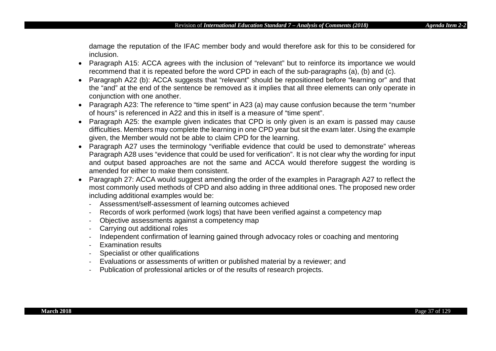damage the reputation of the IFAC member body and would therefore ask for this to be considered for inclusion.

- Paragraph A15: ACCA agrees with the inclusion of "relevant" but to reinforce its importance we would recommend that it is repeated before the word CPD in each of the sub-paragraphs (a), (b) and (c).
- Paragraph A22 (b): ACCA suggests that "relevant" should be repositioned before "learning or" and that the "and" at the end of the sentence be removed as it implies that all three elements can only operate in conjunction with one another.
- Paragraph A23: The reference to "time spent" in A23 (a) may cause confusion because the term "number of hours" is referenced in A22 and this in itself is a measure of "time spent".
- Paragraph A25: the example given indicates that CPD is only given is an exam is passed may cause difficulties. Members may complete the learning in one CPD year but sit the exam later. Using the example given, the Member would not be able to claim CPD for the learning.
- Paragraph A27 uses the terminology "verifiable evidence that could be used to demonstrate" whereas Paragraph A28 uses "evidence that could be used for verification". It is not clear why the wording for input and output based approaches are not the same and ACCA would therefore suggest the wording is amended for either to make them consistent.
- Paragraph 27: ACCA would suggest amending the order of the examples in Paragraph A27 to reflect the most commonly used methods of CPD and also adding in three additional ones. The proposed new order including additional examples would be:
	- Assessment/self-assessment of learning outcomes achieved
	- Records of work performed (work logs) that have been verified against a competency map
	- Objective assessments against a competency map
	- Carrying out additional roles
	- Independent confirmation of learning gained through advocacy roles or coaching and mentoring
	- Examination results
	- Specialist or other qualifications
	- Evaluations or assessments of written or published material by a reviewer; and
	- Publication of professional articles or of the results of research projects.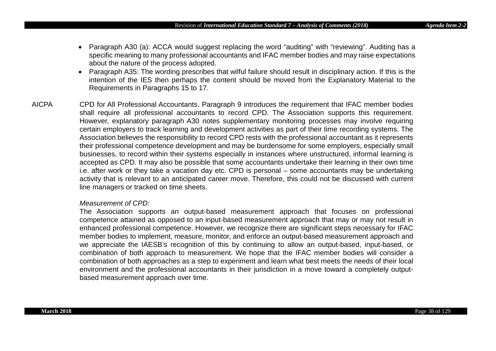- Paragraph A30 (a): ACCA would suggest replacing the word "auditing" with "reviewing". Auditing has a specific meaning to many professional accountants and IFAC member bodies and may raise expectations about the nature of the process adopted.
- Paragraph A35: The wording prescribes that wilful failure should result in disciplinary action. If this is the intention of the IES then perhaps the content should be moved from the Explanatory Material to the Requirements in Paragraphs 15 to 17.
- AICPA CPD for All Professional Accountants. Paragraph 9 introduces the requirement that IFAC member bodies shall require all professional accountants to record CPD. The Association supports this requirement. However, explanatory paragraph A30 notes supplementary monitoring processes may involve requiring certain employers to track learning and development activities as part of their time recording systems. The Association believes the responsibility to record CPD rests with the professional accountant as it represents their professional competence development and may be burdensome for some employers, especially small businesses, to record within their systems especially in instances where unstructured, informal learning is accepted as CPD. It may also be possible that some accountants undertake their learning in their own time i.e. after work or they take a vacation day etc. CPD is personal – some accountants may be undertaking activity that is relevant to an anticipated career move. Therefore, this could not be discussed with current line managers or tracked on time sheets.

## *Measurement of CPD:*

The Association supports an output-based measurement approach that focuses on professional competence attained as opposed to an input-based measurement approach that may or may not result in enhanced professional competence. However, we recognize there are significant steps necessary for IFAC member bodies to implement, measure, monitor, and enforce an output-based measurement approach and we appreciate the IAESB's recognition of this by continuing to allow an output-based, input-based, or combination of both approach to measurement. We hope that the IFAC member bodies will consider a combination of both approaches as a step to experiment and learn what best meets the needs of their local environment and the professional accountants in their jurisdiction in a move toward a completely outputbased measurement approach over time.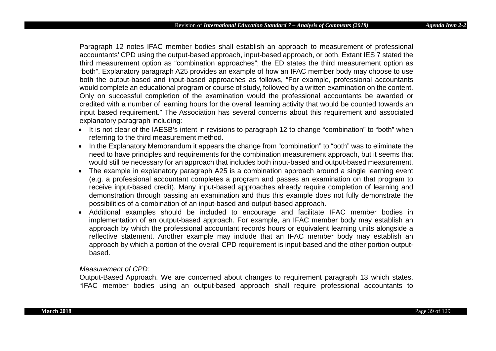Paragraph 12 notes IFAC member bodies shall establish an approach to measurement of professional accountants' CPD using the output-based approach, input-based approach, or both. Extant IES 7 stated the third measurement option as "combination approaches"; the ED states the third measurement option as "both". Explanatory paragraph A25 provides an example of how an IFAC member body may choose to use both the output-based and input-based approaches as follows, "For example, professional accountants would complete an educational program or course of study, followed by a written examination on the content. Only on successful completion of the examination would the professional accountants be awarded or credited with a number of learning hours for the overall learning activity that would be counted towards an input based requirement." The Association has several concerns about this requirement and associated explanatory paragraph including:

- It is not clear of the IAESB's intent in revisions to paragraph 12 to change "combination" to "both" when referring to the third measurement method.
- In the Explanatory Memorandum it appears the change from "combination" to "both" was to eliminate the need to have principles and requirements for the combination measurement approach, but it seems that would still be necessary for an approach that includes both input-based and output-based measurement.
- The example in explanatory paragraph A25 is a combination approach around a single learning event (e.g. a professional accountant completes a program and passes an examination on that program to receive input-based credit). Many input-based approaches already require completion of learning and demonstration through passing an examination and thus this example does not fully demonstrate the possibilities of a combination of an input-based and output-based approach.
- Additional examples should be included to encourage and facilitate IFAC member bodies in implementation of an output-based approach. For example, an IFAC member body may establish an approach by which the professional accountant records hours or equivalent learning units alongside a reflective statement. Another example may include that an IFAC member body may establish an approach by which a portion of the overall CPD requirement is input-based and the other portion outputbased.

#### *Measurement of CPD:*

Output-Based Approach. We are concerned about changes to requirement paragraph 13 which states, "IFAC member bodies using an output-based approach shall require professional accountants to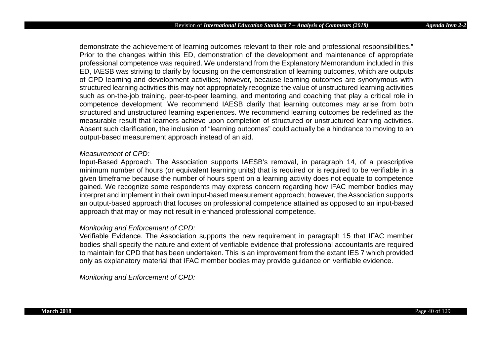demonstrate the achievement of learning outcomes relevant to their role and professional responsibilities." Prior to the changes within this ED, demonstration of the development and maintenance of appropriate professional competence was required. We understand from the Explanatory Memorandum included in this ED, IAESB was striving to clarify by focusing on the demonstration of learning outcomes, which are outputs of CPD learning and development activities; however, because learning outcomes are synonymous with structured learning activities this may not appropriately recognize the value of unstructured learning activities such as on-the-job training, peer-to-peer learning, and mentoring and coaching that play a critical role in competence development. We recommend IAESB clarify that learning outcomes may arise from both structured and unstructured learning experiences. We recommend learning outcomes be redefined as the measurable result that learners achieve upon completion of structured or unstructured learning activities. Absent such clarification, the inclusion of "learning outcomes" could actually be a hindrance to moving to an output-based measurement approach instead of an aid.

## *Measurement of CPD:*

Input-Based Approach. The Association supports IAESB's removal, in paragraph 14, of a prescriptive minimum number of hours (or equivalent learning units) that is required or is required to be verifiable in a given timeframe because the number of hours spent on a learning activity does not equate to competence gained. We recognize some respondents may express concern regarding how IFAC member bodies may interpret and implement in their own input-based measurement approach; however, the Association supports an output-based approach that focuses on professional competence attained as opposed to an input-based approach that may or may not result in enhanced professional competence.

## *Monitoring and Enforcement of CPD:*

Verifiable Evidence. The Association supports the new requirement in paragraph 15 that IFAC member bodies shall specify the nature and extent of verifiable evidence that professional accountants are required to maintain for CPD that has been undertaken. This is an improvement from the extant IES 7 which provided only as explanatory material that IFAC member bodies may provide guidance on verifiable evidence.

*Monitoring and Enforcement of CPD:*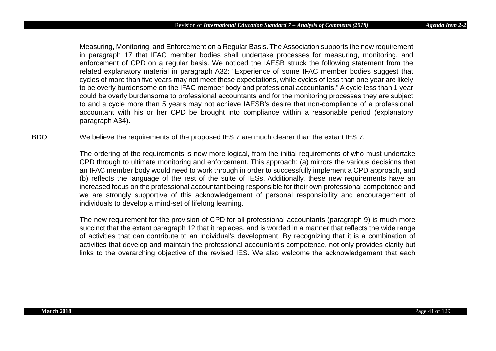Measuring, Monitoring, and Enforcement on a Regular Basis. The Association supports the new requirement in paragraph 17 that IFAC member bodies shall undertake processes for measuring, monitoring, and enforcement of CPD on a regular basis. We noticed the IAESB struck the following statement from the related explanatory material in paragraph A32: "Experience of some IFAC member bodies suggest that cycles of more than five years may not meet these expectations, while cycles of less than one year are likely to be overly burdensome on the IFAC member body and professional accountants." A cycle less than 1 year could be overly burdensome to professional accountants and for the monitoring processes they are subject to and a cycle more than 5 years may not achieve IAESB's desire that non-compliance of a professional accountant with his or her CPD be brought into compliance within a reasonable period (explanatory paragraph A34).

BDO We believe the requirements of the proposed IES 7 are much clearer than the extant IES 7.

The ordering of the requirements is now more logical, from the initial requirements of who must undertake CPD through to ultimate monitoring and enforcement. This approach: (a) mirrors the various decisions that an IFAC member body would need to work through in order to successfully implement a CPD approach, and (b) reflects the language of the rest of the suite of IESs. Additionally, these new requirements have an increased focus on the professional accountant being responsible for their own professional competence and we are strongly supportive of this acknowledgement of personal responsibility and encouragement of individuals to develop a mind-set of lifelong learning.

The new requirement for the provision of CPD for all professional accountants (paragraph 9) is much more succinct that the extant paragraph 12 that it replaces, and is worded in a manner that reflects the wide range of activities that can contribute to an individual's development. By recognizing that it is a combination of activities that develop and maintain the professional accountant's competence, not only provides clarity but links to the overarching objective of the revised IES. We also welcome the acknowledgement that each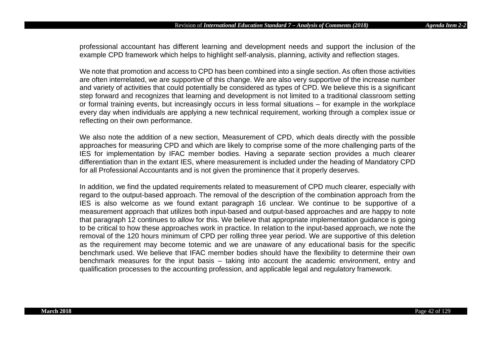professional accountant has different learning and development needs and support the inclusion of the example CPD framework which helps to highlight self-analysis, planning, activity and reflection stages.

We note that promotion and access to CPD has been combined into a single section. As often those activities are often interrelated, we are supportive of this change. We are also very supportive of the increase number and variety of activities that could potentially be considered as types of CPD. We believe this is a significant step forward and recognizes that learning and development is not limited to a traditional classroom setting or formal training events, but increasingly occurs in less formal situations – for example in the workplace every day when individuals are applying a new technical requirement, working through a complex issue or reflecting on their own performance.

We also note the addition of a new section, Measurement of CPD, which deals directly with the possible approaches for measuring CPD and which are likely to comprise some of the more challenging parts of the IES for implementation by IFAC member bodies. Having a separate section provides a much clearer differentiation than in the extant IES, where measurement is included under the heading of Mandatory CPD for all Professional Accountants and is not given the prominence that it properly deserves.

In addition, we find the updated requirements related to measurement of CPD much clearer, especially with regard to the output-based approach. The removal of the description of the combination approach from the IES is also welcome as we found extant paragraph 16 unclear. We continue to be supportive of a measurement approach that utilizes both input-based and output-based approaches and are happy to note that paragraph 12 continues to allow for this. We believe that appropriate implementation guidance is going to be critical to how these approaches work in practice. In relation to the input-based approach, we note the removal of the 120 hours minimum of CPD per rolling three year period. We are supportive of this deletion as the requirement may become totemic and we are unaware of any educational basis for the specific benchmark used. We believe that IFAC member bodies should have the flexibility to determine their own benchmark measures for the input basis – taking into account the academic environment, entry and qualification processes to the accounting profession, and applicable legal and regulatory framework.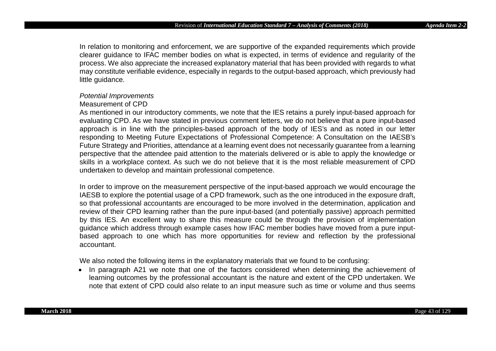In relation to monitoring and enforcement, we are supportive of the expanded requirements which provide clearer guidance to IFAC member bodies on what is expected, in terms of evidence and regularity of the process. We also appreciate the increased explanatory material that has been provided with regards to what may constitute verifiable evidence, especially in regards to the output-based approach, which previously had little guidance.

## *Potential Improvements*

## Measurement of CPD

As mentioned in our introductory comments, we note that the IES retains a purely input-based approach for evaluating CPD. As we have stated in previous comment letters, we do not believe that a pure input-based approach is in line with the principles-based approach of the body of IES's and as noted in our letter responding to Meeting Future Expectations of Professional Competence: A Consultation on the IAESB's Future Strategy and Priorities, attendance at a learning event does not necessarily guarantee from a learning perspective that the attendee paid attention to the materials delivered or is able to apply the knowledge or skills in a workplace context. As such we do not believe that it is the most reliable measurement of CPD undertaken to develop and maintain professional competence.

In order to improve on the measurement perspective of the input-based approach we would encourage the IAESB to explore the potential usage of a CPD framework, such as the one introduced in the exposure draft, so that professional accountants are encouraged to be more involved in the determination, application and review of their CPD learning rather than the pure input-based (and potentially passive) approach permitted by this IES. An excellent way to share this measure could be through the provision of implementation guidance which address through example cases how IFAC member bodies have moved from a pure inputbased approach to one which has more opportunities for review and reflection by the professional accountant.

We also noted the following items in the explanatory materials that we found to be confusing:

• In paragraph A21 we note that one of the factors considered when determining the achievement of learning outcomes by the professional accountant is the nature and extent of the CPD undertaken. We note that extent of CPD could also relate to an input measure such as time or volume and thus seems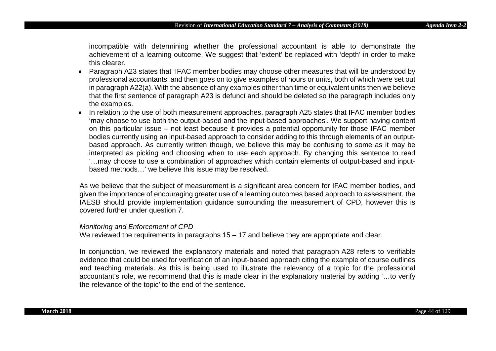incompatible with determining whether the professional accountant is able to demonstrate the achievement of a learning outcome. We suggest that 'extent' be replaced with 'depth' in order to make this clearer.

- Paragraph A23 states that 'IFAC member bodies may choose other measures that will be understood by professional accountants' and then goes on to give examples of hours or units, both of which were set out in paragraph A22(a). With the absence of any examples other than time or equivalent units then we believe that the first sentence of paragraph A23 is defunct and should be deleted so the paragraph includes only the examples.
- In relation to the use of both measurement approaches, paragraph A25 states that IFAC member bodies 'may choose to use both the output-based and the input-based approaches'. We support having content on this particular issue – not least because it provides a potential opportunity for those IFAC member bodies currently using an input-based approach to consider adding to this through elements of an outputbased approach. As currently written though, we believe this may be confusing to some as it may be interpreted as picking and choosing when to use each approach. By changing this sentence to read '…may choose to use a combination of approaches which contain elements of output-based and inputbased methods…' we believe this issue may be resolved.

As we believe that the subject of measurement is a significant area concern for IFAC member bodies, and given the importance of encouraging greater use of a learning outcomes based approach to assessment, the IAESB should provide implementation guidance surrounding the measurement of CPD, however this is covered further under question 7.

#### *Monitoring and Enforcement of CPD*

We reviewed the requirements in paragraphs 15 – 17 and believe they are appropriate and clear.

In conjunction, we reviewed the explanatory materials and noted that paragraph A28 refers to verifiable evidence that could be used for verification of an input-based approach citing the example of course outlines and teaching materials. As this is being used to illustrate the relevancy of a topic for the professional accountant's role, we recommend that this is made clear in the explanatory material by adding '…to verify the relevance of the topic' to the end of the sentence.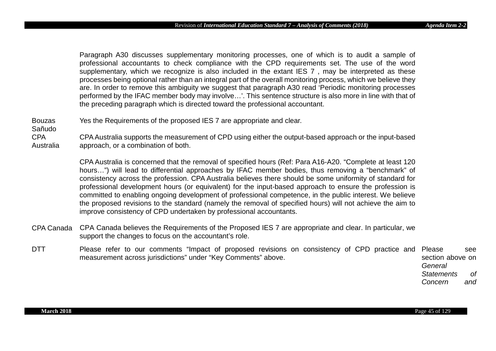Paragraph A30 discusses supplementary monitoring processes, one of which is to audit a sample of professional accountants to check compliance with the CPD requirements set. The use of the word supplementary, which we recognize is also included in the extant IES 7, may be interpreted as these processes being optional rather than an integral part of the overall monitoring process, which we believe they are. In order to remove this ambiguity we suggest that paragraph A30 read 'Periodic monitoring processes performed by the IFAC member body may involve…'. This sentence structure is also more in line with that of the preceding paragraph which is directed toward the professional accountant.

Bouzas Yes the Requirements of the proposed IES 7 are appropriate and clear.

CPA Australia CPA Australia supports the measurement of CPD using either the output-based approach or the input-based approach, or a combination of both.

> CPA Australia is concerned that the removal of specified hours (Ref: Para A16-A20. "Complete at least 120 hours…") will lead to differential approaches by IFAC member bodies, thus removing a "benchmark" of consistency across the profession. CPA Australia believes there should be some uniformity of standard for professional development hours (or equivalent) for the input-based approach to ensure the profession is committed to enabling ongoing development of professional competence, in the public interest. We believe the proposed revisions to the standard (namely the removal of specified hours) will not achieve the aim to improve consistency of CPD undertaken by professional accountants.

- CPA Canada CPA Canada believes the Requirements of the Proposed IES 7 are appropriate and clear. In particular, we support the changes to focus on the accountant's role.
- DTT Please refer to our comments "Impact of proposed revisions on consistency of CPD practice and Please see measurement across jurisdictions" under "Key Comments" above. section above on

*General Statements of Concern and* 

Sañudo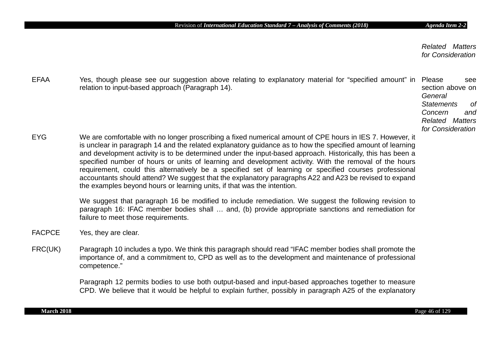*Related Matters for Consideration*

EFAA Yes, though please see our suggestion above relating to explanatory material for "specified amount" in Please see relation to input-based approach (Paragraph 14). section above on *General Statements of Concern and Related Matters for Consideration* EYG We are comfortable with no longer proscribing a fixed numerical amount of CPE hours in IES 7. However, it is unclear in paragraph 14 and the related explanatory guidance as to how the specified amount of learning and development activity is to be determined under the input-based approach. Historically, this has been a specified number of hours or units of learning and development activity. With the removal of the hours requirement, could this alternatively be a specified set of learning or specified courses professional accountants should attend? We suggest that the explanatory paragraphs A22 and A23 be revised to expand the examples beyond hours or learning units, if that was the intention. We suggest that paragraph 16 be modified to include remediation. We suggest the following revision to paragraph 16: IFAC member bodies shall … and, (b) provide appropriate sanctions and remediation for failure to meet those requirements.

- FACPCE Yes, they are clear.
- FRC(UK) Paragraph 10 includes a typo. We think this paragraph should read "IFAC member bodies shall promote the importance of, and a commitment to, CPD as well as to the development and maintenance of professional competence."

Paragraph 12 permits bodies to use both output-based and input-based approaches together to measure CPD. We believe that it would be helpful to explain further, possibly in paragraph A25 of the explanatory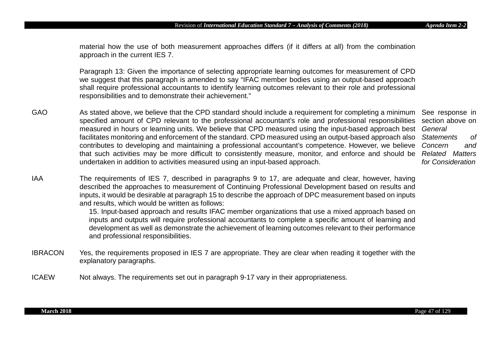material how the use of both measurement approaches differs (if it differs at all) from the combination approach in the current IES 7.

Paragraph 13: Given the importance of selecting appropriate learning outcomes for measurement of CPD we suggest that this paragraph is amended to say "IFAC member bodies using an output-based approach shall require professional accountants to identify learning outcomes relevant to their role and professional responsibilities and to demonstrate their achievement."

GAO As stated above, we believe that the CPD standard should include a requirement for completing a minimum See response in specified amount of CPD relevant to the professional accountant's role and professional responsibilities section above on measured in hours or learning units. We believe that CPD measured using the input-based approach best *General*  facilitates monitoring and enforcement of the standard. CPD measured using an output-based approach also contributes to developing and maintaining a professional accountant's competence. However, we believe *Concern and*  that such activities may be more difficult to consistently measure, monitor, and enforce and should be *Related Matters*  undertaken in addition to activities measured using an input-based approach.

*Statements of for Consideration*

IAA The requirements of IES 7, described in paragraphs 9 to 17, are adequate and clear, however, having described the approaches to measurement of Continuing Professional Development based on results and inputs, it would be desirable at paragraph 15 to describe the approach of DPC measurement based on inputs and results, which would be written as follows:

> 15. Input-based approach and results IFAC member organizations that use a mixed approach based on inputs and outputs will require professional accountants to complete a specific amount of learning and development as well as demonstrate the achievement of learning outcomes relevant to their performance and professional responsibilities.

- IBRACON Yes, the requirements proposed in IES 7 are appropriate. They are clear when reading it together with the explanatory paragraphs.
- ICAEW Not always. The requirements set out in paragraph 9-17 vary in their appropriateness.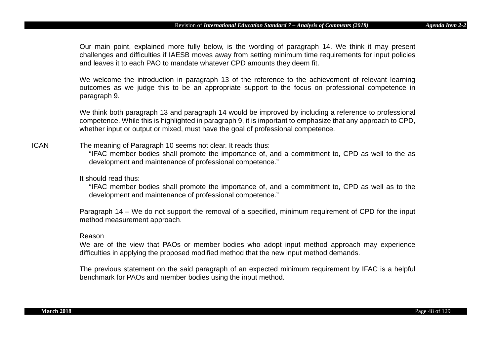Our main point, explained more fully below, is the wording of paragraph 14. We think it may present challenges and difficulties if IAESB moves away from setting minimum time requirements for input policies and leaves it to each PAO to mandate whatever CPD amounts they deem fit.

We welcome the introduction in paragraph 13 of the reference to the achievement of relevant learning outcomes as we judge this to be an appropriate support to the focus on professional competence in paragraph 9.

We think both paragraph 13 and paragraph 14 would be improved by including a reference to professional competence. While this is highlighted in paragraph 9, it is important to emphasize that any approach to CPD, whether input or output or mixed, must have the goal of professional competence.

# ICAN The meaning of Paragraph 10 seems not clear. It reads thus:

"IFAC member bodies shall promote the importance of, and a commitment to, CPD as well to the as development and maintenance of professional competence."

## It should read thus:

"IFAC member bodies shall promote the importance of, and a commitment to, CPD as well as to the development and maintenance of professional competence."

Paragraph 14 – We do not support the removal of a specified, minimum requirement of CPD for the input method measurement approach.

#### Reason

We are of the view that PAOs or member bodies who adopt input method approach may experience difficulties in applying the proposed modified method that the new input method demands.

The previous statement on the said paragraph of an expected minimum requirement by IFAC is a helpful benchmark for PAOs and member bodies using the input method.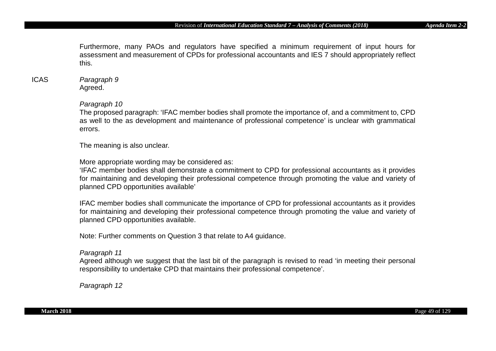Furthermore, many PAOs and regulators have specified a minimum requirement of input hours for assessment and measurement of CPDs for professional accountants and IES 7 should appropriately reflect this.

# ICAS *Paragraph 9* Agreed.

## *Paragraph 10*

The proposed paragraph: 'IFAC member bodies shall promote the importance of, and a commitment to, CPD as well to the as development and maintenance of professional competence' is unclear with grammatical errors.

The meaning is also unclear.

More appropriate wording may be considered as:

'IFAC member bodies shall demonstrate a commitment to CPD for professional accountants as it provides for maintaining and developing their professional competence through promoting the value and variety of planned CPD opportunities available'

IFAC member bodies shall communicate the importance of CPD for professional accountants as it provides for maintaining and developing their professional competence through promoting the value and variety of planned CPD opportunities available.

Note: Further comments on Question 3 that relate to A4 guidance.

## *Paragraph 11*

Agreed although we suggest that the last bit of the paragraph is revised to read 'in meeting their personal responsibility to undertake CPD that maintains their professional competence'.

*Paragraph 12*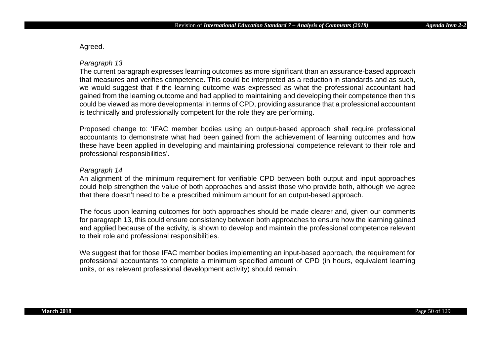Agreed.

# *Paragraph 13*

The current paragraph expresses learning outcomes as more significant than an assurance-based approach that measures and verifies competence. This could be interpreted as a reduction in standards and as such, we would suggest that if the learning outcome was expressed as what the professional accountant had gained from the learning outcome and had applied to maintaining and developing their competence then this could be viewed as more developmental in terms of CPD, providing assurance that a professional accountant is technically and professionally competent for the role they are performing.

Proposed change to: 'IFAC member bodies using an output-based approach shall require professional accountants to demonstrate what had been gained from the achievement of learning outcomes and how these have been applied in developing and maintaining professional competence relevant to their role and professional responsibilities'.

## *Paragraph 14*

An alignment of the minimum requirement for verifiable CPD between both output and input approaches could help strengthen the value of both approaches and assist those who provide both, although we agree that there doesn't need to be a prescribed minimum amount for an output-based approach.

The focus upon learning outcomes for both approaches should be made clearer and, given our comments for paragraph 13, this could ensure consistency between both approaches to ensure how the learning gained and applied because of the activity, is shown to develop and maintain the professional competence relevant to their role and professional responsibilities.

We suggest that for those IFAC member bodies implementing an input-based approach, the requirement for professional accountants to complete a minimum specified amount of CPD (in hours, equivalent learning units, or as relevant professional development activity) should remain.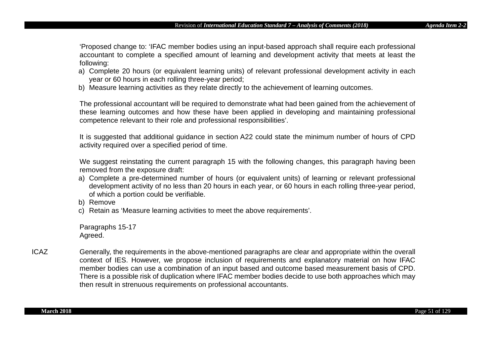'Proposed change to: 'IFAC member bodies using an input-based approach shall require each professional accountant to complete a specified amount of learning and development activity that meets at least the following:

- a) Complete 20 hours (or equivalent learning units) of relevant professional development activity in each year or 60 hours in each rolling three-year period;
- b) Measure learning activities as they relate directly to the achievement of learning outcomes.

The professional accountant will be required to demonstrate what had been gained from the achievement of these learning outcomes and how these have been applied in developing and maintaining professional competence relevant to their role and professional responsibilities'.

It is suggested that additional guidance in section A22 could state the minimum number of hours of CPD activity required over a specified period of time.

We suggest reinstating the current paragraph 15 with the following changes, this paragraph having been removed from the exposure draft:

- a) Complete a pre-determined number of hours (or equivalent units) of learning or relevant professional development activity of no less than 20 hours in each year, or 60 hours in each rolling three-year period, of which a portion could be verifiable.
- b) Remove
- c) Retain as 'Measure learning activities to meet the above requirements'.

Paragraphs 15-17 Agreed.

ICAZ Generally, the requirements in the above-mentioned paragraphs are clear and appropriate within the overall context of IES. However, we propose inclusion of requirements and explanatory material on how IFAC member bodies can use a combination of an input based and outcome based measurement basis of CPD. There is a possible risk of duplication where IFAC member bodies decide to use both approaches which may then result in strenuous requirements on professional accountants.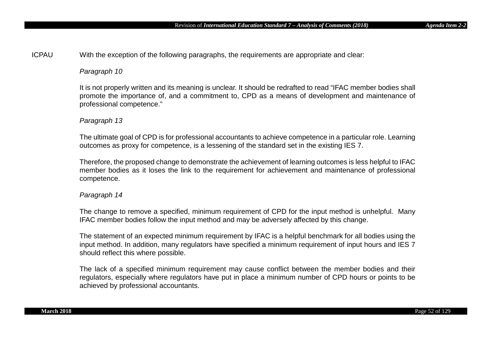ICPAU With the exception of the following paragraphs, the requirements are appropriate and clear:

# *Paragraph 10*

It is not properly written and its meaning is unclear. It should be redrafted to read "IFAC member bodies shall promote the importance of, and a commitment to, CPD as a means of development and maintenance of professional competence."

# *Paragraph 13*

The ultimate goal of CPD is for professional accountants to achieve competence in a particular role. Learning outcomes as proxy for competence, is a lessening of the standard set in the existing IES 7.

Therefore, the proposed change to demonstrate the achievement of learning outcomes is less helpful to IFAC member bodies as it loses the link to the requirement for achievement and maintenance of professional competence.

# *Paragraph 14*

The change to remove a specified, minimum requirement of CPD for the input method is unhelpful. Many IFAC member bodies follow the input method and may be adversely affected by this change.

The statement of an expected minimum requirement by IFAC is a helpful benchmark for all bodies using the input method. In addition, many regulators have specified a minimum requirement of input hours and IES 7 should reflect this where possible.

The lack of a specified minimum requirement may cause conflict between the member bodies and their regulators, especially where regulators have put in place a minimum number of CPD hours or points to be achieved by professional accountants.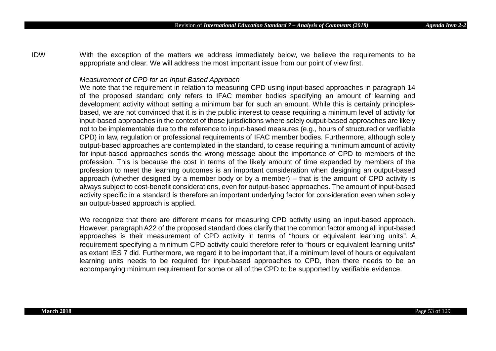IDW With the exception of the matters we address immediately below, we believe the requirements to be appropriate and clear. We will address the most important issue from our point of view first.

#### *Measurement of CPD for an Input-Based Approach*

We note that the requirement in relation to measuring CPD using input-based approaches in paragraph 14 of the proposed standard only refers to IFAC member bodies specifying an amount of learning and development activity without setting a minimum bar for such an amount. While this is certainly principlesbased, we are not convinced that it is in the public interest to cease requiring a minimum level of activity for input-based approaches in the context of those jurisdictions where solely output-based approaches are likely not to be implementable due to the reference to input-based measures (e.g., hours of structured or verifiable CPD) in law, regulation or professional requirements of IFAC member bodies. Furthermore, although solely output-based approaches are contemplated in the standard, to cease requiring a minimum amount of activity for input-based approaches sends the wrong message about the importance of CPD to members of the profession. This is because the cost in terms of the likely amount of time expended by members of the profession to meet the learning outcomes is an important consideration when designing an output-based approach (whether designed by a member body or by a member) – that is the amount of CPD activity is always subject to cost-benefit considerations, even for output-based approaches. The amount of input-based activity specific in a standard is therefore an important underlying factor for consideration even when solely an output-based approach is applied.

We recognize that there are different means for measuring CPD activity using an input-based approach. However, paragraph A22 of the proposed standard does clarify that the common factor among all input-based approaches is their measurement of CPD activity in terms of "hours or equivalent learning units". A requirement specifying a minimum CPD activity could therefore refer to "hours or equivalent learning units" as extant IES 7 did. Furthermore, we regard it to be important that, if a minimum level of hours or equivalent learning units needs to be required for input-based approaches to CPD, then there needs to be an accompanying minimum requirement for some or all of the CPD to be supported by verifiable evidence.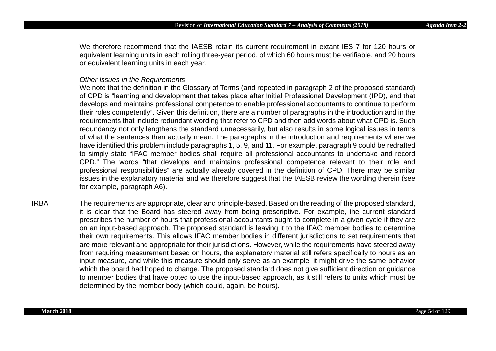We therefore recommend that the IAESB retain its current requirement in extant IES 7 for 120 hours or equivalent learning units in each rolling three-year period, of which 60 hours must be verifiable, and 20 hours or equivalent learning units in each year.

#### *Other Issues in the Requirements*

We note that the definition in the Glossary of Terms (and repeated in paragraph 2 of the proposed standard) of CPD is "learning and development that takes place after Initial Professional Development (IPD), and that develops and maintains professional competence to enable professional accountants to continue to perform their roles competently". Given this definition, there are a number of paragraphs in the introduction and in the requirements that include redundant wording that refer to CPD and then add words about what CPD is. Such redundancy not only lengthens the standard unnecessarily, but also results in some logical issues in terms of what the sentences then actually mean. The paragraphs in the introduction and requirements where we have identified this problem include paragraphs 1, 5, 9, and 11. For example, paragraph 9 could be redrafted to simply state "IFAC member bodies shall require all professional accountants to undertake and record CPD." The words "that develops and maintains professional competence relevant to their role and professional responsibilities" are actually already covered in the definition of CPD. There may be similar issues in the explanatory material and we therefore suggest that the IAESB review the wording therein (see for example, paragraph A6).

IRBA The requirements are appropriate, clear and principle-based. Based on the reading of the proposed standard, it is clear that the Board has steered away from being prescriptive. For example, the current standard prescribes the number of hours that professional accountants ought to complete in a given cycle if they are on an input-based approach. The proposed standard is leaving it to the IFAC member bodies to determine their own requirements. This allows IFAC member bodies in different jurisdictions to set requirements that are more relevant and appropriate for their jurisdictions. However, while the requirements have steered away from requiring measurement based on hours, the explanatory material still refers specifically to hours as an input measure, and while this measure should only serve as an example, it might drive the same behavior which the board had hoped to change. The proposed standard does not give sufficient direction or guidance to member bodies that have opted to use the input-based approach, as it still refers to units which must be determined by the member body (which could, again, be hours).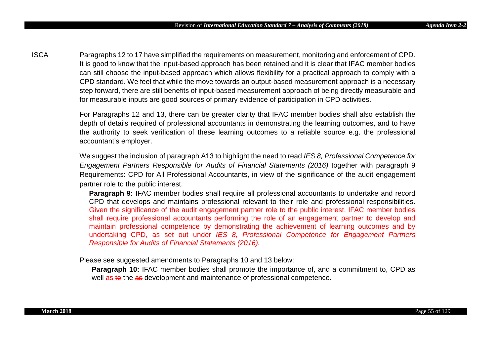ISCA Paragraphs 12 to 17 have simplified the requirements on measurement, monitoring and enforcement of CPD. It is good to know that the input-based approach has been retained and it is clear that IFAC member bodies can still choose the input-based approach which allows flexibility for a practical approach to comply with a CPD standard. We feel that while the move towards an output-based measurement approach is a necessary step forward, there are still benefits of input-based measurement approach of being directly measurable and for measurable inputs are good sources of primary evidence of participation in CPD activities.

> For Paragraphs 12 and 13, there can be greater clarity that IFAC member bodies shall also establish the depth of details required of professional accountants in demonstrating the learning outcomes, and to have the authority to seek verification of these learning outcomes to a reliable source e.g. the professional accountant's employer.

> We suggest the inclusion of paragraph A13 to highlight the need to read *IES 8, Professional Competence for Engagement Partners Responsible for Audits of Financial Statements (2016)* together with paragraph 9 Requirements: CPD for All Professional Accountants, in view of the significance of the audit engagement partner role to the public interest.

**Paragraph 9: IFAC** member bodies shall require all professional accountants to undertake and record CPD that develops and maintains professional relevant to their role and professional responsibilities. Given the significance of the audit engagement partner role to the public interest, IFAC member bodies shall require professional accountants performing the role of an engagement partner to develop and maintain professional competence by demonstrating the achievement of learning outcomes and by undertaking CPD, as set out under *IES 8, Professional Competence for Engagement Partners Responsible for Audits of Financial Statements (2016).*

Please see suggested amendments to Paragraphs 10 and 13 below:

**Paragraph 10:** IFAC member bodies shall promote the importance of, and a commitment to, CPD as well as to the as development and maintenance of professional competence.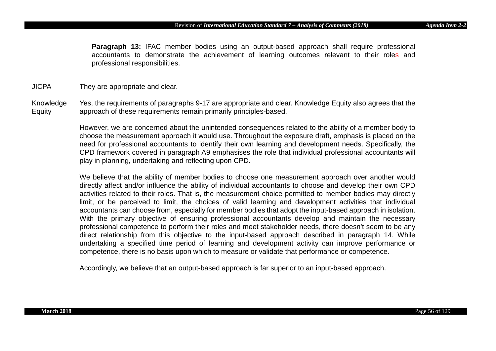**Paragraph 13:** IFAC member bodies using an output-based approach shall require professional accountants to demonstrate the achievement of learning outcomes relevant to their roles and professional responsibilities.

JICPA They are appropriate and clear.

Knowledge Equity Yes, the requirements of paragraphs 9-17 are appropriate and clear. Knowledge Equity also agrees that the approach of these requirements remain primarily principles-based.

> However, we are concerned about the unintended consequences related to the ability of a member body to choose the measurement approach it would use. Throughout the exposure draft, emphasis is placed on the need for professional accountants to identify their own learning and development needs. Specifically, the CPD framework covered in paragraph A9 emphasises the role that individual professional accountants will play in planning, undertaking and reflecting upon CPD.

> We believe that the ability of member bodies to choose one measurement approach over another would directly affect and/or influence the ability of individual accountants to choose and develop their own CPD activities related to their roles. That is, the measurement choice permitted to member bodies may directly limit, or be perceived to limit, the choices of valid learning and development activities that individual accountants can choose from, especially for member bodies that adopt the input-based approach in isolation. With the primary objective of ensuring professional accountants develop and maintain the necessary professional competence to perform their roles and meet stakeholder needs, there doesn't seem to be any direct relationship from this objective to the input-based approach described in paragraph 14. While undertaking a specified time period of learning and development activity can improve performance or competence, there is no basis upon which to measure or validate that performance or competence.

Accordingly, we believe that an output-based approach is far superior to an input-based approach.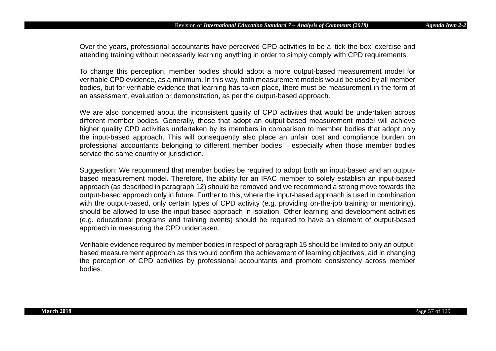Over the years, professional accountants have perceived CPD activities to be a 'tick-the-box' exercise and attending training without necessarily learning anything in order to simply comply with CPD requirements.

To change this perception, member bodies should adopt a more output-based measurement model for verifiable CPD evidence, as a minimum. In this way, both measurement models would be used by all member bodies, but for verifiable evidence that learning has taken place, there must be measurement in the form of an assessment, evaluation or demonstration, as per the output-based approach.

We are also concerned about the inconsistent quality of CPD activities that would be undertaken across different member bodies. Generally, those that adopt an output-based measurement model will achieve higher quality CPD activities undertaken by its members in comparison to member bodies that adopt only the input-based approach. This will consequently also place an unfair cost and compliance burden on professional accountants belonging to different member bodies – especially when those member bodies service the same country or jurisdiction.

Suggestion: We recommend that member bodies be required to adopt both an input-based and an outputbased measurement model. Therefore, the ability for an IFAC member to solely establish an input-based approach (as described in paragraph 12) should be removed and we recommend a strong move towards the output-based approach only in future. Further to this, where the input-based approach is used in combination with the output-based, only certain types of CPD activity (e.g. providing on-the-job training or mentoring), should be allowed to use the input-based approach in isolation. Other learning and development activities (e.g. educational programs and training events) should be required to have an element of output-based approach in measuring the CPD undertaken.

Verifiable evidence required by member bodies in respect of paragraph 15 should be limited to only an outputbased measurement approach as this would confirm the achievement of learning objectives, aid in changing the perception of CPD activities by professional accountants and promote consistency across member bodies.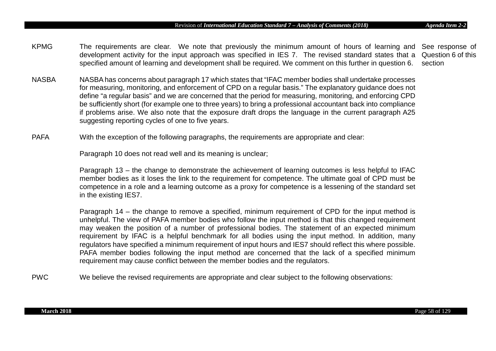- KPMG The requirements are clear. We note that previously the minimum amount of hours of learning and See response of development activity for the input approach was specified in IES 7. The revised standard states that a Question 6 of this specified amount of learning and development shall be required. We comment on this further in question 6. section
- NASBA NASBA has concerns about paragraph 17 which states that "IFAC member bodies shall undertake processes for measuring, monitoring, and enforcement of CPD on a regular basis." The explanatory guidance does not define "a regular basis" and we are concerned that the period for measuring, monitoring, and enforcing CPD be sufficiently short (for example one to three years) to bring a professional accountant back into compliance if problems arise. We also note that the exposure draft drops the language in the current paragraph A25 suggesting reporting cycles of one to five years.
- PAFA With the exception of the following paragraphs, the requirements are appropriate and clear:

Paragraph 10 does not read well and its meaning is unclear;

Paragraph 13 – the change to demonstrate the achievement of learning outcomes is less helpful to IFAC member bodies as it loses the link to the requirement for competence. The ultimate goal of CPD must be competence in a role and a learning outcome as a proxy for competence is a lessening of the standard set in the existing IES7.

Paragraph 14 – the change to remove a specified, minimum requirement of CPD for the input method is unhelpful. The view of PAFA member bodies who follow the input method is that this changed requirement may weaken the position of a number of professional bodies. The statement of an expected minimum requirement by IFAC is a helpful benchmark for all bodies using the input method. In addition, many regulators have specified a minimum requirement of input hours and IES7 should reflect this where possible. PAFA member bodies following the input method are concerned that the lack of a specified minimum requirement may cause conflict between the member bodies and the regulators.

PWC We believe the revised requirements are appropriate and clear subject to the following observations: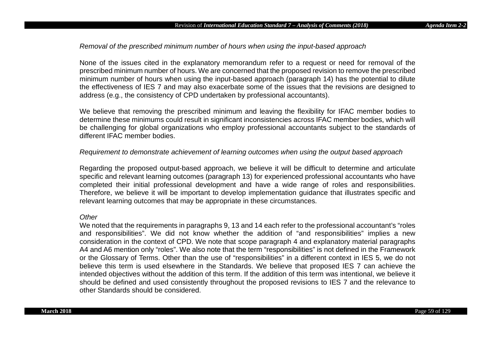# *Removal of the prescribed minimum number of hours when using the input-based approach*

None of the issues cited in the explanatory memorandum refer to a request or need for removal of the prescribed minimum number of hours. We are concerned that the proposed revision to remove the prescribed minimum number of hours when using the input-based approach (paragraph 14) has the potential to dilute the effectiveness of IES 7 and may also exacerbate some of the issues that the revisions are designed to address (e.g., the consistency of CPD undertaken by professional accountants).

We believe that removing the prescribed minimum and leaving the flexibility for IFAC member bodies to determine these minimums could result in significant inconsistencies across IFAC member bodies, which will be challenging for global organizations who employ professional accountants subject to the standards of different IFAC member bodies.

# *Requirement to demonstrate achievement of learning outcomes when using the output based approach*

Regarding the proposed output-based approach, we believe it will be difficult to determine and articulate specific and relevant learning outcomes (paragraph 13) for experienced professional accountants who have completed their initial professional development and have a wide range of roles and responsibilities. Therefore, we believe it will be important to develop implementation guidance that illustrates specific and relevant learning outcomes that may be appropriate in these circumstances.

#### *Other*

We noted that the requirements in paragraphs 9, 13 and 14 each refer to the professional accountant's "roles and responsibilities". We did not know whether the addition of "and responsibilities" implies a new consideration in the context of CPD. We note that scope paragraph 4 and explanatory material paragraphs A4 and A6 mention only "roles". We also note that the term "responsibilities" is not defined in the Framework or the Glossary of Terms. Other than the use of "responsibilities" in a different context in IES 5, we do not believe this term is used elsewhere in the Standards. We believe that proposed IES 7 can achieve the intended objectives without the addition of this term. If the addition of this term was intentional, we believe it should be defined and used consistently throughout the proposed revisions to IES 7 and the relevance to other Standards should be considered.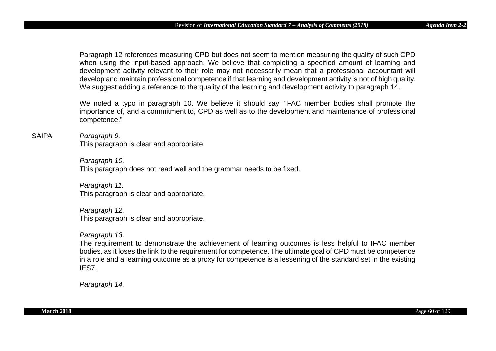Paragraph 12 references measuring CPD but does not seem to mention measuring the quality of such CPD when using the input-based approach. We believe that completing a specified amount of learning and development activity relevant to their role may not necessarily mean that a professional accountant will develop and maintain professional competence if that learning and development activity is not of high quality. We suggest adding a reference to the quality of the learning and development activity to paragraph 14.

We noted a typo in paragraph 10. We believe it should say "IFAC member bodies shall promote the importance of, and a commitment to, CPD as well as to the development and maintenance of professional competence."

#### SAIPA *Paragraph 9.*

This paragraph is clear and appropriate

*Paragraph 10.* This paragraph does not read well and the grammar needs to be fixed.

*Paragraph 11.*  This paragraph is clear and appropriate.

*Paragraph 12.*  This paragraph is clear and appropriate.

# *Paragraph 13.*

The requirement to demonstrate the achievement of learning outcomes is less helpful to IFAC member bodies, as it loses the link to the requirement for competence. The ultimate goal of CPD must be competence in a role and a learning outcome as a proxy for competence is a lessening of the standard set in the existing IES7.

*Paragraph 14.*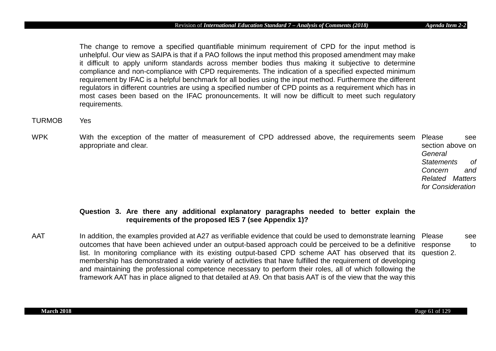The change to remove a specified quantifiable minimum requirement of CPD for the input method is unhelpful. Our view as SAIPA is that if a PAO follows the input method this proposed amendment may make it difficult to apply uniform standards across member bodies thus making it subjective to determine compliance and non-compliance with CPD requirements. The indication of a specified expected minimum requirement by IFAC is a helpful benchmark for all bodies using the input method. Furthermore the different regulators in different countries are using a specified number of CPD points as a requirement which has in most cases been based on the IFAC pronouncements. It will now be difficult to meet such regulatory requirements.

# TURMOB Yes

WPK With the exception of the matter of measurement of CPD addressed above, the requirements seem Please see appropriate and clear. section above on

*General Statements of Concern and Related Matters for Consideration*

# **Question 3. Are there any additional explanatory paragraphs needed to better explain the requirements of the proposed IES 7 (see Appendix 1)?**

AAT Shand addition, the examples provided at A27 as verifiable evidence that could be used to demonstrate learning SPlease see outcomes that have been achieved under an output-based approach could be perceived to be a definitive response to list. In monitoring compliance with its existing output-based CPD scheme AAT has observed that its membership has demonstrated a wide variety of activities that have fulfilled the requirement of developing and maintaining the professional competence necessary to perform their roles, all of which following the framework AAT has in place aligned to that detailed at A9. On that basis AAT is of the view that the way this question 2.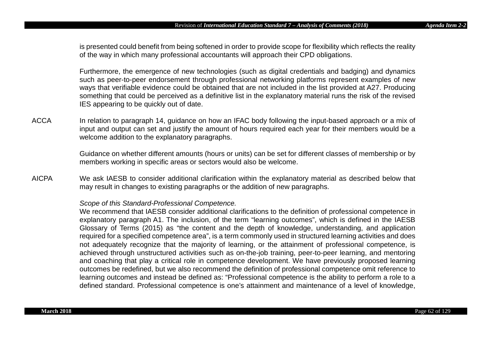is presented could benefit from being softened in order to provide scope for flexibility which reflects the reality of the way in which many professional accountants will approach their CPD obligations.

Furthermore, the emergence of new technologies (such as digital credentials and badging) and dynamics such as peer-to-peer endorsement through professional networking platforms represent examples of new ways that verifiable evidence could be obtained that are not included in the list provided at A27. Producing something that could be perceived as a definitive list in the explanatory material runs the risk of the revised IES appearing to be quickly out of date.

ACCA In relation to paragraph 14, guidance on how an IFAC body following the input-based approach or a mix of input and output can set and justify the amount of hours required each year for their members would be a welcome addition to the explanatory paragraphs.

> Guidance on whether different amounts (hours or units) can be set for different classes of membership or by members working in specific areas or sectors would also be welcome.

AICPA We ask IAESB to consider additional clarification within the explanatory material as described below that may result in changes to existing paragraphs or the addition of new paragraphs.

#### *Scope of this Standard-Professional Competence.*

We recommend that IAESB consider additional clarifications to the definition of professional competence in explanatory paragraph A1. The inclusion, of the term "learning outcomes", which is defined in the IAESB Glossary of Terms (2015) as "the content and the depth of knowledge, understanding, and application required for a specified competence area", is a term commonly used in structured learning activities and does not adequately recognize that the majority of learning, or the attainment of professional competence, is achieved through unstructured activities such as on-the-job training, peer-to-peer learning, and mentoring and coaching that play a critical role in competence development. We have previously proposed learning outcomes be redefined, but we also recommend the definition of professional competence omit reference to learning outcomes and instead be defined as: "Professional competence is the ability to perform a role to a defined standard. Professional competence is one's attainment and maintenance of a level of knowledge,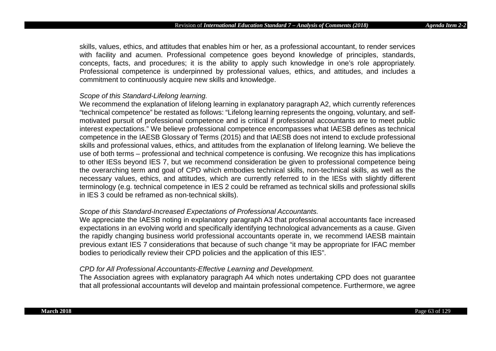skills, values, ethics, and attitudes that enables him or her, as a professional accountant, to render services with facility and acumen. Professional competence goes beyond knowledge of principles, standards, concepts, facts, and procedures; it is the ability to apply such knowledge in one's role appropriately. Professional competence is underpinned by professional values, ethics, and attitudes, and includes a commitment to continuously acquire new skills and knowledge.

## *Scope of this Standard-Lifelong learning.*

We recommend the explanation of lifelong learning in explanatory paragraph A2, which currently references "technical competence" be restated as follows: "Lifelong learning represents the ongoing, voluntary, and selfmotivated pursuit of professional competence and is critical if professional accountants are to meet public interest expectations." We believe professional competence encompasses what IAESB defines as technical competence in the IAESB Glossary of Terms (2015) and that IAESB does not intend to exclude professional skills and professional values, ethics, and attitudes from the explanation of lifelong learning. We believe the use of both terms – professional and technical competence is confusing. We recognize this has implications to other IESs beyond IES 7, but we recommend consideration be given to professional competence being the overarching term and goal of CPD which embodies technical skills, non-technical skills, as well as the necessary values, ethics, and attitudes, which are currently referred to in the IESs with slightly different terminology (e.g. technical competence in IES 2 could be reframed as technical skills and professional skills in IES 3 could be reframed as non-technical skills).

#### *Scope of this Standard-Increased Expectations of Professional Accountants.*

We appreciate the IAESB noting in explanatory paragraph A3 that professional accountants face increased expectations in an evolving world and specifically identifying technological advancements as a cause. Given the rapidly changing business world professional accountants operate in, we recommend IAESB maintain previous extant IES 7 considerations that because of such change "it may be appropriate for IFAC member bodies to periodically review their CPD policies and the application of this IES".

### *CPD for All Professional Accountants-Effective Learning and Development.*

The Association agrees with explanatory paragraph A4 which notes undertaking CPD does not guarantee that all professional accountants will develop and maintain professional competence. Furthermore, we agree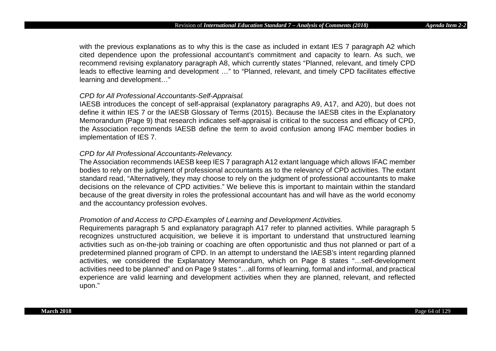with the previous explanations as to why this is the case as included in extant IES 7 paragraph A2 which cited dependence upon the professional accountant's commitment and capacity to learn. As such, we recommend revising explanatory paragraph A8, which currently states "Planned, relevant, and timely CPD leads to effective learning and development …" to "Planned, relevant, and timely CPD facilitates effective learning and development…"

## *CPD for All Professional Accountants-Self-Appraisal.*

IAESB introduces the concept of self-appraisal (explanatory paragraphs A9, A17, and A20), but does not define it within IES 7 or the IAESB Glossary of Terms (2015). Because the IAESB cites in the Explanatory Memorandum (Page 9) that research indicates self-appraisal is critical to the success and efficacy of CPD, the Association recommends IAESB define the term to avoid confusion among IFAC member bodies in implementation of IES 7.

## *CPD for All Professional Accountants-Relevancy.*

The Association recommends IAESB keep IES 7 paragraph A12 extant language which allows IFAC member bodies to rely on the judgment of professional accountants as to the relevancy of CPD activities. The extant standard read, "Alternatively, they may choose to rely on the judgment of professional accountants to make decisions on the relevance of CPD activities." We believe this is important to maintain within the standard because of the great diversity in roles the professional accountant has and will have as the world economy and the accountancy profession evolves.

## *Promotion of and Access to CPD-Examples of Learning and Development Activities.*

Requirements paragraph 5 and explanatory paragraph A17 refer to planned activities. While paragraph 5 recognizes unstructured acquisition, we believe it is important to understand that unstructured learning activities such as on-the-job training or coaching are often opportunistic and thus not planned or part of a predetermined planned program of CPD. In an attempt to understand the IAESB's intent regarding planned activities, we considered the Explanatory Memorandum, which on Page 8 states "…self-development activities need to be planned" and on Page 9 states "…all forms of learning, formal and informal, and practical experience are valid learning and development activities when they are planned, relevant, and reflected upon."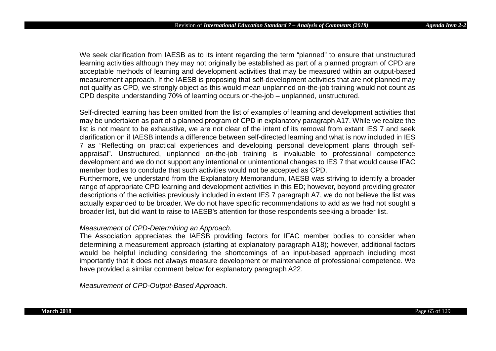We seek clarification from IAESB as to its intent regarding the term "planned" to ensure that unstructured learning activities although they may not originally be established as part of a planned program of CPD are acceptable methods of learning and development activities that may be measured within an output-based measurement approach. If the IAESB is proposing that self-development activities that are not planned may not qualify as CPD, we strongly object as this would mean unplanned on-the-job training would not count as CPD despite understanding 70% of learning occurs on-the-job – unplanned, unstructured.

Self-directed learning has been omitted from the list of examples of learning and development activities that may be undertaken as part of a planned program of CPD in explanatory paragraph A17. While we realize the list is not meant to be exhaustive, we are not clear of the intent of its removal from extant IES 7 and seek clarification on if IAESB intends a difference between self-directed learning and what is now included in IES 7 as "Reflecting on practical experiences and developing personal development plans through selfappraisal". Unstructured, unplanned on-the-job training is invaluable to professional competence development and we do not support any intentional or unintentional changes to IES 7 that would cause IFAC member bodies to conclude that such activities would not be accepted as CPD.

Furthermore, we understand from the Explanatory Memorandum, IAESB was striving to identify a broader range of appropriate CPD learning and development activities in this ED; however, beyond providing greater descriptions of the activities previously included in extant IES 7 paragraph A7, we do not believe the list was actually expanded to be broader. We do not have specific recommendations to add as we had not sought a broader list, but did want to raise to IAESB's attention for those respondents seeking a broader list.

# *Measurement of CPD-Determining an Approach.*

The Association appreciates the IAESB providing factors for IFAC member bodies to consider when determining a measurement approach (starting at explanatory paragraph A18); however, additional factors would be helpful including considering the shortcomings of an input-based approach including most importantly that it does not always measure development or maintenance of professional competence. We have provided a similar comment below for explanatory paragraph A22.

*Measurement of CPD-Output-Based Approach.*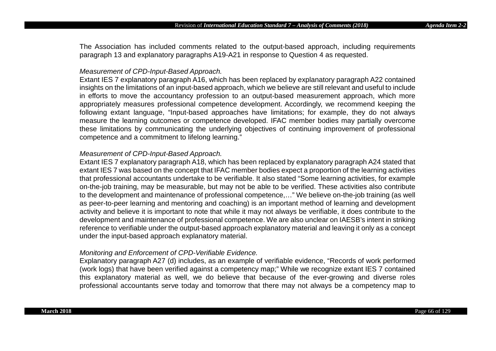The Association has included comments related to the output-based approach, including requirements paragraph 13 and explanatory paragraphs A19-A21 in response to Question 4 as requested.

## *Measurement of CPD-Input-Based Approach.*

Extant IES 7 explanatory paragraph A16, which has been replaced by explanatory paragraph A22 contained insights on the limitations of an input-based approach, which we believe are still relevant and useful to include in efforts to move the accountancy profession to an output-based measurement approach, which more appropriately measures professional competence development. Accordingly, we recommend keeping the following extant language, "Input-based approaches have limitations; for example, they do not always measure the learning outcomes or competence developed. IFAC member bodies may partially overcome these limitations by communicating the underlying objectives of continuing improvement of professional competence and a commitment to lifelong learning."

## *Measurement of CPD-Input-Based Approach.*

Extant IES 7 explanatory paragraph A18, which has been replaced by explanatory paragraph A24 stated that extant IES 7 was based on the concept that IFAC member bodies expect a proportion of the learning activities that professional accountants undertake to be verifiable. It also stated "Some learning activities, for example on-the-job training, may be measurable, but may not be able to be verified. These activities also contribute to the development and maintenance of professional competence,…" We believe on-the-job training (as well as peer-to-peer learning and mentoring and coaching) is an important method of learning and development activity and believe it is important to note that while it may not always be verifiable, it does contribute to the development and maintenance of professional competence. We are also unclear on IAESB's intent in striking reference to verifiable under the output-based approach explanatory material and leaving it only as a concept under the input-based approach explanatory material.

## *Monitoring and Enforcement of CPD-Verifiable Evidence.*

Explanatory paragraph A27 (d) includes, as an example of verifiable evidence, "Records of work performed (work logs) that have been verified against a competency map;" While we recognize extant IES 7 contained this explanatory material as well, we do believe that because of the ever-growing and diverse roles professional accountants serve today and tomorrow that there may not always be a competency map to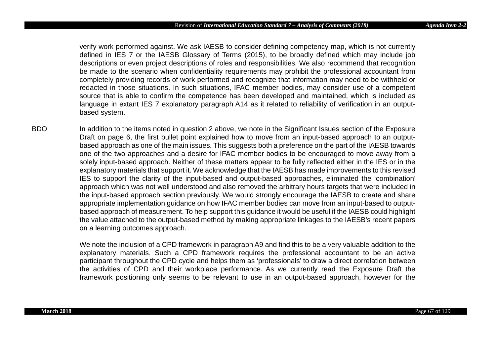verify work performed against. We ask IAESB to consider defining competency map, which is not currently defined in IES 7 or the IAESB Glossary of Terms (2015), to be broadly defined which may include job descriptions or even project descriptions of roles and responsibilities. We also recommend that recognition be made to the scenario when confidentiality requirements may prohibit the professional accountant from completely providing records of work performed and recognize that information may need to be withheld or redacted in those situations. In such situations, IFAC member bodies, may consider use of a competent source that is able to confirm the competence has been developed and maintained, which is included as language in extant IES 7 explanatory paragraph A14 as it related to reliability of verification in an outputbased system.

BDO In addition to the items noted in question 2 above, we note in the Significant Issues section of the Exposure Draft on page 6, the first bullet point explained how to move from an input-based approach to an outputbased approach as one of the main issues. This suggests both a preference on the part of the IAESB towards one of the two approaches and a desire for IFAC member bodies to be encouraged to move away from a solely input-based approach. Neither of these matters appear to be fully reflected either in the IES or in the explanatory materials that support it. We acknowledge that the IAESB has made improvements to this revised IES to support the clarity of the input-based and output-based approaches, eliminated the 'combination' approach which was not well understood and also removed the arbitrary hours targets that were included in the input-based approach section previously. We would strongly encourage the IAESB to create and share appropriate implementation guidance on how IFAC member bodies can move from an input-based to outputbased approach of measurement. To help support this guidance it would be useful if the IAESB could highlight the value attached to the output-based method by making appropriate linkages to the IAESB's recent papers on a learning outcomes approach.

> We note the inclusion of a CPD framework in paragraph A9 and find this to be a very valuable addition to the explanatory materials. Such a CPD framework requires the professional accountant to be an active participant throughout the CPD cycle and helps them as 'professionals' to draw a direct correlation between the activities of CPD and their workplace performance. As we currently read the Exposure Draft the framework positioning only seems to be relevant to use in an output-based approach, however for the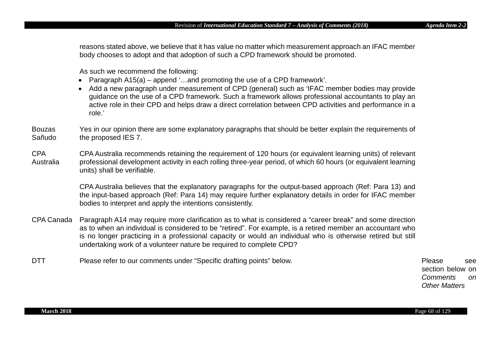reasons stated above, we believe that it has value no matter which measurement approach an IFAC member body chooses to adopt and that adoption of such a CPD framework should be promoted.

As such we recommend the following:

- Paragraph A15(a) append '…and promoting the use of a CPD framework'.
- Add a new paragraph under measurement of CPD (general) such as 'IFAC member bodies may provide guidance on the use of a CPD framework. Such a framework allows professional accountants to play an active role in their CPD and helps draw a direct correlation between CPD activities and performance in a role.'
- Bouzas Sañudo Yes in our opinion there are some explanatory paragraphs that should be better explain the requirements of the proposed IES 7.
- CPA Australia CPA Australia recommends retaining the requirement of 120 hours (or equivalent learning units) of relevant professional development activity in each rolling three-year period, of which 60 hours (or equivalent learning units) shall be verifiable.

CPA Australia believes that the explanatory paragraphs for the output-based approach (Ref: Para 13) and the input-based approach (Ref: Para 14) may require further explanatory details in order for IFAC member bodies to interpret and apply the intentions consistently.

- CPA Canada Paragraph A14 may require more clarification as to what is considered a "career break" and some direction as to when an individual is considered to be "retired". For example, is a retired member an accountant who is no longer practicing in a professional capacity or would an individual who is otherwise retired but still undertaking work of a volunteer nature be required to complete CPD?
- DTT Please refer to our comments under "Specific drafting points" below. Please Please see

section below on *Comments on Other Matters*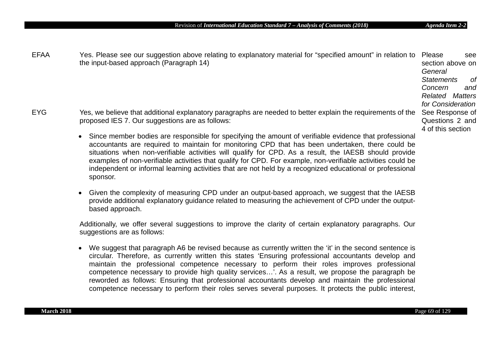EFAA Yes. Please see our suggestion above relating to explanatory material for "specified amount" in relation to Please see the input-based approach (Paragraph 14) section above on *General Statements of Concern and Related Matters for Consideration* EYG The Ses, we believe that additional explanatory paragraphs are needed to better explain the requirements of the See Response of proposed IES 7. Our suggestions are as follows: • Since member bodies are responsible for specifying the amount of verifiable evidence that professional accountants are required to maintain for monitoring CPD that has been undertaken, there could be situations when non-verifiable activities will qualify for CPD. As a result, the IAESB should provide examples of non-verifiable activities that qualify for CPD. For example, non-verifiable activities could be independent or informal learning activities that are not held by a recognized educational or professional Questions 2 and 4 of this section

• Given the complexity of measuring CPD under an output-based approach, we suggest that the IAESB provide additional explanatory guidance related to measuring the achievement of CPD under the outputbased approach.

Additionally, we offer several suggestions to improve the clarity of certain explanatory paragraphs. Our suggestions are as follows:

• We suggest that paragraph A6 be revised because as currently written the 'it' in the second sentence is circular. Therefore, as currently written this states 'Ensuring professional accountants develop and maintain the professional competence necessary to perform their roles improves professional competence necessary to provide high quality services…'. As a result, we propose the paragraph be reworded as follows: Ensuring that professional accountants develop and maintain the professional competence necessary to perform their roles serves several purposes. It protects the public interest,

sponsor.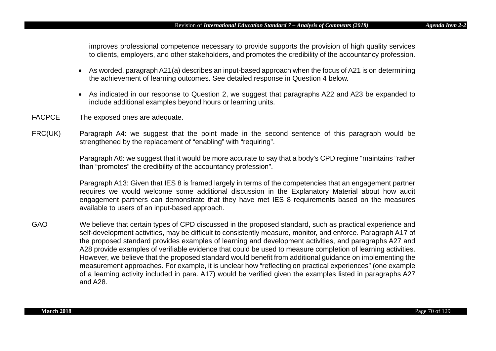improves professional competence necessary to provide supports the provision of high quality services to clients, employers, and other stakeholders, and promotes the credibility of the accountancy profession.

- As worded, paragraph A21(a) describes an input-based approach when the focus of A21 is on determining the achievement of learning outcomes. See detailed response in Question 4 below.
- As indicated in our response to Question 2, we suggest that paragraphs A22 and A23 be expanded to include additional examples beyond hours or learning units.
- FACPCE The exposed ones are adequate.
- FRC(UK) Paragraph A4: we suggest that the point made in the second sentence of this paragraph would be strengthened by the replacement of "enabling" with "requiring".

Paragraph A6: we suggest that it would be more accurate to say that a body's CPD regime "maintains "rather than "promotes" the credibility of the accountancy profession".

Paragraph A13: Given that IES 8 is framed largely in terms of the competencies that an engagement partner requires we would welcome some additional discussion in the Explanatory Material about how audit engagement partners can demonstrate that they have met IES 8 requirements based on the measures available to users of an input-based approach.

GAO We believe that certain types of CPD discussed in the proposed standard, such as practical experience and self-development activities, may be difficult to consistently measure, monitor, and enforce. Paragraph A17 of the proposed standard provides examples of learning and development activities, and paragraphs A27 and A28 provide examples of verifiable evidence that could be used to measure completion of learning activities. However, we believe that the proposed standard would benefit from additional guidance on implementing the measurement approaches. For example, it is unclear how "reflecting on practical experiences" (one example of a learning activity included in para. A17) would be verified given the examples listed in paragraphs A27 and A28.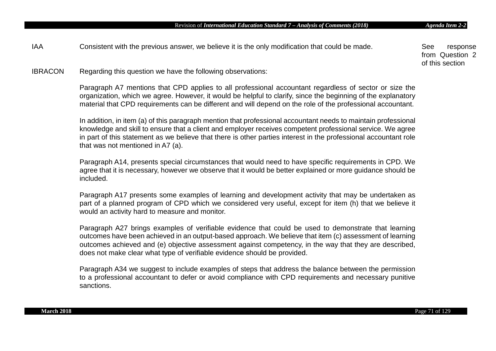IBRACON Regarding this question we have the following observations:

Paragraph A7 mentions that CPD applies to all professional accountant regardless of sector or size the organization, which we agree. However, it would be helpful to clarify, since the beginning of the explanatory material that CPD requirements can be different and will depend on the role of the professional accountant.

In addition, in item (a) of this paragraph mention that professional accountant needs to maintain professional knowledge and skill to ensure that a client and employer receives competent professional service. We agree in part of this statement as we believe that there is other parties interest in the professional accountant role that was not mentioned in A7 (a).

Paragraph A14, presents special circumstances that would need to have specific requirements in CPD. We agree that it is necessary, however we observe that it would be better explained or more guidance should be included.

Paragraph A17 presents some examples of learning and development activity that may be undertaken as part of a planned program of CPD which we considered very useful, except for item (h) that we believe it would an activity hard to measure and monitor.

Paragraph A27 brings examples of verifiable evidence that could be used to demonstrate that learning outcomes have been achieved in an output-based approach. We believe that item (c) assessment of learning outcomes achieved and (e) objective assessment against competency, in the way that they are described, does not make clear what type of verifiable evidence should be provided.

Paragraph A34 we suggest to include examples of steps that address the balance between the permission to a professional accountant to defer or avoid compliance with CPD requirements and necessary punitive sanctions.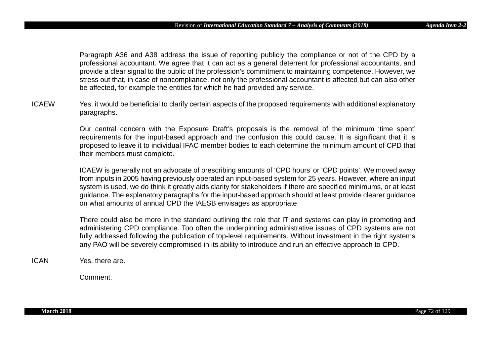Paragraph A36 and A38 address the issue of reporting publicly the compliance or not of the CPD by a professional accountant. We agree that it can act as a general deterrent for professional accountants, and provide a clear signal to the public of the profession's commitment to maintaining competence. However, we stress out that, in case of noncompliance, not only the professional accountant is affected but can also other be affected, for example the entities for which he had provided any service.

ICAEW Yes, it would be beneficial to clarify certain aspects of the proposed requirements with additional explanatory paragraphs.

> Our central concern with the Exposure Draft's proposals is the removal of the minimum 'time spent' requirements for the input-based approach and the confusion this could cause. It is significant that it is proposed to leave it to individual IFAC member bodies to each determine the minimum amount of CPD that their members must complete.

> ICAEW is generally not an advocate of prescribing amounts of 'CPD hours' or 'CPD points'. We moved away from inputs in 2005 having previously operated an input-based system for 25 years. However, where an input system is used, we do think it greatly aids clarity for stakeholders if there are specified minimums, or at least guidance. The explanatory paragraphs for the input-based approach should at least provide clearer guidance on what amounts of annual CPD the IAESB envisages as appropriate.

> There could also be more in the standard outlining the role that IT and systems can play in promoting and administering CPD compliance. Too often the underpinning administrative issues of CPD systems are not fully addressed following the publication of top-level requirements. Without investment in the right systems any PAO will be severely compromised in its ability to introduce and run an effective approach to CPD.

ICAN Yes, there are.

Comment.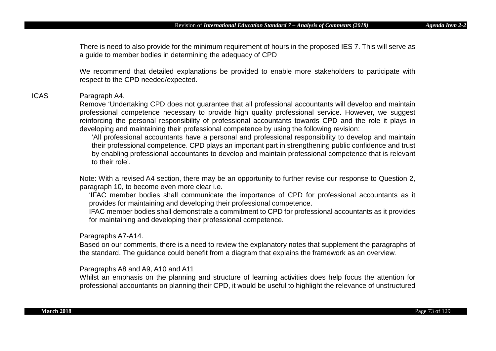There is need to also provide for the minimum requirement of hours in the proposed IES 7. This will serve as a guide to member bodies in determining the adequacy of CPD

We recommend that detailed explanations be provided to enable more stakeholders to participate with respect to the CPD needed/expected.

### ICAS Paragraph A4.

Remove 'Undertaking CPD does not guarantee that all professional accountants will develop and maintain professional competence necessary to provide high quality professional service. However, we suggest reinforcing the personal responsibility of professional accountants towards CPD and the role it plays in developing and maintaining their professional competence by using the following revision:

'All professional accountants have a personal and professional responsibility to develop and maintain their professional competence. CPD plays an important part in strengthening public confidence and trust by enabling professional accountants to develop and maintain professional competence that is relevant to their role'.

Note: With a revised A4 section, there may be an opportunity to further revise our response to Question 2, paragraph 10, to become even more clear i.e.

'IFAC member bodies shall communicate the importance of CPD for professional accountants as it provides for maintaining and developing their professional competence.

IFAC member bodies shall demonstrate a commitment to CPD for professional accountants as it provides for maintaining and developing their professional competence.

#### Paragraphs A7-A14.

Based on our comments, there is a need to review the explanatory notes that supplement the paragraphs of the standard. The guidance could benefit from a diagram that explains the framework as an overview.

Paragraphs A8 and A9, A10 and A11

Whilst an emphasis on the planning and structure of learning activities does help focus the attention for professional accountants on planning their CPD, it would be useful to highlight the relevance of unstructured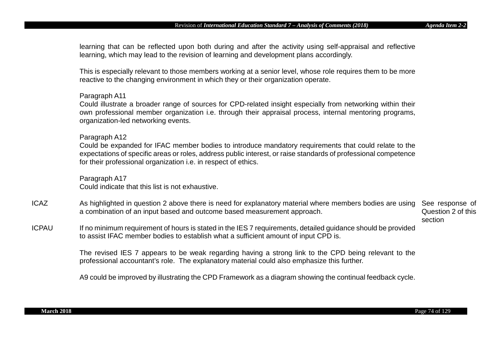learning that can be reflected upon both during and after the activity using self-appraisal and reflective learning, which may lead to the revision of learning and development plans accordingly.

This is especially relevant to those members working at a senior level, whose role requires them to be more reactive to the changing environment in which they or their organization operate.

### Paragraph A11

Could illustrate a broader range of sources for CPD-related insight especially from networking within their own professional member organization i.e. through their appraisal process, internal mentoring programs, organization-led networking events.

#### Paragraph A12

Could be expanded for IFAC member bodies to introduce mandatory requirements that could relate to the expectations of specific areas or roles, address public interest, or raise standards of professional competence for their professional organization i.e. in respect of ethics.

Paragraph A17 Could indicate that this list is not exhaustive.

- ICAZ Saman As highlighted in question 2 above there is need for explanatory material where members bodies are using See response of a combination of an input based and outcome based measurement approach. Question 2 of this
- section ICPAU If no minimum requirement of hours is stated in the IES 7 requirements, detailed guidance should be provided to assist IFAC member bodies to establish what a sufficient amount of input CPD is.

The revised IES 7 appears to be weak regarding having a strong link to the CPD being relevant to the professional accountant's role. The explanatory material could also emphasize this further.

A9 could be improved by illustrating the CPD Framework as a diagram showing the continual feedback cycle.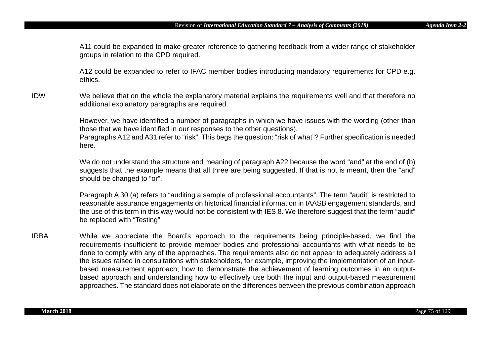A11 could be expanded to make greater reference to gathering feedback from a wider range of stakeholder groups in relation to the CPD required.

A12 could be expanded to refer to IFAC member bodies introducing mandatory requirements for CPD e.g. ethics.

IDW We believe that on the whole the explanatory material explains the requirements well and that therefore no additional explanatory paragraphs are required.

> However, we have identified a number of paragraphs in which we have issues with the wording (other than those that we have identified in our responses to the other questions). Paragraphs A12 and A31 refer to "risk". This begs the question: "risk of what"? Further specification is needed here.

> We do not understand the structure and meaning of paragraph A22 because the word "and" at the end of (b) suggests that the example means that all three are being suggested. If that is not is meant, then the "and" should be changed to "or".

> Paragraph A 30 (a) refers to "auditing a sample of professional accountants". The term "audit" is restricted to reasonable assurance engagements on historical financial information in IAASB engagement standards, and the use of this term in this way would not be consistent with IES 8. We therefore suggest that the term "audit" be replaced with "Testing".

IRBA While we appreciate the Board's approach to the requirements being principle-based, we find the requirements insufficient to provide member bodies and professional accountants with what needs to be done to comply with any of the approaches. The requirements also do not appear to adequately address all the issues raised in consultations with stakeholders, for example, improving the implementation of an inputbased measurement approach; how to demonstrate the achievement of learning outcomes in an outputbased approach and understanding how to effectively use both the input and output-based measurement approaches. The standard does not elaborate on the differences between the previous combination approach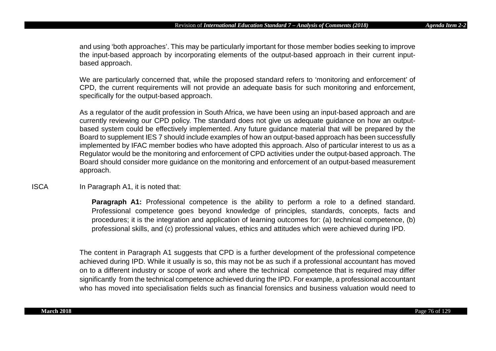and using 'both approaches'. This may be particularly important for those member bodies seeking to improve the input-based approach by incorporating elements of the output-based approach in their current inputbased approach.

We are particularly concerned that, while the proposed standard refers to 'monitoring and enforcement' of CPD, the current requirements will not provide an adequate basis for such monitoring and enforcement, specifically for the output-based approach.

As a regulator of the audit profession in South Africa, we have been using an input-based approach and are currently reviewing our CPD policy. The standard does not give us adequate guidance on how an outputbased system could be effectively implemented. Any future guidance material that will be prepared by the Board to supplement IES 7 should include examples of how an output-based approach has been successfully implemented by IFAC member bodies who have adopted this approach. Also of particular interest to us as a Regulator would be the monitoring and enforcement of CPD activities under the output-based approach. The Board should consider more guidance on the monitoring and enforcement of an output-based measurement approach.

ISCA In Paragraph A1, it is noted that:

**Paragraph A1:** Professional competence is the ability to perform a role to a defined standard. Professional competence goes beyond knowledge of principles, standards, concepts, facts and procedures; it is the integration and application of learning outcomes for: (a) technical competence, (b) professional skills, and (c) professional values, ethics and attitudes which were achieved during IPD.

The content in Paragraph A1 suggests that CPD is a further development of the professional competence achieved during IPD. While it usually is so, this may not be as such if a professional accountant has moved on to a different industry or scope of work and where the technical competence that is required may differ significantly from the technical competence achieved during the IPD. For example, a professional accountant who has moved into specialisation fields such as financial forensics and business valuation would need to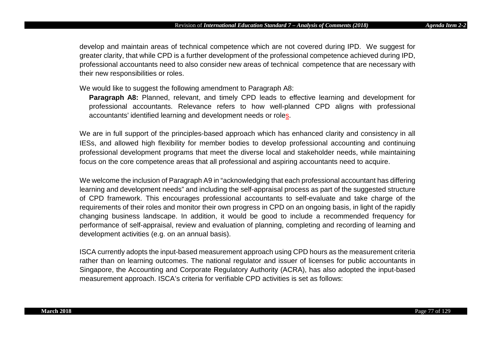develop and maintain areas of technical competence which are not covered during IPD. We suggest for greater clarity, that while CPD is a further development of the professional competence achieved during IPD, professional accountants need to also consider new areas of technical competence that are necessary with their new responsibilities or roles.

We would like to suggest the following amendment to Paragraph A8:

**Paragraph A8:** Planned, relevant, and timely CPD leads to effective learning and development for professional accountants. Relevance refers to how well-planned CPD aligns with professional accountants' identified learning and development needs or roles.

We are in full support of the principles-based approach which has enhanced clarity and consistency in all IESs, and allowed high flexibility for member bodies to develop professional accounting and continuing professional development programs that meet the diverse local and stakeholder needs, while maintaining focus on the core competence areas that all professional and aspiring accountants need to acquire.

We welcome the inclusion of Paragraph A9 in "acknowledging that each professional accountant has differing learning and development needs" and including the self-appraisal process as part of the suggested structure of CPD framework. This encourages professional accountants to self-evaluate and take charge of the requirements of their roles and monitor their own progress in CPD on an ongoing basis, in light of the rapidly changing business landscape. In addition, it would be good to include a recommended frequency for performance of self-appraisal, review and evaluation of planning, completing and recording of learning and development activities (e.g. on an annual basis).

ISCA currently adopts the input-based measurement approach using CPD hours as the measurement criteria rather than on learning outcomes. The national regulator and issuer of licenses for public accountants in Singapore, the Accounting and Corporate Regulatory Authority (ACRA), has also adopted the input-based measurement approach. ISCA's criteria for verifiable CPD activities is set as follows: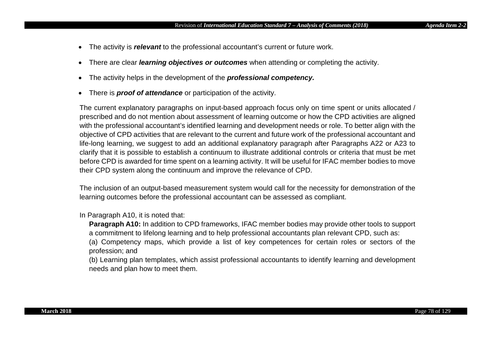- The activity is *relevant* to the professional accountant's current or future work.
- There are clear *learning objectives or outcomes* when attending or completing the activity.
- The activity helps in the development of the *professional competency.*
- There is *proof of attendance* or participation of the activity.

The current explanatory paragraphs on input-based approach focus only on time spent or units allocated / prescribed and do not mention about assessment of learning outcome or how the CPD activities are aligned with the professional accountant's identified learning and development needs or role. To better align with the objective of CPD activities that are relevant to the current and future work of the professional accountant and life-long learning, we suggest to add an additional explanatory paragraph after Paragraphs A22 or A23 to clarify that it is possible to establish a continuum to illustrate additional controls or criteria that must be met before CPD is awarded for time spent on a learning activity. It will be useful for IFAC member bodies to move their CPD system along the continuum and improve the relevance of CPD.

The inclusion of an output-based measurement system would call for the necessity for demonstration of the learning outcomes before the professional accountant can be assessed as compliant.

### In Paragraph A10, it is noted that:

**Paragraph A10:** In addition to CPD frameworks, IFAC member bodies may provide other tools to support a commitment to lifelong learning and to help professional accountants plan relevant CPD, such as:

(a) Competency maps, which provide a list of key competences for certain roles or sectors of the profession; and

(b) Learning plan templates, which assist professional accountants to identify learning and development needs and plan how to meet them.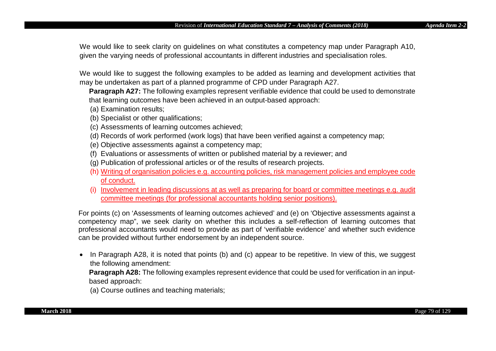We would like to seek clarity on guidelines on what constitutes a competency map under Paragraph A10, given the varying needs of professional accountants in different industries and specialisation roles.

We would like to suggest the following examples to be added as learning and development activities that may be undertaken as part of a planned programme of CPD under Paragraph A27.

**Paragraph A27:** The following examples represent verifiable evidence that could be used to demonstrate that learning outcomes have been achieved in an output-based approach:

- (a) Examination results;
- (b) Specialist or other qualifications;
- (c) Assessments of learning outcomes achieved;
- (d) Records of work performed (work logs) that have been verified against a competency map;
- (e) Objective assessments against a competency map;
- (f) Evaluations or assessments of written or published material by a reviewer; and
- (g) Publication of professional articles or of the results of research projects.
- (h) Writing of organisation policies e.g. accounting policies, risk management policies and employee code of conduct.
- (i) Involvement in leading discussions at as well as preparing for board or committee meetings e.g. audit committee meetings (for professional accountants holding senior positions).

For points (c) on 'Assessments of learning outcomes achieved' and (e) on 'Objective assessments against a competency map", we seek clarity on whether this includes a self-reflection of learning outcomes that professional accountants would need to provide as part of 'verifiable evidence' and whether such evidence can be provided without further endorsement by an independent source.

• In Paragraph A28, it is noted that points (b) and (c) appear to be repetitive. In view of this, we suggest the following amendment:

**Paragraph A28:** The following examples represent evidence that could be used for verification in an inputbased approach:

(a) Course outlines and teaching materials;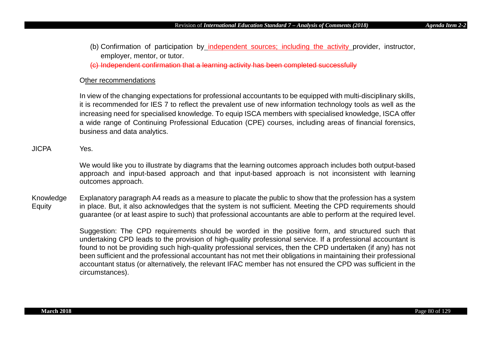(b) Confirmation of participation by independent sources; including the activity provider, instructor, employer, mentor, or tutor.

(c) Independent confirmation that a learning activity has been completed successfully

### Other recommendations

In view of the changing expectations for professional accountants to be equipped with multi-disciplinary skills, it is recommended for IES 7 to reflect the prevalent use of new information technology tools as well as the increasing need for specialised knowledge. To equip ISCA members with specialised knowledge, ISCA offer a wide range of Continuing Professional Education (CPE) courses, including areas of financial forensics, business and data analytics.

# JICPA Yes.

We would like you to illustrate by diagrams that the learning outcomes approach includes both output-based approach and input-based approach and that input-based approach is not inconsistent with learning outcomes approach.

Knowledge Equity Explanatory paragraph A4 reads as a measure to placate the public to show that the profession has a system in place. But, it also acknowledges that the system is not sufficient. Meeting the CPD requirements should guarantee (or at least aspire to such) that professional accountants are able to perform at the required level.

> Suggestion: The CPD requirements should be worded in the positive form, and structured such that undertaking CPD leads to the provision of high-quality professional service. If a professional accountant is found to not be providing such high-quality professional services, then the CPD undertaken (if any) has not been sufficient and the professional accountant has not met their obligations in maintaining their professional accountant status (or alternatively, the relevant IFAC member has not ensured the CPD was sufficient in the circumstances).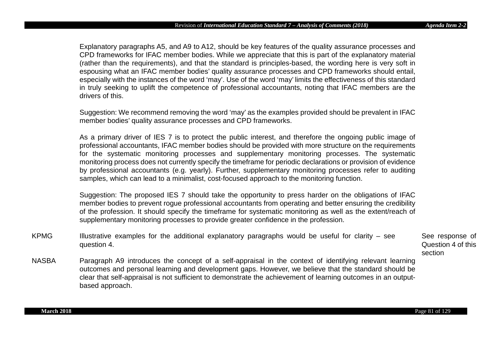Explanatory paragraphs A5, and A9 to A12, should be key features of the quality assurance processes and CPD frameworks for IFAC member bodies. While we appreciate that this is part of the explanatory material (rather than the requirements), and that the standard is principles-based, the wording here is very soft in espousing what an IFAC member bodies' quality assurance processes and CPD frameworks should entail, especially with the instances of the word 'may'. Use of the word 'may' limits the effectiveness of this standard in truly seeking to uplift the competence of professional accountants, noting that IFAC members are the drivers of this.

Suggestion: We recommend removing the word 'may' as the examples provided should be prevalent in IFAC member bodies' quality assurance processes and CPD frameworks.

As a primary driver of IES 7 is to protect the public interest, and therefore the ongoing public image of professional accountants, IFAC member bodies should be provided with more structure on the requirements for the systematic monitoring processes and supplementary monitoring processes. The systematic monitoring process does not currently specify the timeframe for periodic declarations or provision of evidence by professional accountants (e.g. yearly). Further, supplementary monitoring processes refer to auditing samples, which can lead to a minimalist, cost-focused approach to the monitoring function.

Suggestion: The proposed IES 7 should take the opportunity to press harder on the obligations of IFAC member bodies to prevent rogue professional accountants from operating and better ensuring the credibility of the profession. It should specify the timeframe for systematic monitoring as well as the extent/reach of supplementary monitoring processes to provide greater confidence in the profession.

KPMG Illustrative examples for the additional explanatory paragraphs would be useful for clarity – see question 4.

See response of Question 4 of this section

NASBA Paragraph A9 introduces the concept of a self-appraisal in the context of identifying relevant learning outcomes and personal learning and development gaps. However, we believe that the standard should be clear that self-appraisal is not sufficient to demonstrate the achievement of learning outcomes in an outputbased approach.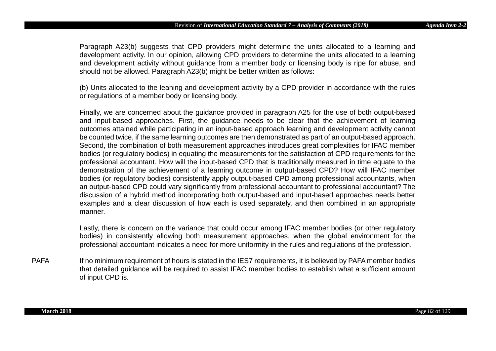Paragraph A23(b) suggests that CPD providers might determine the units allocated to a learning and development activity. In our opinion, allowing CPD providers to determine the units allocated to a learning and development activity without guidance from a member body or licensing body is ripe for abuse, and should not be allowed. Paragraph A23(b) might be better written as follows:

(b) Units allocated to the leaning and development activity by a CPD provider in accordance with the rules or regulations of a member body or licensing body.

Finally, we are concerned about the guidance provided in paragraph A25 for the use of both output-based and input-based approaches. First, the guidance needs to be clear that the achievement of learning outcomes attained while participating in an input-based approach learning and development activity cannot be counted twice, if the same learning outcomes are then demonstrated as part of an output-based approach. Second, the combination of both measurement approaches introduces great complexities for IFAC member bodies (or regulatory bodies) in equating the measurements for the satisfaction of CPD requirements for the professional accountant. How will the input-based CPD that is traditionally measured in time equate to the demonstration of the achievement of a learning outcome in output-based CPD? How will IFAC member bodies (or regulatory bodies) consistently apply output-based CPD among professional accountants, when an output-based CPD could vary significantly from professional accountant to professional accountant? The discussion of a hybrid method incorporating both output-based and input-based approaches needs better examples and a clear discussion of how each is used separately, and then combined in an appropriate manner.

Lastly, there is concern on the variance that could occur among IFAC member bodies (or other regulatory bodies) in consistently allowing both measurement approaches, when the global environment for the professional accountant indicates a need for more uniformity in the rules and regulations of the profession.

PAFA If no minimum requirement of hours is stated in the IES7 requirements, it is believed by PAFA member bodies that detailed guidance will be required to assist IFAC member bodies to establish what a sufficient amount of input CPD is.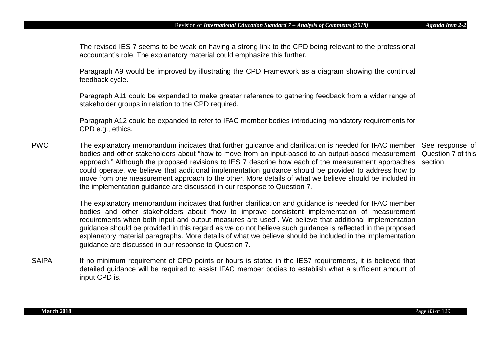The revised IES 7 seems to be weak on having a strong link to the CPD being relevant to the professional accountant's role. The explanatory material could emphasize this further.

Paragraph A9 would be improved by illustrating the CPD Framework as a diagram showing the continual feedback cycle.

Paragraph A11 could be expanded to make greater reference to gathering feedback from a wider range of stakeholder groups in relation to the CPD required.

Paragraph A12 could be expanded to refer to IFAC member bodies introducing mandatory requirements for CPD e.g., ethics.

PWC The explanatory memorandum indicates that further guidance and clarification is needed for IFAC member See response of bodies and other stakeholders about "how to move from an input-based to an output-based measurement Question 7 of this approach." Although the proposed revisions to IES 7 describe how each of the measurement approaches section could operate, we believe that additional implementation guidance should be provided to address how to move from one measurement approach to the other. More details of what we believe should be included in the implementation guidance are discussed in our response to Question 7.

> The explanatory memorandum indicates that further clarification and guidance is needed for IFAC member bodies and other stakeholders about "how to improve consistent implementation of measurement requirements when both input and output measures are used". We believe that additional implementation guidance should be provided in this regard as we do not believe such guidance is reflected in the proposed explanatory material paragraphs. More details of what we believe should be included in the implementation guidance are discussed in our response to Question 7.

SAIPA If no minimum requirement of CPD points or hours is stated in the IES7 requirements, it is believed that detailed guidance will be required to assist IFAC member bodies to establish what a sufficient amount of input CPD is.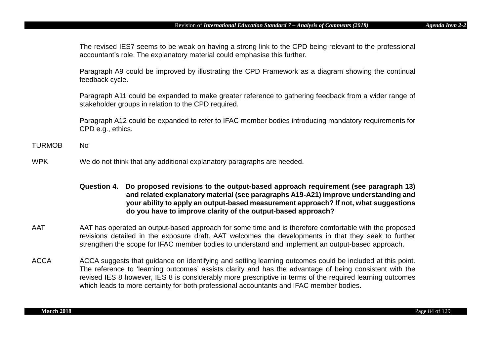The revised IES7 seems to be weak on having a strong link to the CPD being relevant to the professional accountant's role. The explanatory material could emphasise this further.

Paragraph A9 could be improved by illustrating the CPD Framework as a diagram showing the continual feedback cycle.

Paragraph A11 could be expanded to make greater reference to gathering feedback from a wider range of stakeholder groups in relation to the CPD required.

Paragraph A12 could be expanded to refer to IFAC member bodies introducing mandatory requirements for CPD e.g., ethics.

- TURMOB No
- WPK We do not think that any additional explanatory paragraphs are needed.

# **Question 4. Do proposed revisions to the output-based approach requirement (see paragraph 13) and related explanatory material (see paragraphs A19-A21) improve understanding and your ability to apply an output-based measurement approach? If not, what suggestions do you have to improve clarity of the output-based approach?**

- AAT AAT has operated an output-based approach for some time and is therefore comfortable with the proposed revisions detailed in the exposure draft. AAT welcomes the developments in that they seek to further strengthen the scope for IFAC member bodies to understand and implement an output-based approach.
- ACCA ACCA suggests that guidance on identifying and setting learning outcomes could be included at this point. The reference to 'learning outcomes' assists clarity and has the advantage of being consistent with the revised IES 8 however, IES 8 is considerably more prescriptive in terms of the required learning outcomes which leads to more certainty for both professional accountants and IFAC member bodies.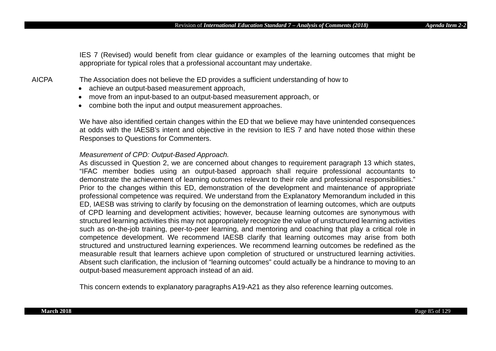IES 7 (Revised) would benefit from clear guidance or examples of the learning outcomes that might be appropriate for typical roles that a professional accountant may undertake.

AICPA The Association does not believe the ED provides a sufficient understanding of how to

- achieve an output-based measurement approach,
- move from an input-based to an output-based measurement approach, or
- combine both the input and output measurement approaches.

We have also identified certain changes within the ED that we believe may have unintended consequences at odds with the IAESB's intent and objective in the revision to IES 7 and have noted those within these Responses to Questions for Commenters.

### *Measurement of CPD: Output-Based Approach.*

As discussed in Question 2, we are concerned about changes to requirement paragraph 13 which states, "IFAC member bodies using an output-based approach shall require professional accountants to demonstrate the achievement of learning outcomes relevant to their role and professional responsibilities." Prior to the changes within this ED, demonstration of the development and maintenance of appropriate professional competence was required. We understand from the Explanatory Memorandum included in this ED, IAESB was striving to clarify by focusing on the demonstration of learning outcomes, which are outputs of CPD learning and development activities; however, because learning outcomes are synonymous with structured learning activities this may not appropriately recognize the value of unstructured learning activities such as on-the-job training, peer-to-peer learning, and mentoring and coaching that play a critical role in competence development. We recommend IAESB clarify that learning outcomes may arise from both structured and unstructured learning experiences. We recommend learning outcomes be redefined as the measurable result that learners achieve upon completion of structured or unstructured learning activities. Absent such clarification, the inclusion of "learning outcomes" could actually be a hindrance to moving to an output-based measurement approach instead of an aid.

This concern extends to explanatory paragraphs A19-A21 as they also reference learning outcomes.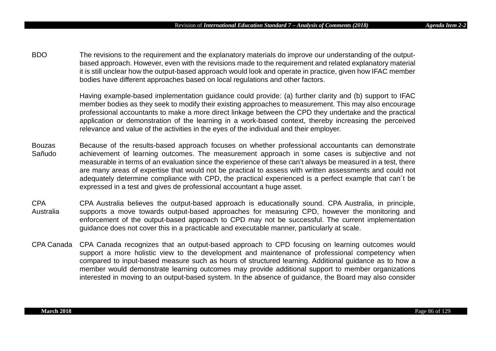BDO The revisions to the requirement and the explanatory materials do improve our understanding of the outputbased approach. However, even with the revisions made to the requirement and related explanatory material it is still unclear how the output-based approach would look and operate in practice, given how IFAC member bodies have different approaches based on local regulations and other factors.

> Having example-based implementation guidance could provide: (a) further clarity and (b) support to IFAC member bodies as they seek to modify their existing approaches to measurement. This may also encourage professional accountants to make a more direct linkage between the CPD they undertake and the practical application or demonstration of the learning in a work-based context, thereby increasing the perceived relevance and value of the activities in the eyes of the individual and their employer.

- Bouzas Sañudo Because of the results-based approach focuses on whether professional accountants can demonstrate achievement of learning outcomes. The measurement approach in some cases is subjective and not measurable in terms of an evaluation since the experience of these can't always be measured in a test, there are many areas of expertise that would not be practical to assess with written assessments and could not adequately determine compliance with CPD, the practical experienced is a perfect example that can´t be expressed in a test and gives de professional accountant a huge asset.
- CPA Australia CPA Australia believes the output-based approach is educationally sound. CPA Australia, in principle, supports a move towards output-based approaches for measuring CPD, however the monitoring and enforcement of the output-based approach to CPD may not be successful. The current implementation guidance does not cover this in a practicable and executable manner, particularly at scale.
- CPA Canada CPA Canada recognizes that an output-based approach to CPD focusing on learning outcomes would support a more holistic view to the development and maintenance of professional competency when compared to input-based measure such as hours of structured learning. Additional guidance as to how a member would demonstrate learning outcomes may provide additional support to member organizations interested in moving to an output-based system. In the absence of guidance, the Board may also consider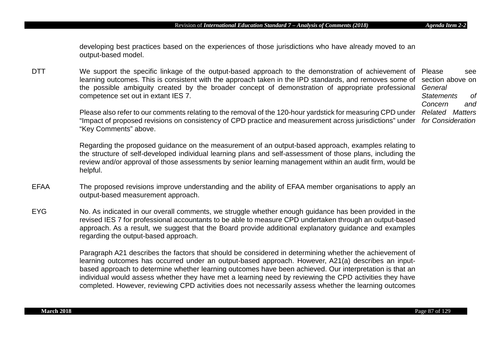developing best practices based on the experiences of those jurisdictions who have already moved to an output-based model.

DTT We support the specific linkage of the output-based approach to the demonstration of achievement of Please see learning outcomes. This is consistent with the approach taken in the IPD standards, and removes some of section above on the possible ambiguity created by the broader concept of demonstration of appropriate professional competence set out in extant IES 7.

> Please also refer to our comments relating to the removal of the 120-hour yardstick for measuring CPD under *Related Matters*  "Impact of proposed revisions on consistency of CPD practice and measurement across jurisdictions" under *for Consideration* "Key Comments" above.

Regarding the proposed guidance on the measurement of an output-based approach, examples relating to the structure of self-developed individual learning plans and self-assessment of those plans, including the review and/or approval of those assessments by senior learning management within an audit firm, would be helpful.

- EFAA The proposed revisions improve understanding and the ability of EFAA member organisations to apply an output-based measurement approach.
- EYG No. As indicated in our overall comments, we struggle whether enough guidance has been provided in the revised IES 7 for professional accountants to be able to measure CPD undertaken through an output-based approach. As a result, we suggest that the Board provide additional explanatory guidance and examples regarding the output-based approach.

Paragraph A21 describes the factors that should be considered in determining whether the achievement of learning outcomes has occurred under an output-based approach. However, A21(a) describes an inputbased approach to determine whether learning outcomes have been achieved. Our interpretation is that an individual would assess whether they have met a learning need by reviewing the CPD activities they have completed. However, reviewing CPD activities does not necessarily assess whether the learning outcomes

*General Statements of Concern and*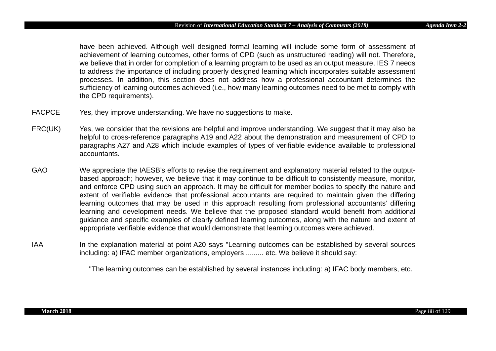have been achieved. Although well designed formal learning will include some form of assessment of achievement of learning outcomes, other forms of CPD (such as unstructured reading) will not. Therefore, we believe that in order for completion of a learning program to be used as an output measure, IES 7 needs to address the importance of including properly designed learning which incorporates suitable assessment processes. In addition, this section does not address how a professional accountant determines the sufficiency of learning outcomes achieved (i.e., how many learning outcomes need to be met to comply with the CPD requirements).

- FACPCE Yes, they improve understanding. We have no suggestions to make.
- FRC(UK) Yes, we consider that the revisions are helpful and improve understanding. We suggest that it may also be helpful to cross-reference paragraphs A19 and A22 about the demonstration and measurement of CPD to paragraphs A27 and A28 which include examples of types of verifiable evidence available to professional accountants.
- GAO We appreciate the IAESB's efforts to revise the requirement and explanatory material related to the outputbased approach; however, we believe that it may continue to be difficult to consistently measure, monitor, and enforce CPD using such an approach. It may be difficult for member bodies to specify the nature and extent of verifiable evidence that professional accountants are required to maintain given the differing learning outcomes that may be used in this approach resulting from professional accountants' differing learning and development needs. We believe that the proposed standard would benefit from additional guidance and specific examples of clearly defined learning outcomes, along with the nature and extent of appropriate verifiable evidence that would demonstrate that learning outcomes were achieved.
- IAA In the explanation material at point A20 says "Learning outcomes can be established by several sources including: a) IFAC member organizations, employers ......... etc. We believe it should say:

"The learning outcomes can be established by several instances including: a) IFAC body members, etc.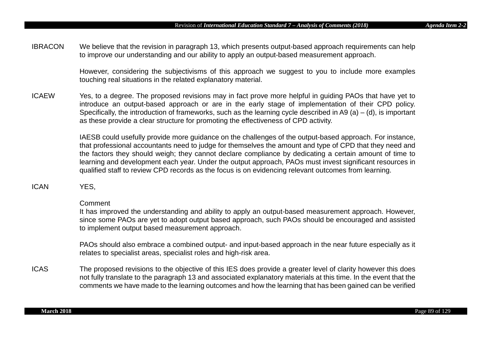IBRACON We believe that the revision in paragraph 13, which presents output-based approach requirements can help to improve our understanding and our ability to apply an output-based measurement approach.

> However, considering the subjectivisms of this approach we suggest to you to include more examples touching real situations in the related explanatory material.

ICAEW Yes, to a degree. The proposed revisions may in fact prove more helpful in guiding PAOs that have yet to introduce an output-based approach or are in the early stage of implementation of their CPD policy. Specifically, the introduction of frameworks, such as the learning cycle described in A9 (a) – (d), is important as these provide a clear structure for promoting the effectiveness of CPD activity.

> IAESB could usefully provide more guidance on the challenges of the output-based approach. For instance, that professional accountants need to judge for themselves the amount and type of CPD that they need and the factors they should weigh; they cannot declare compliance by dedicating a certain amount of time to learning and development each year. Under the output approach, PAOs must invest significant resources in qualified staff to review CPD records as the focus is on evidencing relevant outcomes from learning.

ICAN YES,

### Comment

It has improved the understanding and ability to apply an output-based measurement approach. However, since some PAOs are yet to adopt output based approach, such PAOs should be encouraged and assisted to implement output based measurement approach.

PAOs should also embrace a combined output- and input-based approach in the near future especially as it relates to specialist areas, specialist roles and high-risk area.

ICAS The proposed revisions to the objective of this IES does provide a greater level of clarity however this does not fully translate to the paragraph 13 and associated explanatory materials at this time. In the event that the comments we have made to the learning outcomes and how the learning that has been gained can be verified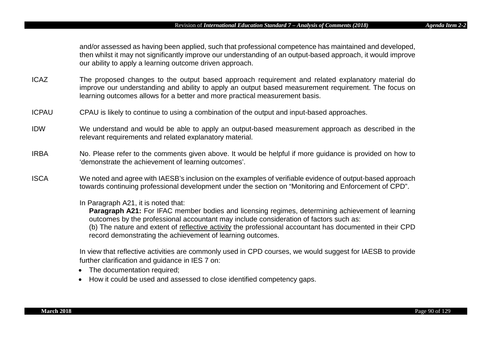and/or assessed as having been applied, such that professional competence has maintained and developed, then whilst it may not significantly improve our understanding of an output-based approach, it would improve our ability to apply a learning outcome driven approach.

- ICAZ The proposed changes to the output based approach requirement and related explanatory material do improve our understanding and ability to apply an output based measurement requirement. The focus on learning outcomes allows for a better and more practical measurement basis.
- ICPAU CPAU is likely to continue to using a combination of the output and input-based approaches.
- IDW We understand and would be able to apply an output-based measurement approach as described in the relevant requirements and related explanatory material.
- IRBA No. Please refer to the comments given above. It would be helpful if more guidance is provided on how to 'demonstrate the achievement of learning outcomes'.
- ISCA We noted and agree with IAESB's inclusion on the examples of verifiable evidence of output-based approach towards continuing professional development under the section on "Monitoring and Enforcement of CPD".
	- In Paragraph A21, it is noted that:

**Paragraph A21:** For IFAC member bodies and licensing regimes, determining achievement of learning outcomes by the professional accountant may include consideration of factors such as: (b) The nature and extent of reflective activity the professional accountant has documented in their CPD record demonstrating the achievement of learning outcomes.

In view that reflective activities are commonly used in CPD courses, we would suggest for IAESB to provide further clarification and guidance in IES 7 on:

- The documentation required;
- How it could be used and assessed to close identified competency gaps.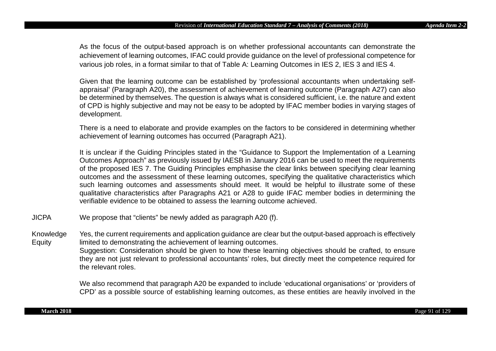As the focus of the output-based approach is on whether professional accountants can demonstrate the achievement of learning outcomes, IFAC could provide guidance on the level of professional competence for various job roles, in a format similar to that of Table A: Learning Outcomes in IES 2, IES 3 and IES 4.

Given that the learning outcome can be established by 'professional accountants when undertaking selfappraisal' (Paragraph A20), the assessment of achievement of learning outcome (Paragraph A27) can also be determined by themselves. The question is always what is considered sufficient, i.e. the nature and extent of CPD is highly subjective and may not be easy to be adopted by IFAC member bodies in varying stages of development.

There is a need to elaborate and provide examples on the factors to be considered in determining whether achievement of learning outcomes has occurred (Paragraph A21).

It is unclear if the Guiding Principles stated in the "Guidance to Support the Implementation of a Learning Outcomes Approach" as previously issued by IAESB in January 2016 can be used to meet the requirements of the proposed IES 7. The Guiding Principles emphasise the clear links between specifying clear learning outcomes and the assessment of these learning outcomes, specifying the qualitative characteristics which such learning outcomes and assessments should meet. It would be helpful to illustrate some of these qualitative characteristics after Paragraphs A21 or A28 to guide IFAC member bodies in determining the verifiable evidence to be obtained to assess the learning outcome achieved.

JICPA We propose that "clients" be newly added as paragraph A20 (f).

Knowledge Equity Yes, the current requirements and application guidance are clear but the output-based approach is effectively limited to demonstrating the achievement of learning outcomes. Suggestion: Consideration should be given to how these learning objectives should be crafted, to ensure they are not just relevant to professional accountants' roles, but directly meet the competence required for the relevant roles.

> We also recommend that paragraph A20 be expanded to include 'educational organisations' or 'providers of CPD' as a possible source of establishing learning outcomes, as these entities are heavily involved in the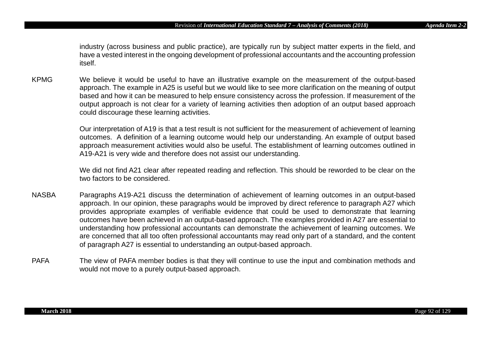industry (across business and public practice), are typically run by subject matter experts in the field, and have a vested interest in the ongoing development of professional accountants and the accounting profession itself.

KPMG We believe it would be useful to have an illustrative example on the measurement of the output-based approach. The example in A25 is useful but we would like to see more clarification on the meaning of output based and how it can be measured to help ensure consistency across the profession. If measurement of the output approach is not clear for a variety of learning activities then adoption of an output based approach could discourage these learning activities.

> Our interpretation of A19 is that a test result is not sufficient for the measurement of achievement of learning outcomes. A definition of a learning outcome would help our understanding. An example of output based approach measurement activities would also be useful. The establishment of learning outcomes outlined in A19-A21 is very wide and therefore does not assist our understanding.

> We did not find A21 clear after repeated reading and reflection. This should be reworded to be clear on the two factors to be considered.

- NASBA Paragraphs A19-A21 discuss the determination of achievement of learning outcomes in an output-based approach. In our opinion, these paragraphs would be improved by direct reference to paragraph A27 which provides appropriate examples of verifiable evidence that could be used to demonstrate that learning outcomes have been achieved in an output-based approach. The examples provided in A27 are essential to understanding how professional accountants can demonstrate the achievement of learning outcomes. We are concerned that all too often professional accountants may read only part of a standard, and the content of paragraph A27 is essential to understanding an output-based approach.
- PAFA The view of PAFA member bodies is that they will continue to use the input and combination methods and would not move to a purely output-based approach.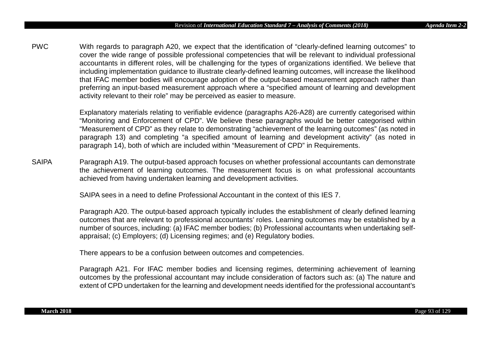PWC With regards to paragraph A20, we expect that the identification of "clearly-defined learning outcomes" to cover the wide range of possible professional competencies that will be relevant to individual professional accountants in different roles, will be challenging for the types of organizations identified. We believe that including implementation guidance to illustrate clearly-defined learning outcomes, will increase the likelihood that IFAC member bodies will encourage adoption of the output-based measurement approach rather than preferring an input-based measurement approach where a "specified amount of learning and development activity relevant to their role" may be perceived as easier to measure.

> Explanatory materials relating to verifiable evidence (paragraphs A26-A28) are currently categorised within "Monitoring and Enforcement of CPD". We believe these paragraphs would be better categorised within "Measurement of CPD" as they relate to demonstrating "achievement of the learning outcomes" (as noted in paragraph 13) and completing "a specified amount of learning and development activity" (as noted in paragraph 14), both of which are included within "Measurement of CPD" in Requirements.

SAIPA Paragraph A19. The output-based approach focuses on whether professional accountants can demonstrate the achievement of learning outcomes. The measurement focus is on what professional accountants achieved from having undertaken learning and development activities.

SAIPA sees in a need to define Professional Accountant in the context of this IES 7.

Paragraph A20. The output-based approach typically includes the establishment of clearly defined learning outcomes that are relevant to professional accountants' roles. Learning outcomes may be established by a number of sources, including: (a) IFAC member bodies; (b) Professional accountants when undertaking selfappraisal; (c) Employers; (d) Licensing regimes; and (e) Regulatory bodies.

There appears to be a confusion between outcomes and competencies.

Paragraph A21. For IFAC member bodies and licensing regimes, determining achievement of learning outcomes by the professional accountant may include consideration of factors such as: (a) The nature and extent of CPD undertaken for the learning and development needs identified for the professional accountant's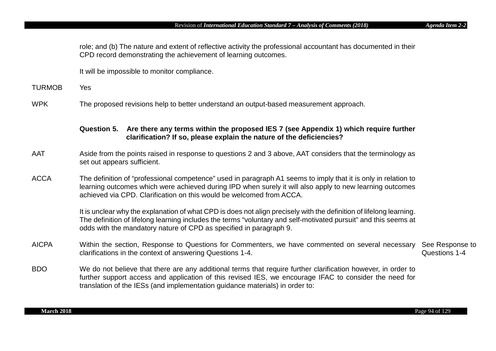role; and (b) The nature and extent of reflective activity the professional accountant has documented in their CPD record demonstrating the achievement of learning outcomes.

It will be impossible to monitor compliance.

- TURMOB Yes
- WPK The proposed revisions help to better understand an output-based measurement approach.

## **Question 5. Are there any terms within the proposed IES 7 (see Appendix 1) which require further clarification? If so, please explain the nature of the deficiencies?**

- AAT Aside from the points raised in response to questions 2 and 3 above, AAT considers that the terminology as set out appears sufficient.
- ACCA The definition of "professional competence" used in paragraph A1 seems to imply that it is only in relation to learning outcomes which were achieved during IPD when surely it will also apply to new learning outcomes achieved via CPD. Clarification on this would be welcomed from ACCA.

It is unclear why the explanation of what CPD is does not align precisely with the definition of lifelong learning. The definition of lifelong learning includes the terms "voluntary and self-motivated pursuit" and this seems at odds with the mandatory nature of CPD as specified in paragraph 9.

- AICPA Within the section, Response to Questions for Commenters, we have commented on several necessary clarifications in the context of answering Questions 1-4. See Response to Questions 1-4
- BDO We do not believe that there are any additional terms that require further clarification however, in order to further support access and application of this revised IES, we encourage IFAC to consider the need for translation of the IESs (and implementation guidance materials) in order to: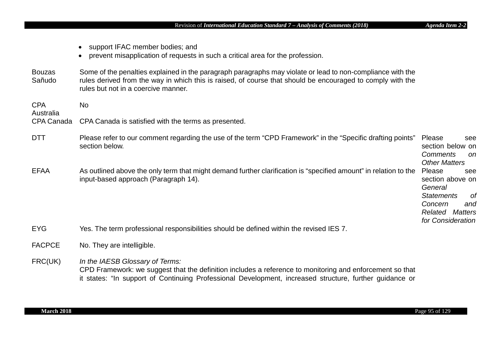- support IFAC member bodies; and
- prevent misapplication of requests in such a critical area for the profession.
- Bouzas Sañudo Some of the penalties explained in the paragraph paragraphs may violate or lead to non-compliance with the rules derived from the way in which this is raised, of course that should be encouraged to comply with the rules but not in a coercive manner.
- CPA Australia No CPA Canada CPA Canada is satisfied with the terms as presented.

| <b>DTT</b>  | Please refer to our comment regarding the use of the term "CPD Framework" in the "Specific drafting points"<br>section below.                            | Please<br>section below on | see            |
|-------------|----------------------------------------------------------------------------------------------------------------------------------------------------------|----------------------------|----------------|
|             |                                                                                                                                                          | Comments                   | on.            |
|             |                                                                                                                                                          | <b>Other Matters</b>       |                |
| <b>EFAA</b> | As outlined above the only term that might demand further clarification is "specified amount" in relation to the<br>input-based approach (Paragraph 14). | Please                     | see            |
|             |                                                                                                                                                          | section above on           |                |
|             |                                                                                                                                                          | General                    |                |
|             |                                                                                                                                                          | <b>Statements</b>          | 0f             |
|             |                                                                                                                                                          | Concern                    | and            |
|             |                                                                                                                                                          | Related                    | <b>Matters</b> |
|             |                                                                                                                                                          | for Consideration          |                |
| <b>EYG</b>  | Yes. The term professional responsibilities should be defined within the revised IES 7.                                                                  |                            |                |

FACPCE No. They are intelligible.

FRC(UK) *In the IAESB Glossary of Terms:* CPD Framework: we suggest that the definition includes a reference to monitoring and enforcement so that it states: "In support of Continuing Professional Development, increased structure, further guidance or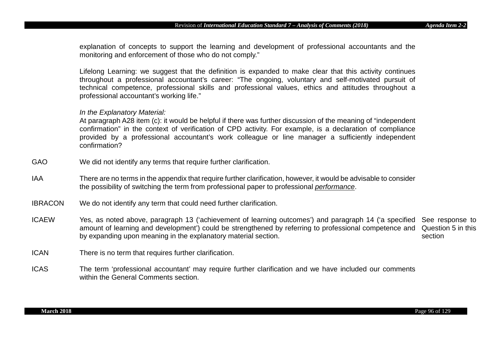explanation of concepts to support the learning and development of professional accountants and the monitoring and enforcement of those who do not comply."

Lifelong Learning: we suggest that the definition is expanded to make clear that this activity continues throughout a professional accountant's career: "The ongoing, voluntary and self-motivated pursuit of technical competence, professional skills and professional values, ethics and attitudes throughout a professional accountant's working life."

#### *In the Explanatory Material:*

At paragraph A28 item (c): it would be helpful if there was further discussion of the meaning of "independent confirmation" in the context of verification of CPD activity. For example, is a declaration of compliance provided by a professional accountant's work colleague or line manager a sufficiently independent confirmation?

- GAO We did not identify any terms that require further clarification.
- IAA There are no terms in the appendix that require further clarification, however, it would be advisable to consider the possibility of switching the term from professional paper to professional *performance*.
- IBRACON We do not identify any term that could need further clarification.
- ICAEW Yes, as noted above, paragraph 13 ('achievement of learning outcomes') and paragraph 14 ('a specified See response to amount of learning and development') could be strengthened by referring to professional competence and Question 5 in this by expanding upon meaning in the explanatory material section. section
- ICAN There is no term that requires further clarification.
- ICAS The term 'professional accountant' may require further clarification and we have included our comments within the General Comments section.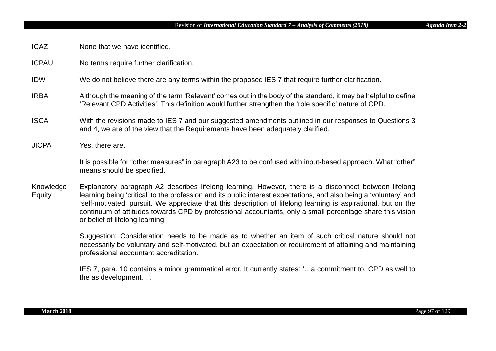- ICAZ None that we have identified.
- ICPAU No terms require further clarification.
- IDW We do not believe there are any terms within the proposed IES 7 that require further clarification.
- IRBA Although the meaning of the term 'Relevant' comes out in the body of the standard, it may be helpful to define 'Relevant CPD Activities'. This definition would further strengthen the 'role specific' nature of CPD.
- ISCA With the revisions made to IES 7 and our suggested amendments outlined in our responses to Questions 3 and 4, we are of the view that the Requirements have been adequately clarified.
- JICPA Yes, there are.

It is possible for "other measures" in paragraph A23 to be confused with input-based approach. What "other" means should be specified.

Knowledge **Equity** Explanatory paragraph A2 describes lifelong learning. However, there is a disconnect between lifelong learning being 'critical' to the profession and its public interest expectations, and also being a 'voluntary' and 'self-motivated' pursuit. We appreciate that this description of lifelong learning is aspirational, but on the continuum of attitudes towards CPD by professional accountants, only a small percentage share this vision or belief of lifelong learning.

> Suggestion: Consideration needs to be made as to whether an item of such critical nature should not necessarily be voluntary and self-motivated, but an expectation or requirement of attaining and maintaining professional accountant accreditation.

> IES 7, para. 10 contains a minor grammatical error. It currently states: '…a commitment to, CPD as well to the as development…'.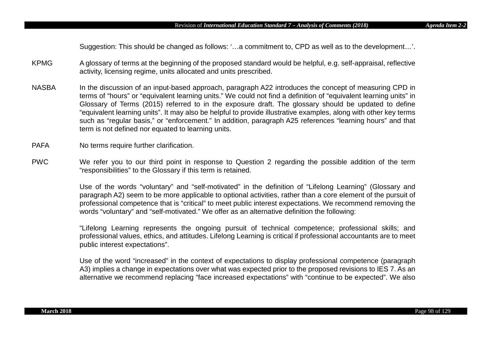Suggestion: This should be changed as follows: '…a commitment to, CPD as well as to the development…'.

- KPMG A glossary of terms at the beginning of the proposed standard would be helpful, e.g. self-appraisal, reflective activity, licensing regime, units allocated and units prescribed.
- NASBA In the discussion of an input-based approach, paragraph A22 introduces the concept of measuring CPD in terms of "hours" or "equivalent learning units." We could not find a definition of "equivalent learning units" in Glossary of Terms (2015) referred to in the exposure draft. The glossary should be updated to define "equivalent learning units". It may also be helpful to provide illustrative examples, along with other key terms such as "regular basis," or "enforcement." In addition, paragraph A25 references "learning hours" and that term is not defined nor equated to learning units.
- PAFA No terms require further clarification.
- PWC We refer you to our third point in response to Question 2 regarding the possible addition of the term "responsibilities" to the Glossary if this term is retained.

Use of the words "voluntary" and "self-motivated" in the definition of "Lifelong Learning" (Glossary and paragraph A2) seem to be more applicable to optional activities, rather than a core element of the pursuit of professional competence that is "critical" to meet public interest expectations. We recommend removing the words "voluntary" and "self-motivated." We offer as an alternative definition the following:

"Lifelong Learning represents the ongoing pursuit of technical competence; professional skills; and professional values, ethics, and attitudes. Lifelong Learning is critical if professional accountants are to meet public interest expectations".

Use of the word "increased" in the context of expectations to display professional competence (paragraph A3) implies a change in expectations over what was expected prior to the proposed revisions to IES 7. As an alternative we recommend replacing "face increased expectations" with "continue to be expected". We also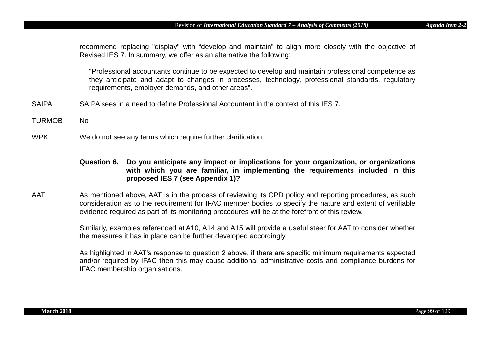recommend replacing "display" with "develop and maintain" to align more closely with the objective of Revised IES 7. In summary, we offer as an alternative the following:

"Professional accountants continue to be expected to develop and maintain professional competence as they anticipate and adapt to changes in processes, technology, professional standards, regulatory requirements, employer demands, and other areas".

- SAIPA SAIPA sees in a need to define Professional Accountant in the context of this IES 7.
- TURMOB No
- WPK We do not see any terms which require further clarification.
	- **Question 6. Do you anticipate any impact or implications for your organization, or organizations with which you are familiar, in implementing the requirements included in this proposed IES 7 (see Appendix 1)?**
- AAT As mentioned above, AAT is in the process of reviewing its CPD policy and reporting procedures, as such consideration as to the requirement for IFAC member bodies to specify the nature and extent of verifiable evidence required as part of its monitoring procedures will be at the forefront of this review.

Similarly, examples referenced at A10, A14 and A15 will provide a useful steer for AAT to consider whether the measures it has in place can be further developed accordingly.

As highlighted in AAT's response to question 2 above, if there are specific minimum requirements expected and/or required by IFAC then this may cause additional administrative costs and compliance burdens for IFAC membership organisations.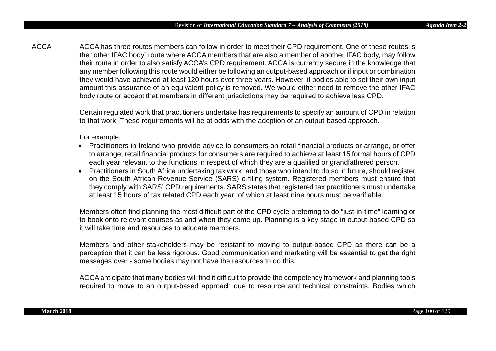ACCA ACCA has three routes members can follow in order to meet their CPD requirement. One of these routes is the "other IFAC body" route where ACCA members that are also a member of another IFAC body, may follow their route in order to also satisfy ACCA's CPD requirement. ACCA is currently secure in the knowledge that any member following this route would either be following an output-based approach or if input or combination they would have achieved at least 120 hours over three years. However, if bodies able to set their own input amount this assurance of an equivalent policy is removed. We would either need to remove the other IFAC body route or accept that members in different jurisdictions may be required to achieve less CPD.

> Certain regulated work that practitioners undertake has requirements to specify an amount of CPD in relation to that work. These requirements will be at odds with the adoption of an output-based approach.

For example:

- Practitioners in Ireland who provide advice to consumers on retail financial products or arrange, or offer to arrange, retail financial products for consumers are required to achieve at least 15 formal hours of CPD each year relevant to the functions in respect of which they are a qualified or grandfathered person.
- Practitioners in South Africa undertaking tax work, and those who intend to do so in future, should register on the South African Revenue Service (SARS) e-filing system. Registered members must ensure that they comply with SARS' CPD requirements. SARS states that registered tax practitioners must undertake at least 15 hours of tax related CPD each year, of which at least nine hours must be verifiable.

Members often find planning the most difficult part of the CPD cycle preferring to do "just-in-time" learning or to book onto relevant courses as and when they come up. Planning is a key stage in output-based CPD so it will take time and resources to educate members.

Members and other stakeholders may be resistant to moving to output-based CPD as there can be a perception that it can be less rigorous. Good communication and marketing will be essential to get the right messages over - some bodies may not have the resources to do this.

ACCA anticipate that many bodies will find it difficult to provide the competency framework and planning tools required to move to an output-based approach due to resource and technical constraints. Bodies which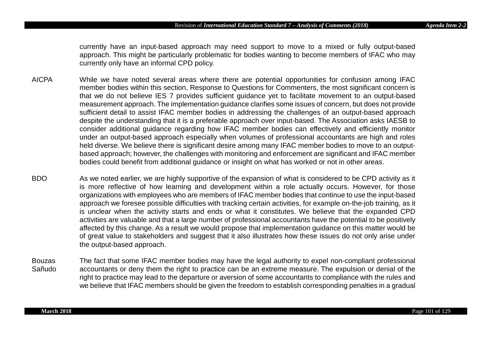currently have an input-based approach may need support to move to a mixed or fully output-based approach. This might be particularly problematic for bodies wanting to become members of IFAC who may currently only have an informal CPD policy.

- AICPA While we have noted several areas where there are potential opportunities for confusion among IFAC member bodies within this section, Response to Questions for Commenters, the most significant concern is that we do not believe IES 7 provides sufficient guidance yet to facilitate movement to an output-based measurement approach. The implementation guidance clarifies some issues of concern, but does not provide sufficient detail to assist IFAC member bodies in addressing the challenges of an output-based approach despite the understanding that it is a preferable approach over input-based. The Association asks IAESB to consider additional guidance regarding how IFAC member bodies can effectively and efficiently monitor under an output-based approach especially when volumes of professional accountants are high and roles held diverse. We believe there is significant desire among many IFAC member bodies to move to an outputbased approach; however, the challenges with monitoring and enforcement are significant and IFAC member bodies could benefit from additional guidance or insight on what has worked or not in other areas.
- BDO As we noted earlier, we are highly supportive of the expansion of what is considered to be CPD activity as it is more reflective of how learning and development within a role actually occurs. However, for those organizations with employees who are members of IFAC member bodies that continue to use the input-based approach we foresee possible difficulties with tracking certain activities, for example on-the-job training, as it is unclear when the activity starts and ends or what it constitutes. We believe that the expanded CPD activities are valuable and that a large number of professional accountants have the potential to be positively affected by this change. As a result we would propose that implementation guidance on this matter would be of great value to stakeholders and suggest that it also illustrates how these issues do not only arise under the output-based approach.
- Bouzas Sañudo The fact that some IFAC member bodies may have the legal authority to expel non-compliant professional accountants or deny them the right to practice can be an extreme measure. The expulsion or denial of the right to practice may lead to the departure or aversion of some accountants to compliance with the rules and we believe that IFAC members should be given the freedom to establish corresponding penalties in a gradual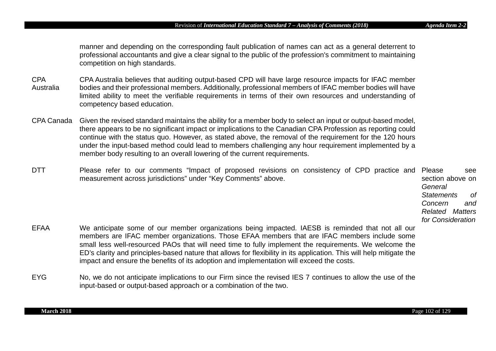manner and depending on the corresponding fault publication of names can act as a general deterrent to professional accountants and give a clear signal to the public of the profession's commitment to maintaining competition on high standards.

- CPA Australia CPA Australia believes that auditing output-based CPD will have large resource impacts for IFAC member bodies and their professional members. Additionally, professional members of IFAC member bodies will have limited ability to meet the verifiable requirements in terms of their own resources and understanding of competency based education.
- CPA Canada Given the revised standard maintains the ability for a member body to select an input or output-based model, there appears to be no significant impact or implications to the Canadian CPA Profession as reporting could continue with the status quo. However, as stated above, the removal of the requirement for the 120 hours under the input-based method could lead to members challenging any hour requirement implemented by a member body resulting to an overall lowering of the current requirements.
- DTT Please refer to our comments "Impact of proposed revisions on consistency of CPD practice and Please see measurement across jurisdictions" under "Key Comments" above. section above on *General* 
	- *Statements of Concern and Related Matters for Consideration*
- EFAA We anticipate some of our member organizations being impacted. IAESB is reminded that not all our members are IFAC member organizations. Those EFAA members that are IFAC members include some small less well-resourced PAOs that will need time to fully implement the requirements. We welcome the ED's clarity and principles-based nature that allows for flexibility in its application. This will help mitigate the impact and ensure the benefits of its adoption and implementation will exceed the costs.
- EYG No, we do not anticipate implications to our Firm since the revised IES 7 continues to allow the use of the input-based or output-based approach or a combination of the two.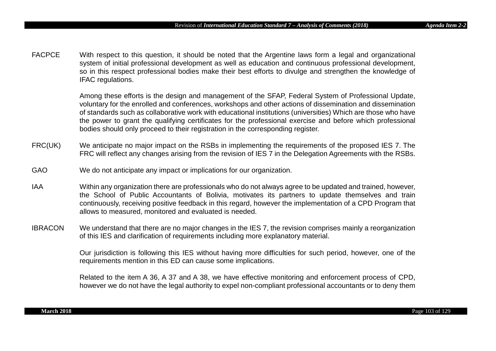FACPCE With respect to this question, it should be noted that the Argentine laws form a legal and organizational system of initial professional development as well as education and continuous professional development, so in this respect professional bodies make their best efforts to divulge and strengthen the knowledge of IFAC regulations.

> Among these efforts is the design and management of the SFAP, Federal System of Professional Update, voluntary for the enrolled and conferences, workshops and other actions of dissemination and dissemination of standards such as collaborative work with educational institutions (universities) Which are those who have the power to grant the qualifying certificates for the professional exercise and before which professional bodies should only proceed to their registration in the corresponding register.

- FRC(UK) We anticipate no major impact on the RSBs in implementing the requirements of the proposed IES 7. The FRC will reflect any changes arising from the revision of IES 7 in the Delegation Agreements with the RSBs.
- GAO We do not anticipate any impact or implications for our organization.
- IAA Within any organization there are professionals who do not always agree to be updated and trained, however, the School of Public Accountants of Bolivia, motivates its partners to update themselves and train continuously, receiving positive feedback in this regard, however the implementation of a CPD Program that allows to measured, monitored and evaluated is needed.
- IBRACON We understand that there are no major changes in the IES 7, the revision comprises mainly a reorganization of this IES and clarification of requirements including more explanatory material.

Our jurisdiction is following this IES without having more difficulties for such period, however, one of the requirements mention in this ED can cause some implications.

Related to the item A 36, A 37 and A 38, we have effective monitoring and enforcement process of CPD, however we do not have the legal authority to expel non-compliant professional accountants or to deny them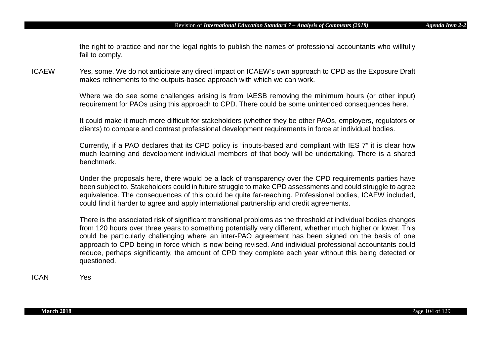the right to practice and nor the legal rights to publish the names of professional accountants who willfully fail to comply.

ICAEW Yes, some. We do not anticipate any direct impact on ICAEW's own approach to CPD as the Exposure Draft makes refinements to the outputs-based approach with which we can work.

> Where we do see some challenges arising is from IAESB removing the minimum hours (or other input) requirement for PAOs using this approach to CPD. There could be some unintended consequences here.

> It could make it much more difficult for stakeholders (whether they be other PAOs, employers, regulators or clients) to compare and contrast professional development requirements in force at individual bodies.

> Currently, if a PAO declares that its CPD policy is "inputs-based and compliant with IES 7" it is clear how much learning and development individual members of that body will be undertaking. There is a shared benchmark.

> Under the proposals here, there would be a lack of transparency over the CPD requirements parties have been subject to. Stakeholders could in future struggle to make CPD assessments and could struggle to agree equivalence. The consequences of this could be quite far-reaching. Professional bodies, ICAEW included, could find it harder to agree and apply international partnership and credit agreements.

> There is the associated risk of significant transitional problems as the threshold at individual bodies changes from 120 hours over three years to something potentially very different, whether much higher or lower. This could be particularly challenging where an inter-PAO agreement has been signed on the basis of one approach to CPD being in force which is now being revised. And individual professional accountants could reduce, perhaps significantly, the amount of CPD they complete each year without this being detected or questioned.

ICAN Yes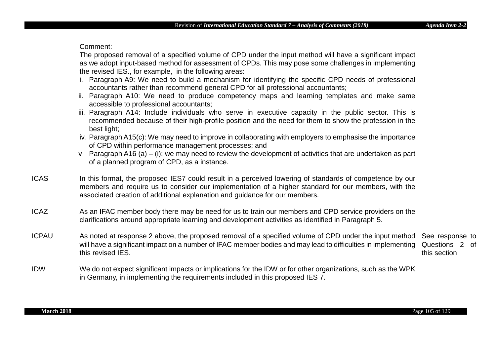Comment:

The proposed removal of a specified volume of CPD under the input method will have a significant impact as we adopt input-based method for assessment of CPDs. This may pose some challenges in implementing the revised IES., for example, in the following areas:

- i. Paragraph A9: We need to build a mechanism for identifying the specific CPD needs of professional accountants rather than recommend general CPD for all professional accountants;
- ii. Paragraph A10: We need to produce competency maps and learning templates and make same accessible to professional accountants;
- iii. Paragraph A14: Include individuals who serve in executive capacity in the public sector. This is recommended because of their high-profile position and the need for them to show the profession in the best light;
- iv. Paragraph A15(c): We may need to improve in collaborating with employers to emphasise the importance of CPD within performance management processes; and
- v Paragraph A16 (a) (i): we may need to review the development of activities that are undertaken as part of a planned program of CPD, as a instance.
- ICAS In this format, the proposed IES7 could result in a perceived lowering of standards of competence by our members and require us to consider our implementation of a higher standard for our members, with the associated creation of additional explanation and guidance for our members.
- ICAZ As an IFAC member body there may be need for us to train our members and CPD service providers on the clarifications around appropriate learning and development activities as identified in Paragraph 5.
- ICPAU As noted at response 2 above, the proposed removal of a specified volume of CPD under the input method See response to will have a significant impact on a number of IFAC member bodies and may lead to difficulties in implementing this revised IES. Questions 2 of this section
- IDW We do not expect significant impacts or implications for the IDW or for other organizations, such as the WPK in Germany, in implementing the requirements included in this proposed IES 7.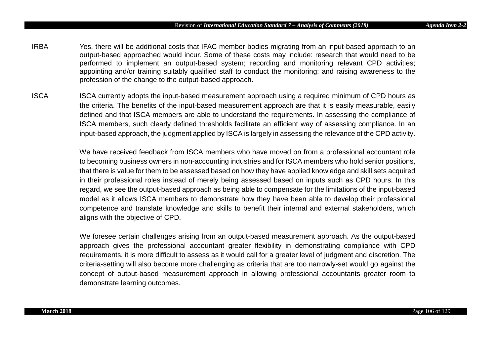- IRBA Yes, there will be additional costs that IFAC member bodies migrating from an input-based approach to an output-based approached would incur. Some of these costs may include: research that would need to be performed to implement an output-based system; recording and monitoring relevant CPD activities; appointing and/or training suitably qualified staff to conduct the monitoring; and raising awareness to the profession of the change to the output-based approach.
- ISCA ISCA currently adopts the input-based measurement approach using a required minimum of CPD hours as the criteria. The benefits of the input-based measurement approach are that it is easily measurable, easily defined and that ISCA members are able to understand the requirements. In assessing the compliance of ISCA members, such clearly defined thresholds facilitate an efficient way of assessing compliance. In an input-based approach, the judgment applied by ISCA is largely in assessing the relevance of the CPD activity.

We have received feedback from ISCA members who have moved on from a professional accountant role to becoming business owners in non-accounting industries and for ISCA members who hold senior positions, that there is value for them to be assessed based on how they have applied knowledge and skill sets acquired in their professional roles instead of merely being assessed based on inputs such as CPD hours. In this regard, we see the output-based approach as being able to compensate for the limitations of the input-based model as it allows ISCA members to demonstrate how they have been able to develop their professional competence and translate knowledge and skills to benefit their internal and external stakeholders, which aligns with the objective of CPD.

We foresee certain challenges arising from an output-based measurement approach. As the output-based approach gives the professional accountant greater flexibility in demonstrating compliance with CPD requirements, it is more difficult to assess as it would call for a greater level of judgment and discretion. The criteria-setting will also become more challenging as criteria that are too narrowly-set would go against the concept of output-based measurement approach in allowing professional accountants greater room to demonstrate learning outcomes.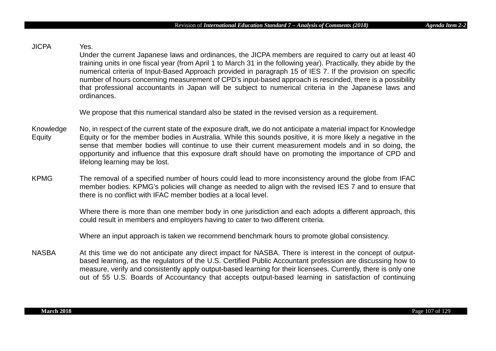# JICPA Yes.

Under the current Japanese laws and ordinances, the JICPA members are required to carry out at least 40 training units in one fiscal year (from April 1 to March 31 in the following year). Practically, they abide by the numerical criteria of Input-Based Approach provided in paragraph 15 of IES 7. If the provision on specific number of hours concerning measurement of CPD's input-based approach is rescinded, there is a possibility that professional accountants in Japan will be subject to numerical criteria in the Japanese laws and ordinances.

We propose that this numerical standard also be stated in the revised version as a requirement.

- Knowledge **Equity** No, in respect of the current state of the exposure draft, we do not anticipate a material impact for Knowledge Equity or for the member bodies in Australia. While this sounds positive, it is more likely a negative in the sense that member bodies will continue to use their current measurement models and in so doing, the opportunity and influence that this exposure draft should have on promoting the importance of CPD and lifelong learning may be lost.
- KPMG The removal of a specified number of hours could lead to more inconsistency around the globe from IFAC member bodies. KPMG's policies will change as needed to align with the revised IES 7 and to ensure that there is no conflict with IFAC member bodies at a local level.

Where there is more than one member body in one jurisdiction and each adopts a different approach, this could result in members and employers having to cater to two different criteria.

Where an input approach is taken we recommend benchmark hours to promote global consistency.

NASBA At this time we do not anticipate any direct impact for NASBA. There is interest in the concept of outputbased learning, as the regulators of the U.S. Certified Public Accountant profession are discussing how to measure, verify and consistently apply output-based learning for their licensees. Currently, there is only one out of 55 U.S. Boards of Accountancy that accepts output-based learning in satisfaction of continuing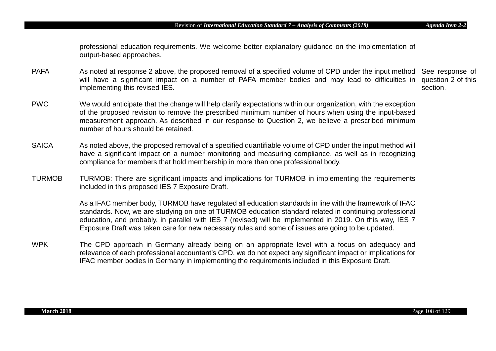professional education requirements. We welcome better explanatory guidance on the implementation of output-based approaches.

- PAFA Sanoted at response 2 above, the proposed removal of a specified volume of CPD under the input method See response of will have a significant impact on a number of PAFA member bodies and may lead to difficulties in question 2 of this implementing this revised IES. section.
- PWC We would anticipate that the change will help clarify expectations within our organization, with the exception of the proposed revision to remove the prescribed minimum number of hours when using the input-based measurement approach. As described in our response to Question 2, we believe a prescribed minimum number of hours should be retained.
- SAICA As noted above, the proposed removal of a specified quantifiable volume of CPD under the input method will have a significant impact on a number monitoring and measuring compliance, as well as in recognizing compliance for members that hold membership in more than one professional body.
- TURMOB TURMOB: There are significant impacts and implications for TURMOB in implementing the requirements included in this proposed IES 7 Exposure Draft.

As a IFAC member body, TURMOB have regulated all education standards in line with the framework of IFAC standards. Now, we are studying on one of TURMOB education standard related in continuing professional education, and probably, in parallel with IES 7 (revised) will be implemented in 2019. On this way, IES 7 Exposure Draft was taken care for new necessary rules and some of issues are going to be updated.

WPK The CPD approach in Germany already being on an appropriate level with a focus on adequacy and relevance of each professional accountant's CPD, we do not expect any significant impact or implications for IFAC member bodies in Germany in implementing the requirements included in this Exposure Draft.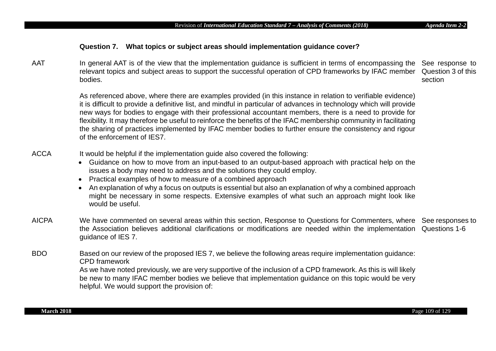# **Question 7. What topics or subject areas should implementation guidance cover?**

AAT share the general AAT is of the view that the implementation guidance is sufficient in terms of encompassing the See response to relevant topics and subject areas to support the successful operation of CPD frameworks by IFAC member bodies. Question 3 of this section

> As referenced above, where there are examples provided (in this instance in relation to verifiable evidence) it is difficult to provide a definitive list, and mindful in particular of advances in technology which will provide new ways for bodies to engage with their professional accountant members, there is a need to provide for flexibility. It may therefore be useful to reinforce the benefits of the IFAC membership community in facilitating the sharing of practices implemented by IFAC member bodies to further ensure the consistency and rigour of the enforcement of IES7.

- ACCA It would be helpful if the implementation guide also covered the following:
	- Guidance on how to move from an input-based to an output-based approach with practical help on the issues a body may need to address and the solutions they could employ.
	- Practical examples of how to measure of a combined approach
	- An explanation of why a focus on outputs is essential but also an explanation of why a combined approach might be necessary in some respects. Extensive examples of what such an approach might look like would be useful.
- AICPA We have commented on several areas within this section, Response to Questions for Commenters, where See responses to the Association believes additional clarifications or modifications are needed within the implementation Questions 1-6 guidance of IES 7.
- BDO Based on our review of the proposed IES 7, we believe the following areas require implementation guidance: CPD framework

As we have noted previously, we are very supportive of the inclusion of a CPD framework. As this is will likely be new to many IFAC member bodies we believe that implementation guidance on this topic would be very helpful. We would support the provision of: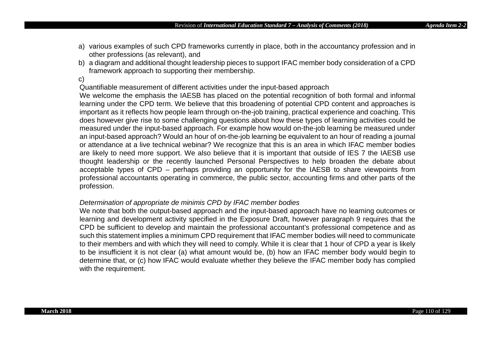- a) various examples of such CPD frameworks currently in place, both in the accountancy profession and in other professions (as relevant), and
- b) a diagram and additional thought leadership pieces to support IFAC member body consideration of a CPD framework approach to supporting their membership.
- c)

Quantifiable measurement of different activities under the input-based approach

We welcome the emphasis the IAESB has placed on the potential recognition of both formal and informal learning under the CPD term. We believe that this broadening of potential CPD content and approaches is important as it reflects how people learn through on-the-job training, practical experience and coaching. This does however give rise to some challenging questions about how these types of learning activities could be measured under the input-based approach. For example how would on-the-job learning be measured under an input-based approach? Would an hour of on-the-job learning be equivalent to an hour of reading a journal or attendance at a live technical webinar? We recognize that this is an area in which IFAC member bodies are likely to need more support. We also believe that it is important that outside of IES 7 the IAESB use thought leadership or the recently launched Personal Perspectives to help broaden the debate about acceptable types of CPD – perhaps providing an opportunity for the IAESB to share viewpoints from professional accountants operating in commerce, the public sector, accounting firms and other parts of the profession.

## *Determination of appropriate de minimis CPD by IFAC member bodies*

We note that both the output-based approach and the input-based approach have no learning outcomes or learning and development activity specified in the Exposure Draft, however paragraph 9 requires that the CPD be sufficient to develop and maintain the professional accountant's professional competence and as such this statement implies a minimum CPD requirement that IFAC member bodies will need to communicate to their members and with which they will need to comply. While it is clear that 1 hour of CPD a year is likely to be insufficient it is not clear (a) what amount would be, (b) how an IFAC member body would begin to determine that, or (c) how IFAC would evaluate whether they believe the IFAC member body has complied with the requirement.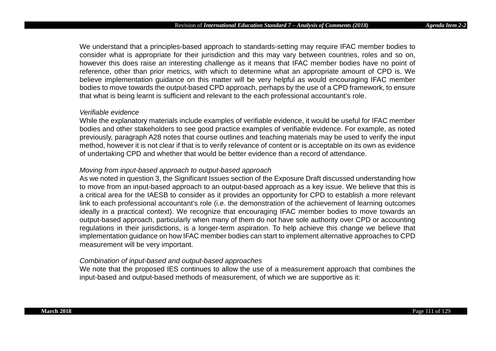We understand that a principles-based approach to standards-setting may require IFAC member bodies to consider what is appropriate for their jurisdiction and this may vary between countries, roles and so on, however this does raise an interesting challenge as it means that IFAC member bodies have no point of reference, other than prior metrics, with which to determine what an appropriate amount of CPD is. We believe implementation guidance on this matter will be very helpful as would encouraging IFAC member bodies to move towards the output-based CPD approach, perhaps by the use of a CPD framework, to ensure that what is being learnt is sufficient and relevant to the each professional accountant's role.

#### *Verifiable evidence*

While the explanatory materials include examples of verifiable evidence, it would be useful for IFAC member bodies and other stakeholders to see good practice examples of verifiable evidence. For example, as noted previously, paragraph A28 notes that course outlines and teaching materials may be used to verify the input method, however it is not clear if that is to verify relevance of content or is acceptable on its own as evidence of undertaking CPD and whether that would be better evidence than a record of attendance.

# *Moving from input-based approach to output-based approach*

As we noted in question 3, the Significant Issues section of the Exposure Draft discussed understanding how to move from an input-based approach to an output-based approach as a key issue. We believe that this is a critical area for the IAESB to consider as it provides an opportunity for CPD to establish a more relevant link to each professional accountant's role (i.e. the demonstration of the achievement of learning outcomes ideally in a practical context). We recognize that encouraging IFAC member bodies to move towards an output-based approach, particularly when many of them do not have sole authority over CPD or accounting regulations in their jurisdictions, is a longer-term aspiration. To help achieve this change we believe that implementation guidance on how IFAC member bodies can start to implement alternative approaches to CPD measurement will be very important.

# *Combination of input-based and output-based approaches*

We note that the proposed IES continues to allow the use of a measurement approach that combines the input-based and output-based methods of measurement, of which we are supportive as it: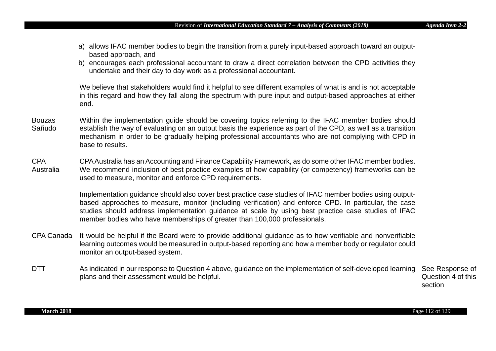- a) allows IFAC member bodies to begin the transition from a purely input-based approach toward an outputbased approach, and
- b) encourages each professional accountant to draw a direct correlation between the CPD activities they undertake and their day to day work as a professional accountant.

We believe that stakeholders would find it helpful to see different examples of what is and is not acceptable in this regard and how they fall along the spectrum with pure input and output-based approaches at either end.

- Bouzas Sañudo Within the implementation guide should be covering topics referring to the IFAC member bodies should establish the way of evaluating on an output basis the experience as part of the CPD, as well as a transition mechanism in order to be gradually helping professional accountants who are not complying with CPD in base to results.
- CPA Australia CPA Australia has an Accounting and Finance Capability Framework, as do some other IFAC member bodies. We recommend inclusion of best practice examples of how capability (or competency) frameworks can be used to measure, monitor and enforce CPD requirements.

Implementation guidance should also cover best practice case studies of IFAC member bodies using outputbased approaches to measure, monitor (including verification) and enforce CPD. In particular, the case studies should address implementation guidance at scale by using best practice case studies of IFAC member bodies who have memberships of greater than 100,000 professionals.

- CPA Canada It would be helpful if the Board were to provide additional guidance as to how verifiable and nonverifiable learning outcomes would be measured in output-based reporting and how a member body or regulator could monitor an output-based system.
- DTT As indicated in our response to Question 4 above, guidance on the implementation of self-developed learning plans and their assessment would be helpful.

See Response of Question 4 of this section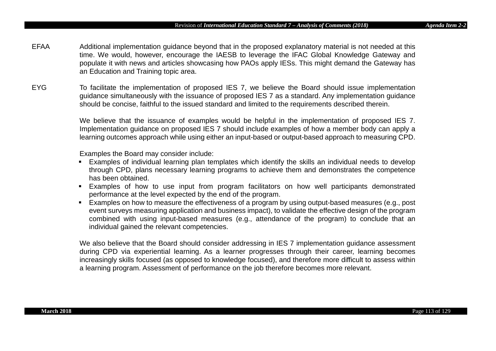- EFAA Additional implementation guidance beyond that in the proposed explanatory material is not needed at this time. We would, however, encourage the IAESB to leverage the IFAC Global Knowledge Gateway and populate it with news and articles showcasing how PAOs apply IESs. This might demand the Gateway has an Education and Training topic area.
- EYG To facilitate the implementation of proposed IES 7, we believe the Board should issue implementation guidance simultaneously with the issuance of proposed IES 7 as a standard. Any implementation guidance should be concise, faithful to the issued standard and limited to the requirements described therein.

We believe that the issuance of examples would be helpful in the implementation of proposed IES 7. Implementation guidance on proposed IES 7 should include examples of how a member body can apply a learning outcomes approach while using either an input-based or output-based approach to measuring CPD.

Examples the Board may consider include:

- Examples of individual learning plan templates which identify the skills an individual needs to develop through CPD, plans necessary learning programs to achieve them and demonstrates the competence has been obtained.
- Examples of how to use input from program facilitators on how well participants demonstrated performance at the level expected by the end of the program.
- **Examples on how to measure the effectiveness of a program by using output-based measures (e.g., post** event surveys measuring application and business impact), to validate the effective design of the program combined with using input-based measures (e.g., attendance of the program) to conclude that an individual gained the relevant competencies.

We also believe that the Board should consider addressing in IES 7 implementation guidance assessment during CPD via experiential learning. As a learner progresses through their career, learning becomes increasingly skills focused (as opposed to knowledge focused), and therefore more difficult to assess within a learning program. Assessment of performance on the job therefore becomes more relevant.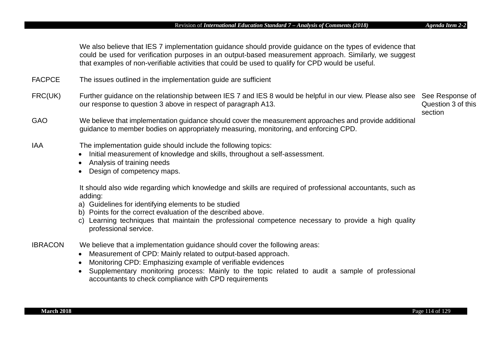We also believe that IES 7 implementation guidance should provide guidance on the types of evidence that could be used for verification purposes in an output-based measurement approach. Similarly, we suggest that examples of non-verifiable activities that could be used to qualify for CPD would be useful.

- FACPCE The issues outlined in the implementation guide are sufficient
- FRC(UK) Further guidance on the relationship between IES 7 and IES 8 would be helpful in our view. Please also see See Response of our response to question 3 above in respect of paragraph A13.

Question 3 of this section

- GAO We believe that implementation guidance should cover the measurement approaches and provide additional guidance to member bodies on appropriately measuring, monitoring, and enforcing CPD.
- IAA The implementation guide should include the following topics:
	- Initial measurement of knowledge and skills, throughout a self-assessment.
	- Analysis of training needs
	- Design of competency maps.

It should also wide regarding which knowledge and skills are required of professional accountants, such as adding:

- a) Guidelines for identifying elements to be studied
- b) Points for the correct evaluation of the described above.
- c) Learning techniques that maintain the professional competence necessary to provide a high quality professional service.
- IBRACON We believe that a implementation guidance should cover the following areas:
	- Measurement of CPD: Mainly related to output-based approach.
	- Monitoring CPD: Emphasizing example of verifiable evidences
	- Supplementary monitoring process: Mainly to the topic related to audit a sample of professional accountants to check compliance with CPD requirements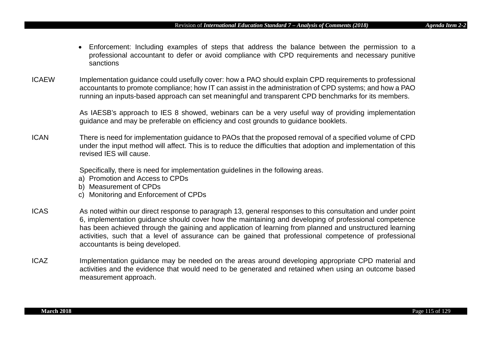- Enforcement: Including examples of steps that address the balance between the permission to a professional accountant to defer or avoid compliance with CPD requirements and necessary punitive sanctions
- ICAEW Implementation guidance could usefully cover: how a PAO should explain CPD requirements to professional accountants to promote compliance; how IT can assist in the administration of CPD systems; and how a PAO running an inputs-based approach can set meaningful and transparent CPD benchmarks for its members.

As IAESB's approach to IES 8 showed, webinars can be a very useful way of providing implementation guidance and may be preferable on efficiency and cost grounds to guidance booklets.

ICAN There is need for implementation guidance to PAOs that the proposed removal of a specified volume of CPD under the input method will affect. This is to reduce the difficulties that adoption and implementation of this revised IES will cause.

Specifically, there is need for implementation guidelines in the following areas.

- a) Promotion and Access to CPDs
- b) Measurement of CPDs
- c) Monitoring and Enforcement of CPDs
- ICAS As noted within our direct response to paragraph 13, general responses to this consultation and under point 6, implementation guidance should cover how the maintaining and developing of professional competence has been achieved through the gaining and application of learning from planned and unstructured learning activities, such that a level of assurance can be gained that professional competence of professional accountants is being developed.
- ICAZ Implementation guidance may be needed on the areas around developing appropriate CPD material and activities and the evidence that would need to be generated and retained when using an outcome based measurement approach.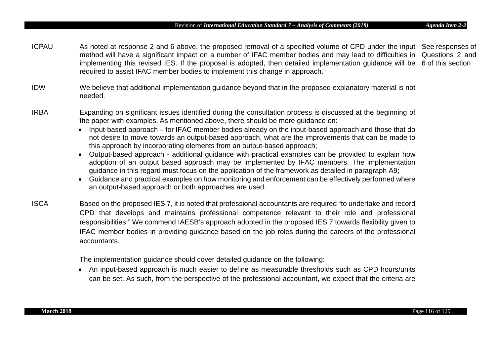#### Revision of *International Education Standard 7 – Analysis of Comments (2018) Agenda Item 2-2*

- ICPAU As noted at response 2 and 6 above, the proposed removal of a specified volume of CPD under the input See responses of method will have a significant impact on a number of IFAC member bodies and may lead to difficulties in Questions 2 and implementing this revised IES. If the proposal is adopted, then detailed implementation guidance will be 6 of this section required to assist IFAC member bodies to implement this change in approach.
- IDW We believe that additional implementation guidance beyond that in the proposed explanatory material is not needed.
- IRBA Expanding on significant issues identified during the consultation process is discussed at the beginning of the paper with examples. As mentioned above, there should be more guidance on:
	- Input-based approach for IFAC member bodies already on the input-based approach and those that do not desire to move towards an output-based approach, what are the improvements that can be made to this approach by incorporating elements from an output-based approach;
	- Output-based approach additional guidance with practical examples can be provided to explain how adoption of an output based approach may be implemented by IFAC members. The implementation guidance in this regard must focus on the application of the framework as detailed in paragraph A9;
	- Guidance and practical examples on how monitoring and enforcement can be effectively performed where an output-based approach or both approaches are used.
- ISCA Based on the proposed IES 7, it is noted that professional accountants are required "to undertake and record CPD that develops and maintains professional competence relevant to their role and professional responsibilities." We commend IAESB's approach adopted in the proposed IES 7 towards flexibility given to IFAC member bodies in providing guidance based on the job roles during the careers of the professional accountants.

The implementation guidance should cover detailed guidance on the following:

• An input-based approach is much easier to define as measurable thresholds such as CPD hours/units can be set. As such, from the perspective of the professional accountant, we expect that the criteria are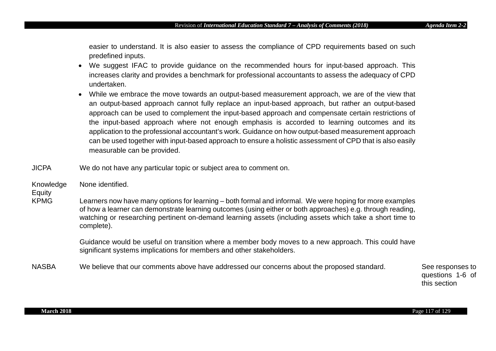easier to understand. It is also easier to assess the compliance of CPD requirements based on such predefined inputs.

- We suggest IFAC to provide guidance on the recommended hours for input-based approach. This increases clarity and provides a benchmark for professional accountants to assess the adequacy of CPD undertaken.
- While we embrace the move towards an output-based measurement approach, we are of the view that an output-based approach cannot fully replace an input-based approach, but rather an output-based approach can be used to complement the input-based approach and compensate certain restrictions of the input-based approach where not enough emphasis is accorded to learning outcomes and its application to the professional accountant's work. Guidance on how output-based measurement approach can be used together with input-based approach to ensure a holistic assessment of CPD that is also easily measurable can be provided.
- JICPA We do not have any particular topic or subject area to comment on.

Knowledge None identified.

# Equity

KPMG Learners now have many options for learning – both formal and informal. We were hoping for more examples of how a learner can demonstrate learning outcomes (using either or both approaches) e.g. through reading, watching or researching pertinent on-demand learning assets (including assets which take a short time to complete).

> Guidance would be useful on transition where a member body moves to a new approach. This could have significant systems implications for members and other stakeholders.

NASBA We believe that our comments above have addressed our concerns about the proposed standard. See responses to

questions 1-6 of this section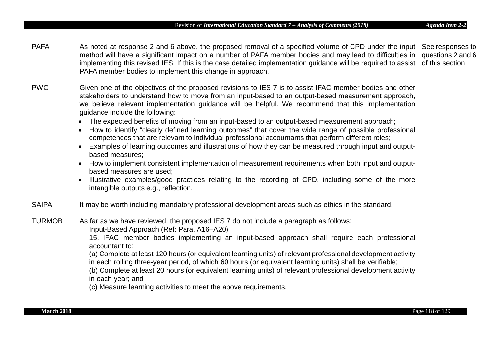PAFA Samoted at response 2 and 6 above, the proposed removal of a specified volume of CPD under the input See responses to method will have a significant impact on a number of PAFA member bodies and may lead to difficulties in questions 2 and 6 implementing this revised IES. If this is the case detailed implementation guidance will be required to assist of this section PAFA member bodies to implement this change in approach.

- PWC Given one of the objectives of the proposed revisions to IES 7 is to assist IFAC member bodies and other stakeholders to understand how to move from an input-based to an output-based measurement approach, we believe relevant implementation guidance will be helpful. We recommend that this implementation guidance include the following:
	- The expected benefits of moving from an input-based to an output-based measurement approach;
	- How to identify "clearly defined learning outcomes" that cover the wide range of possible professional competences that are relevant to individual professional accountants that perform different roles;
	- Examples of learning outcomes and illustrations of how they can be measured through input and outputbased measures;
	- How to implement consistent implementation of measurement requirements when both input and outputbased measures are used;
	- Illustrative examples/good practices relating to the recording of CPD, including some of the more intangible outputs e.g., reflection.
- SAIPA It may be worth including mandatory professional development areas such as ethics in the standard.
- TURMOB As far as we have reviewed, the proposed IES 7 do not include a paragraph as follows: Input-Based Approach (Ref: Para. A16–A20)

15. IFAC member bodies implementing an input-based approach shall require each professional accountant to:

(a) Complete at least 120 hours (or equivalent learning units) of relevant professional development activity in each rolling three-year period, of which 60 hours (or equivalent learning units) shall be verifiable;

(b) Complete at least 20 hours (or equivalent learning units) of relevant professional development activity in each year; and

(c) Measure learning activities to meet the above requirements.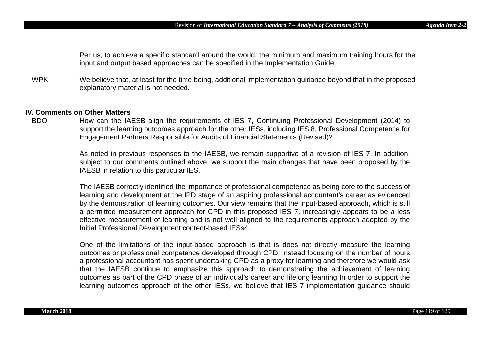Per us, to achieve a specific standard around the world, the minimum and maximum training hours for the input and output based approaches can be specified in the Implementation Guide.

WPK We believe that, at least for the time being, additional implementation guidance beyond that in the proposed explanatory material is not needed.

# **IV. Comments on Other Matters**

How can the IAESB align the requirements of IES 7, Continuing Professional Development (2014) to support the learning outcomes approach for the other IESs, including IES 8, Professional Competence for Engagement Partners Responsible for Audits of Financial Statements (Revised)?

> As noted in previous responses to the IAESB, we remain supportive of a revision of IES 7. In addition, subject to our comments outlined above, we support the main changes that have been proposed by the IAESB in relation to this particular IES.

> The IAESB correctly identified the importance of professional competence as being core to the success of learning and development at the IPD stage of an aspiring professional accountant's career as evidenced by the demonstration of learning outcomes. Our view remains that the input-based approach, which is still a permitted measurement approach for CPD in this proposed IES 7, increasingly appears to be a less effective measurement of learning and is not well aligned to the requirements approach adopted by the Initial Professional Development content-based IESs4.

> One of the limitations of the input-based approach is that is does not directly measure the learning outcomes or professional competence developed through CPD, instead focusing on the number of hours a professional accountant has spent undertaking CPD as a proxy for learning and therefore we would ask that the IAESB continue to emphasize this approach to demonstrating the achievement of learning outcomes as part of the CPD phase of an individual's career and lifelong learning In order to support the learning outcomes approach of the other IESs, we believe that IES 7 implementation guidance should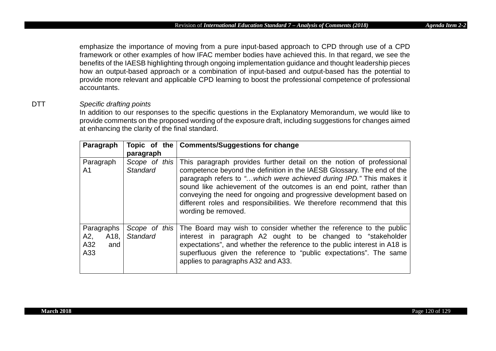emphasize the importance of moving from a pure input-based approach to CPD through use of a CPD framework or other examples of how IFAC member bodies have achieved this. In that regard, we see the benefits of the IAESB highlighting through ongoing implementation guidance and thought leadership pieces how an output-based approach or a combination of input-based and output-based has the potential to provide more relevant and applicable CPD learning to boost the professional competence of professional accountants.

# DTT *Specific drafting points*

In addition to our responses to the specific questions in the Explanatory Memorandum, we would like to provide comments on the proposed wording of the exposure draft, including suggestions for changes aimed at enhancing the clarity of the final standard.

| Paragraph                                                 | paragraph       | Topic of the   Comments/Suggestions for change                                                                                                                                                                                                                                                                                                                                                                                                                                     |
|-----------------------------------------------------------|-----------------|------------------------------------------------------------------------------------------------------------------------------------------------------------------------------------------------------------------------------------------------------------------------------------------------------------------------------------------------------------------------------------------------------------------------------------------------------------------------------------|
| Paragraph<br>A <sub>1</sub>                               | <b>Standard</b> | Scope of this This paragraph provides further detail on the notion of professional<br>competence beyond the definition in the IAESB Glossary. The end of the<br>paragraph refers to "which were achieved during IPD." This makes it<br>sound like achievement of the outcomes is an end point, rather than<br>conveying the need for ongoing and progressive development based on<br>different roles and responsibilities. We therefore recommend that this<br>wording be removed. |
| Paragraphs<br>A2,<br>A <sub>18</sub><br>A32<br>and<br>A33 | Standard        | Scope of this The Board may wish to consider whether the reference to the public<br>interest in paragraph A2 ought to be changed to "stakeholder<br>expectations", and whether the reference to the public interest in A18 is<br>superfluous given the reference to "public expectations". The same<br>applies to paragraphs A32 and A33.                                                                                                                                          |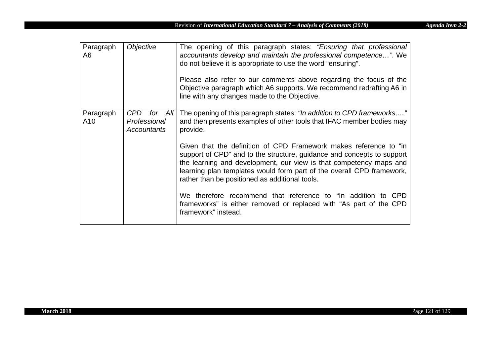| Paragraph<br>A6  | Objective                                            | The opening of this paragraph states: "Ensuring that professional<br>accountants develop and maintain the professional competence". We<br>do not believe it is appropriate to use the word "ensuring".<br>Please also refer to our comments above regarding the focus of the<br>Objective paragraph which A6 supports. We recommend redrafting A6 in<br>line with any changes made to the Objective. |
|------------------|------------------------------------------------------|------------------------------------------------------------------------------------------------------------------------------------------------------------------------------------------------------------------------------------------------------------------------------------------------------------------------------------------------------------------------------------------------------|
| Paragraph<br>A10 | CPD<br>for All<br>Professional<br><b>Accountants</b> | The opening of this paragraph states: "In addition to CPD frameworks,"<br>and then presents examples of other tools that IFAC member bodies may<br>provide.                                                                                                                                                                                                                                          |
|                  |                                                      | Given that the definition of CPD Framework makes reference to "in<br>support of CPD" and to the structure, guidance and concepts to support<br>the learning and development, our view is that competency maps and<br>learning plan templates would form part of the overall CPD framework,<br>rather than be positioned as additional tools.                                                         |
|                  |                                                      | We therefore recommend that reference to "In addition to CPD<br>frameworks" is either removed or replaced with "As part of the CPD<br>framework" instead.                                                                                                                                                                                                                                            |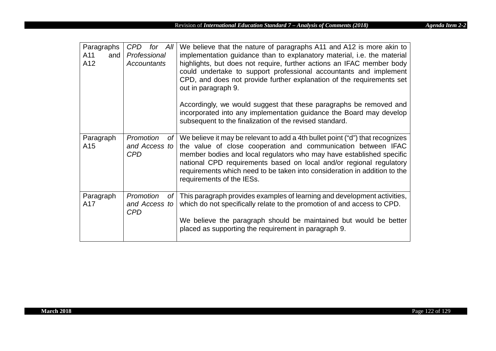| Paragraphs<br>A11<br>and<br>A12 | CPD for All<br>Professional<br><b>Accountants</b>           | We believe that the nature of paragraphs A11 and A12 is more akin to<br>implementation guidance than to explanatory material, i.e. the material<br>highlights, but does not require, further actions an IFAC member body<br>could undertake to support professional accountants and implement<br>CPD, and does not provide further explanation of the requirements set<br>out in paragraph 9.<br>Accordingly, we would suggest that these paragraphs be removed and<br>incorporated into any implementation guidance the Board may develop<br>subsequent to the finalization of the revised standard. |
|---------------------------------|-------------------------------------------------------------|-------------------------------------------------------------------------------------------------------------------------------------------------------------------------------------------------------------------------------------------------------------------------------------------------------------------------------------------------------------------------------------------------------------------------------------------------------------------------------------------------------------------------------------------------------------------------------------------------------|
| Paragraph<br>A15                | Promotion<br>of <sub>l</sub><br>and Access to<br><b>CPD</b> | We believe it may be relevant to add a 4th bullet point ("d") that recognizes<br>the value of close cooperation and communication between IFAC<br>member bodies and local regulators who may have established specific<br>national CPD requirements based on local and/or regional regulatory<br>requirements which need to be taken into consideration in addition to the<br>requirements of the IESs.                                                                                                                                                                                               |
| Paragraph<br>A17                | Promotion<br>of<br>and Access to<br><b>CPD</b>              | This paragraph provides examples of learning and development activities,<br>which do not specifically relate to the promotion of and access to CPD.<br>We believe the paragraph should be maintained but would be better<br>placed as supporting the requirement in paragraph 9.                                                                                                                                                                                                                                                                                                                      |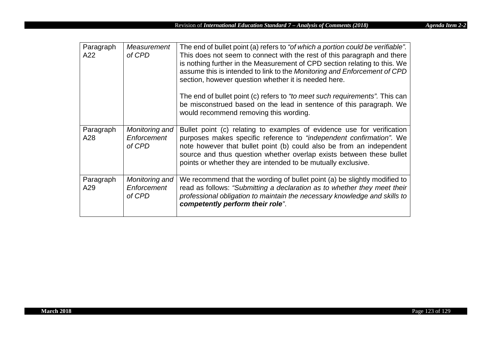| Paragraph<br>A22 | Measurement<br>of CPD                   | The end of bullet point (a) refers to "of which a portion could be verifiable".<br>This does not seem to connect with the rest of this paragraph and there<br>is nothing further in the Measurement of CPD section relating to this. We<br>assume this is intended to link to the Monitoring and Enforcement of CPD<br>section, however question whether it is needed here.<br>The end of bullet point (c) refers to "to meet such requirements". This can<br>be misconstrued based on the lead in sentence of this paragraph. We<br>would recommend removing this wording. |
|------------------|-----------------------------------------|-----------------------------------------------------------------------------------------------------------------------------------------------------------------------------------------------------------------------------------------------------------------------------------------------------------------------------------------------------------------------------------------------------------------------------------------------------------------------------------------------------------------------------------------------------------------------------|
| Paragraph<br>A28 | Monitoring and<br>Enforcement<br>of CPD | Bullet point (c) relating to examples of evidence use for verification<br>purposes makes specific reference to "independent confirmation". We<br>note however that bullet point (b) could also be from an independent<br>source and thus question whether overlap exists between these bullet<br>points or whether they are intended to be mutually exclusive.                                                                                                                                                                                                              |
| Paragraph<br>A29 | Monitoring and<br>Enforcement<br>of CPD | We recommend that the wording of bullet point (a) be slightly modified to<br>read as follows: "Submitting a declaration as to whether they meet their<br>professional obligation to maintain the necessary knowledge and skills to<br>competently perform their role".                                                                                                                                                                                                                                                                                                      |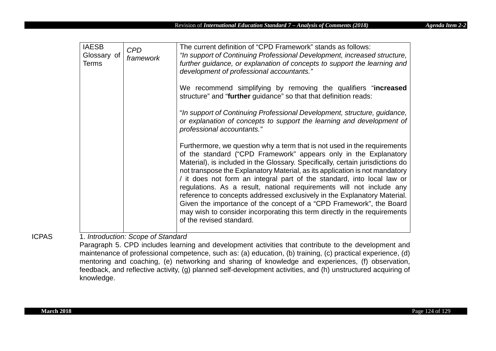| <b>IAESB</b><br>Glossary of<br><b>Terms</b> | <b>CPD</b><br>framework | The current definition of "CPD Framework" stands as follows:<br>"In support of Continuing Professional Development, increased structure,<br>further guidance, or explanation of concepts to support the learning and<br>development of professional accountants."                                                                                                                                                                                                                                                                                                                                                                                                                                                           |
|---------------------------------------------|-------------------------|-----------------------------------------------------------------------------------------------------------------------------------------------------------------------------------------------------------------------------------------------------------------------------------------------------------------------------------------------------------------------------------------------------------------------------------------------------------------------------------------------------------------------------------------------------------------------------------------------------------------------------------------------------------------------------------------------------------------------------|
|                                             |                         | We recommend simplifying by removing the qualifiers "increased<br>structure" and "further guidance" so that that definition reads:                                                                                                                                                                                                                                                                                                                                                                                                                                                                                                                                                                                          |
|                                             |                         | "In support of Continuing Professional Development, structure, guidance,<br>or explanation of concepts to support the learning and development of<br>professional accountants."                                                                                                                                                                                                                                                                                                                                                                                                                                                                                                                                             |
|                                             |                         | Furthermore, we question why a term that is not used in the requirements<br>of the standard ("CPD Framework" appears only in the Explanatory<br>Material), is included in the Glossary. Specifically, certain jurisdictions do<br>not transpose the Explanatory Material, as its application is not mandatory<br>/ it does not form an integral part of the standard, into local law or<br>regulations. As a result, national requirements will not include any<br>reference to concepts addressed exclusively in the Explanatory Material.<br>Given the importance of the concept of a "CPD Framework", the Board<br>may wish to consider incorporating this term directly in the requirements<br>of the revised standard. |

ICPAS 1. *Introduction: Scope of Standard* 

Paragraph 5. CPD includes learning and development activities that contribute to the development and maintenance of professional competence, such as: (a) education, (b) training, (c) practical experience, (d) mentoring and coaching, (e) networking and sharing of knowledge and experiences, (f) observation, feedback, and reflective activity, (g) planned self-development activities, and (h) unstructured acquiring of knowledge.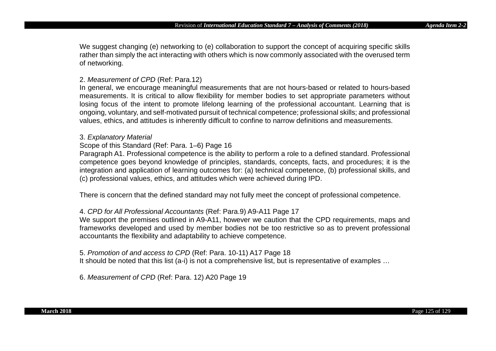We suggest changing (e) networking to (e) collaboration to support the concept of acquiring specific skills rather than simply the act interacting with others which is now commonly associated with the overused term of networking.

## 2. *Measurement of CPD* (Ref: Para.12)

In general, we encourage meaningful measurements that are not hours-based or related to hours-based measurements. It is critical to allow flexibility for member bodies to set appropriate parameters without losing focus of the intent to promote lifelong learning of the professional accountant. Learning that is ongoing, voluntary, and self-motivated pursuit of technical competence; professional skills; and professional values, ethics, and attitudes is inherently difficult to confine to narrow definitions and measurements.

#### 3. *Explanatory Material*

# Scope of this Standard (Ref: Para. 1–6) Page 16

Paragraph A1. Professional competence is the ability to perform a role to a defined standard. Professional competence goes beyond knowledge of principles, standards, concepts, facts, and procedures; it is the integration and application of learning outcomes for: (a) technical competence, (b) professional skills, and (c) professional values, ethics, and attitudes which were achieved during IPD.

There is concern that the defined standard may not fully meet the concept of professional competence.

# 4. *CPD for All Professional Accountants* (Ref: Para.9) A9-A11 Page 17

We support the premises outlined in A9-A11, however we caution that the CPD requirements, maps and frameworks developed and used by member bodies not be too restrictive so as to prevent professional accountants the flexibility and adaptability to achieve competence.

# 5. *Promotion of and access to CPD* (Ref: Para. 10-11) A17 Page 18

It should be noted that this list (a-i) is not a comprehensive list, but is representative of examples ...

6. *Measurement of CPD* (Ref: Para. 12) A20 Page 19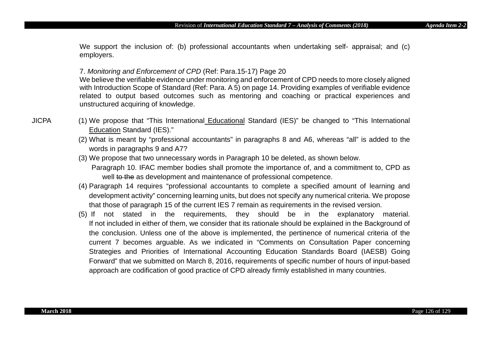We support the inclusion of: (b) professional accountants when undertaking self- appraisal; and (c) employers.

# 7. *Monitoring and Enforcement of CPD* (Ref: Para.15-17) Page 20

We believe the verifiable evidence under monitoring and enforcement of CPD needs to more closely aligned with Introduction Scope of Standard (Ref: Para. A 5) on page 14. Providing examples of verifiable evidence related to output based outcomes such as mentoring and coaching or practical experiences and unstructured acquiring of knowledge.

- JICPA (1) We propose that "This International Educational Standard (IES)" be changed to "This International Education Standard (IES)."
	- (2) What is meant by "professional accountants" in paragraphs 8 and A6, whereas "all" is added to the words in paragraphs 9 and A7?
	- (3) We propose that two unnecessary words in Paragraph 10 be deleted, as shown below.
		- Paragraph 10. IFAC member bodies shall promote the importance of, and a commitment to, CPD as well to the as development and maintenance of professional competence.
	- (4) Paragraph 14 requires "professional accountants to complete a specified amount of learning and development activity" concerning learning units, but does not specify any numerical criteria. We propose that those of paragraph 15 of the current IES 7 remain as requirements in the revised version.
	- (5) If not stated in the requirements, they should be in the explanatory material. If not included in either of them, we consider that its rationale should be explained in the Background of the conclusion. Unless one of the above is implemented, the pertinence of numerical criteria of the current 7 becomes arguable. As we indicated in "Comments on Consultation Paper concerning Strategies and Priorities of International Accounting Education Standards Board (IAESB) Going Forward" that we submitted on March 8, 2016, requirements of specific number of hours of input-based approach are codification of good practice of CPD already firmly established in many countries.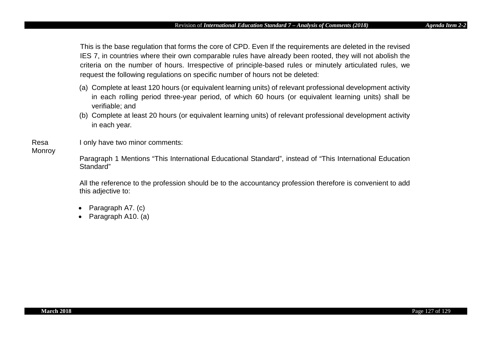This is the base regulation that forms the core of CPD. Even If the requirements are deleted in the revised IES 7, in countries where their own comparable rules have already been rooted, they will not abolish the criteria on the number of hours. Irrespective of principle-based rules or minutely articulated rules, we request the following regulations on specific number of hours not be deleted:

- (a) Complete at least 120 hours (or equivalent learning units) of relevant professional development activity in each rolling period three-year period, of which 60 hours (or equivalent learning units) shall be verifiable; and
- (b) Complete at least 20 hours (or equivalent learning units) of relevant professional development activity in each year.

I only have two minor comments:

# **Monroy**

Resa

Paragraph 1 Mentions "This International Educational Standard", instead of "This International Education Standard"

All the reference to the profession should be to the accountancy profession therefore is convenient to add this adjective to:

- Paragraph A7. (c)
- Paragraph A10. (a)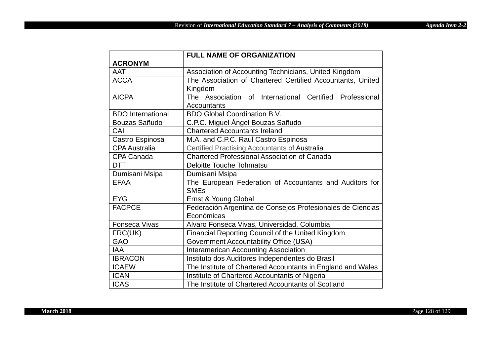|                          | <b>FULL NAME OF ORGANIZATION</b>                            |
|--------------------------|-------------------------------------------------------------|
| <b>ACRONYM</b>           |                                                             |
| <b>AAT</b>               | Association of Accounting Technicians, United Kingdom       |
| <b>ACCA</b>              | The Association of Chartered Certified Accountants, United  |
|                          | Kingdom                                                     |
| <b>AICPA</b>             | The Association of International Certified Professional     |
|                          | Accountants                                                 |
| <b>BDO</b> International | <b>BDO Global Coordination B.V.</b>                         |
| Bouzas Sañudo            | C.P.C. Miguel Ángel Bouzas Sañudo                           |
| CAI                      | <b>Chartered Accountants Ireland</b>                        |
| Castro Espinosa          | M.A. and C.P.C. Raul Castro Espinosa                        |
| <b>CPA Australia</b>     | Certified Practising Accountants of Australia               |
| CPA Canada               | Chartered Professional Association of Canada                |
| <b>DTT</b>               | <b>Deloitte Touche Tohmatsu</b>                             |
| Dumisani Msipa           | Dumisani Msipa                                              |
| <b>EFAA</b>              | The European Federation of Accountants and Auditors for     |
|                          | <b>SMEs</b>                                                 |
| <b>EYG</b>               | Ernst & Young Global                                        |
| <b>FACPCE</b>            | Federación Argentina de Consejos Profesionales de Ciencias  |
|                          | Económicas                                                  |
| <b>Fonseca Vivas</b>     | Alvaro Fonseca Vivas, Universidad, Columbia                 |
| FRC(UK)                  | Financial Reporting Council of the United Kingdom           |
| <b>GAO</b>               | <b>Government Accountability Office (USA)</b>               |
| <b>IAA</b>               | <b>Interamerican Accounting Association</b>                 |
| <b>IBRACON</b>           | Instituto dos Auditores Independentes do Brasil             |
| <b>ICAEW</b>             | The Institute of Chartered Accountants in England and Wales |
| <b>ICAN</b>              | Institute of Chartered Accountants of Nigeria               |
| <b>ICAS</b>              | The Institute of Chartered Accountants of Scotland          |